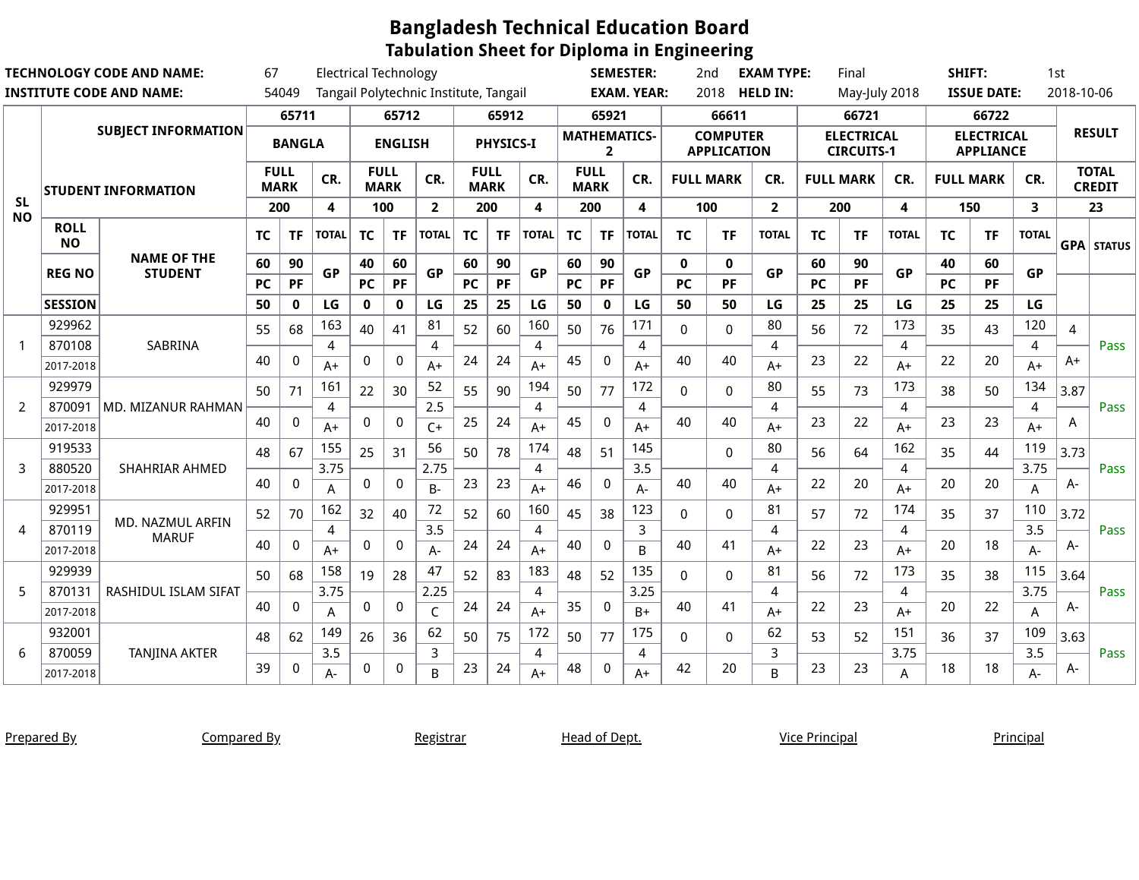|                        |                          |                                  |    |                            |                              |             |                |                                        |           |                            |                       |                            |                |                     |              | <b>Bangladesh Technical Education Board</b><br><b>Tabulation Sheet for Diploma in Engineering</b> |                      |           |                                        |              |           |                                       |                         |            |                               |
|------------------------|--------------------------|----------------------------------|----|----------------------------|------------------------------|-------------|----------------|----------------------------------------|-----------|----------------------------|-----------------------|----------------------------|----------------|---------------------|--------------|---------------------------------------------------------------------------------------------------|----------------------|-----------|----------------------------------------|--------------|-----------|---------------------------------------|-------------------------|------------|-------------------------------|
|                        |                          | <b>TECHNOLOGY CODE AND NAME:</b> | 67 |                            | <b>Electrical Technology</b> |             |                |                                        |           |                            |                       |                            |                | <b>SEMESTER:</b>    |              | 2nd                                                                                               | <b>EXAM TYPE:</b>    |           | Final                                  |              |           | SHIFT:                                |                         | 1st        |                               |
|                        |                          | <b>INSTITUTE CODE AND NAME:</b>  |    | 54049                      |                              |             |                | Tangail Polytechnic Institute, Tangail |           |                            |                       |                            |                | <b>EXAM. YEAR:</b>  |              | 2018                                                                                              | <b>HELD IN:</b>      |           | May-July 2018                          |              |           | <b>ISSUE DATE:</b>                    |                         | 2018-10-06 |                               |
|                        |                          |                                  |    | 65711                      |                              |             | 65712          |                                        |           | 65912                      |                       |                            | 65921          |                     |              | 66611                                                                                             |                      |           | 66721                                  |              |           | 66722                                 |                         |            |                               |
|                        |                          | <b>SUBJECT INFORMATION</b>       |    | <b>BANGLA</b>              |                              |             | <b>ENGLISH</b> |                                        |           | <b>PHYSICS-I</b>           |                       |                            | $\overline{2}$ | <b>MATHEMATICS-</b> |              | <b>COMPUTER</b><br><b>APPLICATION</b>                                                             |                      |           | <b>ELECTRICAL</b><br><b>CIRCUITS-1</b> |              |           | <b>ELECTRICAL</b><br><b>APPLIANCE</b> |                         |            | <b>RESULT</b>                 |
|                        |                          | <b>STUDENT INFORMATION</b>       |    | <b>FULL</b><br><b>MARK</b> | CR.                          | <b>FULL</b> | <b>MARK</b>    | CR.                                    |           | <b>FULL</b><br><b>MARK</b> | CR.                   | <b>FULL</b><br><b>MARK</b> |                | CR.                 |              | <b>FULL MARK</b>                                                                                  | CR.                  |           | <b>FULL MARK</b>                       | CR.          |           | <b>FULL MARK</b>                      | CR.                     |            | <b>TOTAL</b><br><b>CREDIT</b> |
| <b>SL</b><br><b>NO</b> |                          |                                  |    | 200                        | 4                            |             | 100            | $\overline{2}$                         |           | 200                        | 4                     |                            | 200            | 4                   |              | 100                                                                                               | $\overline{2}$       |           | 200                                    | 4            |           | 150                                   | $\overline{\mathbf{3}}$ |            | 23                            |
|                        | <b>ROLL</b><br><b>NO</b> |                                  | ТC | <b>TF</b>                  | <b>TOTAL</b>                 | <b>TC</b>   | <b>TF</b>      | <b>TOTAL</b>                           | <b>TC</b> | <b>TF</b>                  | <b>TOTAL</b>          | <b>TC</b>                  | <b>TF</b>      | <b>TOTAL</b>        | TC           | <b>TF</b>                                                                                         | <b>TOTAL</b>         | <b>TC</b> | <b>TF</b>                              | <b>TOTAL</b> | TC.       | TF                                    | <b>TOTAL</b>            |            | <b>GPA STATUS</b>             |
|                        |                          | <b>NAME OF THE</b>               | 60 | 90                         | <b>GP</b>                    | 40          | 60             | <b>GP</b>                              | 60        | 90                         | <b>GP</b>             | 60                         | 90             | <b>GP</b>           | $\mathbf{0}$ | $\mathbf{0}$                                                                                      | <b>GP</b>            | 60        | 90                                     | <b>GP</b>    | 40        | 60                                    | <b>GP</b>               |            |                               |
|                        | <b>REG NO</b>            | <b>STUDENT</b>                   | PC | PF                         |                              | <b>PC</b>   | PF             |                                        | PC        | PF                         |                       | PC                         | PF             |                     | <b>PC</b>    | PF                                                                                                |                      | PC        | <b>PF</b>                              |              | <b>PC</b> | PF                                    |                         |            |                               |
|                        | <b>SESSION</b>           |                                  | 50 | $\mathbf 0$                | LG                           | $\mathbf 0$ | $\mathbf 0$    | LG                                     | 25        | 25                         | LG                    | 50                         | $\mathbf 0$    | LG                  | 50           | 50                                                                                                | LG                   | 25        | 25                                     | LG           | 25        | 25                                    | LG                      |            |                               |
|                        | 929962                   |                                  | 55 | 68                         | 163                          | 40          | 41             | 81                                     | 52        | 60                         | 160                   | 50                         | 76             | 171                 | $\Omega$     | $\mathbf{0}$                                                                                      | 80                   | 56        | 72                                     | 173          | 35        | 43                                    | 120                     | 4          |                               |
| $\mathbf{1}$           | 870108                   | SABRINA                          |    |                            | $\overline{4}$               |             |                | $\overline{4}$                         |           |                            | $\overline{4}$        |                            |                | 4                   |              |                                                                                                   | $\overline{4}$       |           |                                        | 4            |           |                                       | $\overline{4}$          |            | Pass                          |
|                        | 2017-2018                |                                  | 40 | $\mathbf{0}$               | $A+$                         | $\Omega$    | $\mathbf 0$    | $A+$                                   | 24        | 24                         | $A+$                  | 45                         | $\mathbf{0}$   | $A+$                | 40           | 40                                                                                                | $A+$                 | 23        | 22                                     | $A+$         | 22        | 20                                    | $A+$                    | A+         |                               |
|                        | 929979                   |                                  | 50 | 71                         | 161                          | 22          | 30             | 52                                     | 55        | 90                         | 194                   | 50                         | 77             | 172                 | $\Omega$     | $\mathbf 0$                                                                                       | 80                   | 55        | 73                                     | 173          | 38        | 50                                    | 134                     | 3.87       |                               |
| 2                      | 870091                   | MD. MIZANUR RAHMAN               | 40 | 0                          | 4                            | $\Omega$    | $\mathbf 0$    | 2.5                                    |           | 24                         | $\sqrt{4}$            | 45                         | $\mathbf{0}$   | $\overline{4}$      | 40           | 40                                                                                                | $\overline{4}$       | 23        | 22                                     | 4            | 23        | 23                                    | $\overline{4}$          |            | Pass                          |
|                        | 2017-2018                |                                  |    |                            | $A+$                         |             |                | $C+$                                   | 25        |                            | $A+$                  |                            |                | $A+$                |              |                                                                                                   | $A+$                 |           |                                        | $A+$         |           |                                       | $A+$                    | A          |                               |
|                        | 919533                   |                                  | 48 | 67                         | 155                          | 25          | 31             | 56                                     | 50        | 78                         | 174                   | 48                         | 51             | 145                 |              | $\mathbf{0}$                                                                                      | 80                   | 56        | 64                                     | 162          | 35        | 44                                    | 119                     | 3.73       |                               |
| 3                      | 880520                   | SHAHRIAR AHMED                   | 40 | $\mathbf{0}$               | 3.75                         | 0           | $\mathbf{0}$   | 2.75                                   | 23        | 23                         | $\overline{4}$        | 46                         | $\mathbf{0}$   | 3.5                 | 40           | 40                                                                                                | 4                    | 22        | 20                                     | 4            | 20        | 20                                    | 3.75                    | А-         | Pass                          |
|                        | 2017-2018                |                                  |    |                            | A                            |             |                | $B -$                                  |           |                            | $A+$                  |                            |                | A-                  |              |                                                                                                   | $A+$                 |           |                                        | $A+$         |           |                                       | A                       |            |                               |
| 4                      | 929951<br>870119         | MD. NAZMUL ARFIN                 | 52 | 70                         | 162<br>4                     | 32          | 40             | 72<br>3.5                              | 52        | 60                         | 160<br>$\overline{4}$ | 45                         | 38             | 123<br>3            | $\Omega$     | $\mathbf 0$                                                                                       | 81<br>$\overline{4}$ | 57        | 72                                     | 174<br>4     | 35        | 37                                    | 110<br>3.5              | 3.72       | Pass                          |
|                        | 2017-2018                | <b>MARUF</b>                     | 40 | $\mathbf{0}$               | $A+$                         | $\Omega$    | $\mathbf{0}$   | $A -$                                  | 24        | 24                         | $A+$                  | 40                         | $\mathbf{0}$   | B                   | 40           | 41                                                                                                | $A+$                 | 22        | 23                                     | $A+$         | 20        | 18                                    | А-                      | A-         |                               |
|                        | 929939                   |                                  | 50 | 68                         | 158                          | 19          | 28             | 47                                     | 52        | 83                         | 183                   | 48                         | 52             | 135                 | $\mathbf{0}$ | $\mathbf 0$                                                                                       | 81                   | 56        | 72                                     | 173          | 35        | 38                                    | 115                     | 3.64       |                               |
| 5                      | 870131                   | RASHIDUL ISLAM SIFAT             |    |                            | 3.75                         |             |                | 2.25                                   |           |                            | $\overline{4}$        |                            |                | 3.25                |              |                                                                                                   | $\overline{4}$       |           |                                        | 4            |           |                                       | 3.75                    |            | Pass                          |
|                        | 2017-2018                |                                  | 40 | $\mathbf{0}$               | A                            | 0           | $\mathbf{0}$   | $\mathsf C$                            | 24        | 24                         | $A+$                  | 35                         | 0              | $B+$                | 40           | 41                                                                                                | $A+$                 | 22        | 23                                     | $A+$         | 20        | 22                                    | A                       | А-         |                               |
|                        | 932001                   |                                  | 48 | 62                         | 149                          | 26          | 36             | 62                                     | 50        | 75                         | 172                   | 50                         | 77             | 175                 | $\Omega$     | $\mathbf{0}$                                                                                      | 62                   | 53        | 52                                     | 151          | 36        | 37                                    | 109                     | 3.63       |                               |
| 6                      | 870059                   | <b>TANJINA AKTER</b>             |    |                            | 3.5                          |             |                | $\overline{3}$                         |           |                            | $\overline{4}$        |                            |                | 4                   |              |                                                                                                   | $\overline{3}$       |           |                                        | 3.75         |           |                                       | 3.5                     |            | Pass                          |
|                        | 2017-2018                |                                  | 39 | $\mathbf 0$                | А-                           | 0           | $\mathbf{0}$   | B                                      | 23        | 24                         | $A+$                  | 48                         | 0              | $A+$                | 42           | 20                                                                                                | B                    | 23        | 23                                     | A            | 18        | 18                                    | А-                      | A-         |                               |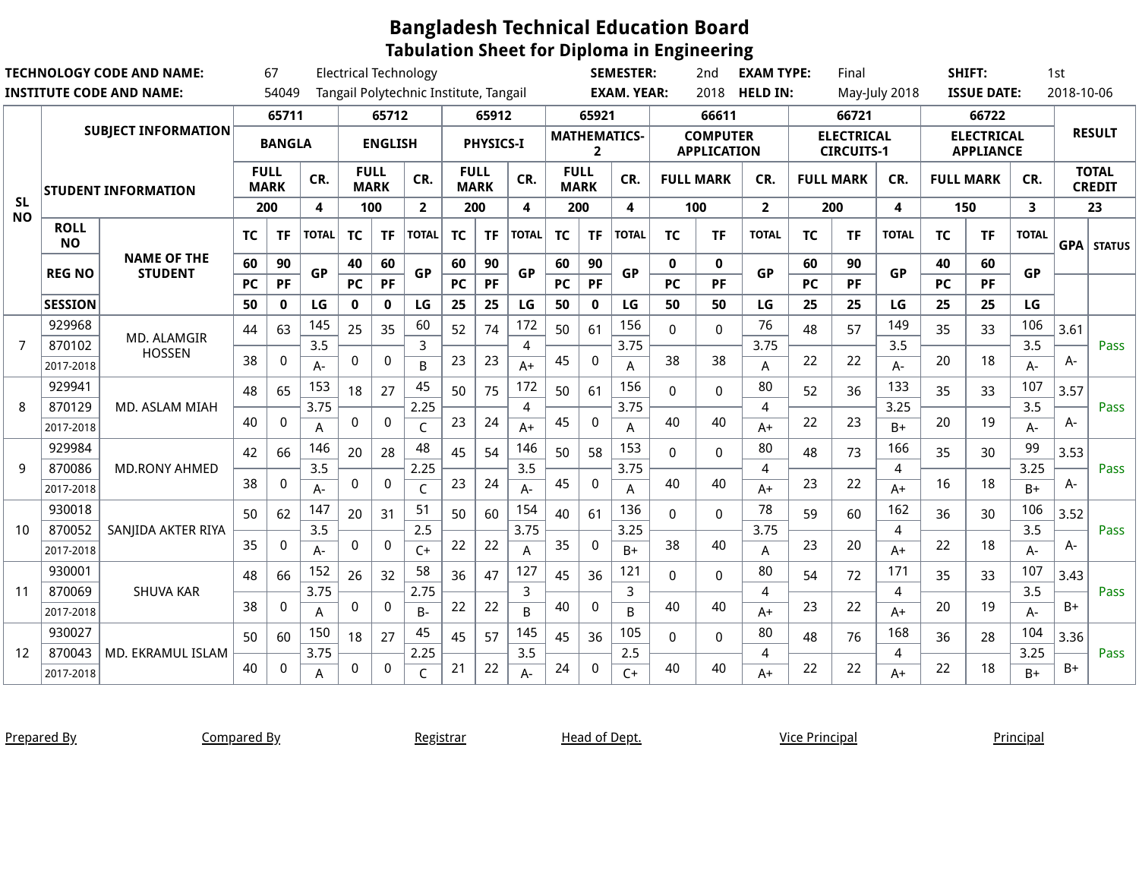|                        |                          |                                                                     |           |                            |              |              |                            |                                                                        |             |             |                         |           |                            |                                        |           | <b>Bangladesh Technical Education Board</b><br><b>Tabulation Sheet for Diploma in Engineering</b> |                                      |           |                                        |                |           |                                       |              |                   |                               |
|------------------------|--------------------------|---------------------------------------------------------------------|-----------|----------------------------|--------------|--------------|----------------------------|------------------------------------------------------------------------|-------------|-------------|-------------------------|-----------|----------------------------|----------------------------------------|-----------|---------------------------------------------------------------------------------------------------|--------------------------------------|-----------|----------------------------------------|----------------|-----------|---------------------------------------|--------------|-------------------|-------------------------------|
|                        |                          | <b>TECHNOLOGY CODE AND NAME:</b><br><b>INSTITUTE CODE AND NAME:</b> |           | 67<br>54049                |              |              |                            | <b>Electrical Technology</b><br>Tangail Polytechnic Institute, Tangail |             |             |                         |           |                            | <b>SEMESTER:</b><br><b>EXAM. YEAR:</b> |           | 2nd<br>2018                                                                                       | <b>EXAM TYPE:</b><br><b>HELD IN:</b> |           | Final                                  | May-July 2018  |           | SHIFT:<br><b>ISSUE DATE:</b>          |              | 1st<br>2018-10-06 |                               |
|                        |                          |                                                                     |           | 65711                      |              |              | 65712                      |                                                                        |             | 65912       |                         |           | 65921                      |                                        |           | 66611                                                                                             |                                      |           | 66721                                  |                |           | 66722                                 |              |                   |                               |
|                        |                          | <b>SUBJECT INFORMATION</b>                                          |           | <b>BANGLA</b>              |              |              | <b>ENGLISH</b>             |                                                                        |             | PHYSICS-I   |                         |           | 2                          | <b>MATHEMATICS-</b>                    |           | <b>COMPUTER</b><br><b>APPLICATION</b>                                                             |                                      |           | <b>ELECTRICAL</b><br><b>CIRCUITS-1</b> |                |           | <b>ELECTRICAL</b><br><b>APPLIANCE</b> |              |                   | <b>RESULT</b>                 |
|                        |                          | <b>STUDENT INFORMATION</b>                                          |           | <b>FULL</b><br><b>MARK</b> | CR.          |              | <b>FULL</b><br><b>MARK</b> | CR.                                                                    | <b>FULL</b> | <b>MARK</b> | CR.                     |           | <b>FULL</b><br><b>MARK</b> | CR.                                    |           | <b>FULL MARK</b>                                                                                  | CR.                                  |           | <b>FULL MARK</b>                       | CR.            |           | <b>FULL MARK</b>                      | CR.          |                   | <b>TOTAL</b><br><b>CREDIT</b> |
| <b>SL</b><br><b>NO</b> |                          |                                                                     |           | 200                        | 4            |              | 100                        | $2^{\circ}$                                                            |             | 200         | $\overline{\mathbf{4}}$ |           | 200                        | 4                                      |           | 100                                                                                               | $\overline{2}$                       |           | 200                                    | 4              |           | 150                                   | 3            |                   | 23                            |
|                        | <b>ROLL</b><br><b>NO</b> |                                                                     | <b>TC</b> | <b>TF</b>                  | <b>TOTAL</b> | <b>TC</b>    | <b>TF</b>                  | <b>TOTAL</b>                                                           | <b>TC</b>   | <b>TF</b>   | <b>TOTAL</b>            | <b>TC</b> | <b>TF</b>                  | <b>TOTAL</b>                           | <b>TC</b> | <b>TF</b>                                                                                         | <b>TOTAL</b>                         | <b>TC</b> | <b>TF</b>                              | <b>TOTAL</b>   | <b>TC</b> | <b>TF</b>                             | <b>TOTAL</b> |                   | <b>GPA</b> STATUS             |
|                        | <b>REG NO</b>            | <b>NAME OF THE</b><br><b>STUDENT</b>                                | 60        | 90                         | <b>GP</b>    | 40           | 60                         | <b>GP</b>                                                              | 60          | 90          | <b>GP</b>               | 60        | 90                         | <b>GP</b>                              | 0         | $\mathbf 0$                                                                                       | <b>GP</b>                            | 60        | 90                                     | <b>GP</b>      | 40        | 60                                    | <b>GP</b>    |                   |                               |
|                        |                          |                                                                     | PC        | PF                         |              | PC           | PF                         |                                                                        | <b>PC</b>   | PF          |                         | PC        | PF                         |                                        | <b>PC</b> | <b>PF</b>                                                                                         |                                      | <b>PC</b> | PF                                     |                | <b>PC</b> | PF                                    |              |                   |                               |
|                        | <b>SESSION</b>           |                                                                     | 50        | $\mathbf 0$                | LG           | $\mathbf 0$  | $\mathbf 0$                | LG                                                                     | 25          | 25          | LG                      | 50        | $\mathbf 0$                | LG                                     | 50        | 50                                                                                                | LG                                   | 25        | 25                                     | LG             | 25        | 25                                    | LG           |                   |                               |
|                        | 929968                   | MD. ALAMGIR                                                         | 44        | 63                         | 145          | 25           | 35                         | 60                                                                     | 52          | 74          | 172                     | 50        | 61                         | 156                                    | $\Omega$  | $\Omega$                                                                                          | 76                                   | 48        | 57                                     | 149            | 35        | 33                                    | 106          | 3.61              |                               |
| 7                      | 870102                   | <b>HOSSEN</b>                                                       |           | $\mathbf{0}$               | 3.5          | $\Omega$     | $\mathbf{0}$               | 3                                                                      |             | 23          | $\overline{4}$          |           | $\mathbf{0}$               | 3.75                                   | 38        | 38                                                                                                | 3.75                                 |           | 22                                     | 3.5            | 20        | 18                                    | 3.5          |                   | Pass                          |
|                        | 2017-2018                |                                                                     | 38        |                            | A-           |              |                            | <sub>B</sub>                                                           | 23          |             | $A+$                    | 45        |                            | A                                      |           |                                                                                                   | A                                    | 22        |                                        | $A -$          |           |                                       | A-           | A-                |                               |
|                        | 929941                   |                                                                     | 48        | 65                         | 153          | 18           | 27                         | 45                                                                     | 50          | 75          | 172                     | 50        | 61                         | 156                                    | $\Omega$  | $\mathbf{0}$                                                                                      | 80                                   | 52        | 36                                     | 133            | 35        | 33                                    | 107          | 3.57              |                               |
| 8                      | 870129<br>2017-2018      | MD. ASLAM MIAH                                                      | 40        | $\mathbf{0}$               | 3.75<br>A    | $\mathbf{0}$ | $\mathbf{0}$               | 2.25<br>$\mathsf{C}$                                                   | 23          | 24          | $\overline{4}$<br>$A+$  | 45        | $\mathbf{0}$               | 3.75<br>A                              | 40        | 40                                                                                                | $\overline{\mathcal{L}}$<br>$A+$     | 22        | 23                                     | 3.25<br>$B+$   | 20        | 19                                    | 3.5<br>А-    | А-                | Pass                          |
|                        | 929984                   |                                                                     |           |                            | 146          |              |                            | 48                                                                     |             |             | 146                     |           |                            | 153                                    |           |                                                                                                   | 80                                   |           |                                        | 166            |           |                                       | 99           |                   |                               |
| 9                      | 870086                   | <b>MD.RONY AHMED</b>                                                | 42        | 66                         | 3.5          | 20           | 28                         | 2.25                                                                   | 45          | 54          | 3.5                     | 50        | 58                         | 3.75                                   | $\Omega$  | $\mathbf{0}$                                                                                      | $\overline{4}$                       | 48        | 73                                     | 4              | 35        | 30                                    | 3.25         | 3.53              | Pass                          |
|                        | 2017-2018                |                                                                     | 38        | $\mathbf 0$                | A-           | $\mathbf{0}$ | $\mathbf 0$                | $\mathsf{C}$                                                           | 23          | 24          | A-                      | 45        | $\mathbf{0}$               | A                                      | 40        | 40                                                                                                | $A+$                                 | 23        | 22                                     | $A+$           | 16        | 18                                    | $B+$         | А-                |                               |
|                        | 930018                   |                                                                     | 50        | 62                         | 147          | 20           | 31                         | 51                                                                     | 50          | 60          | 154                     | 40        | 61                         | 136                                    | $\Omega$  | $\Omega$                                                                                          | 78                                   | 59        | 60                                     | 162            | 36        | 30                                    | 106          | 3.52              |                               |
| 10                     | 870052                   | SANJIDA AKTER RIYA                                                  |           |                            | 3.5          |              |                            | 2.5                                                                    |             |             | 3.75                    |           |                            | 3.25                                   |           |                                                                                                   | 3.75                                 |           |                                        | 4              |           |                                       | 3.5          |                   | Pass                          |
|                        | 2017-2018                |                                                                     | 35        | $\mathbf{0}$               | A-           | $\mathbf{0}$ | $\mathbf{0}$               | $C+$                                                                   | 22          | 22          | A                       | 35        | $\mathbf 0$                | $B+$                                   | 38        | 40                                                                                                | $\boldsymbol{\mathsf{A}}$            | 23        | 20                                     | $A+$           | 22        | 18                                    | A-           | $A -$             |                               |
|                        | 930001                   |                                                                     | 48        | 66                         | 152          | 26           | 32                         | 58                                                                     | 36          | 47          | 127                     | 45        | 36                         | 121                                    | 0         | $\mathbf{0}$                                                                                      | 80                                   | 54        | 72                                     | 171            | 35        | 33                                    | 107          | 3.43              |                               |
| 11                     | 870069                   | <b>SHUVA KAR</b>                                                    |           |                            | 3.75         |              |                            | 2.75                                                                   |             |             | 3                       |           |                            | 3                                      |           |                                                                                                   | $\overline{4}$                       |           |                                        | $\overline{4}$ |           |                                       | 3.5          |                   | Pass                          |
|                        | 2017-2018                |                                                                     | 38        | $\mathbf 0$                | A            | 0            | $\mathbf 0$                | $B -$                                                                  | 22          | 22          | B                       | 40        | $\mathbf 0$                | B                                      | 40        | 40                                                                                                | $A+$                                 | 23        | 22                                     | $A+$           | 20        | 19                                    | A-           | $B+$              |                               |
|                        | 930027                   |                                                                     | 50        | 60                         | 150          | 18           | 27                         | 45                                                                     | 45          | 57          | 145                     | 45        | 36                         | 105                                    | $\Omega$  | $\mathbf{0}$                                                                                      | 80                                   | 48        | 76                                     | 168            | 36        | 28                                    | 104          | 3.36              |                               |
| 12                     | 870043<br>2017-2018      | MD. EKRAMUL ISLAM                                                   | 40        | 0                          | 3.75<br>A    | $\Omega$     | 0                          | 2.25<br>$\mathsf{C}$                                                   | 21          | 22          | 3.5<br>А-               | 24        | $\mathbf 0$                | 2.5<br>$C+$                            | 40        | 40                                                                                                | 4<br>$A+$                            | 22        | 22                                     | 4<br>$A+$      | 22        | 18                                    | 3.25<br>$B+$ | $B+$              | Pass                          |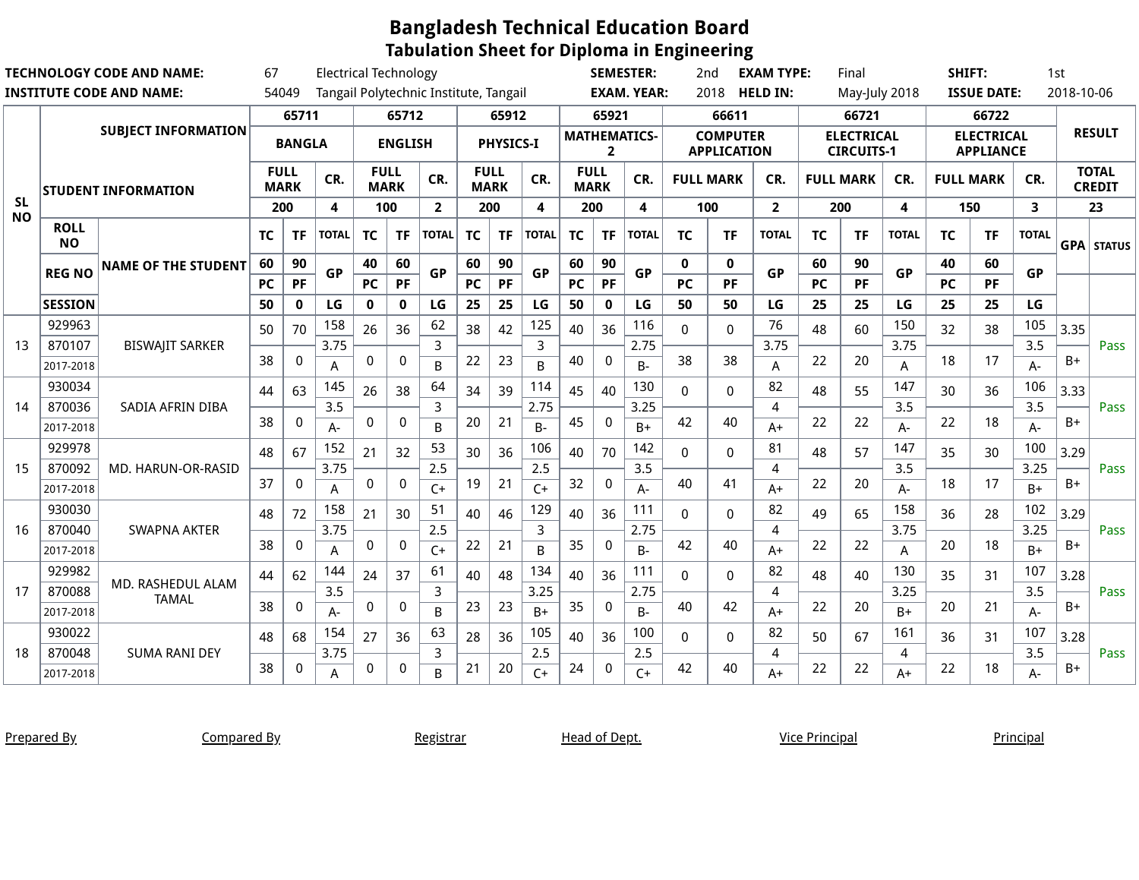|                        |                          |                                   |    |                            |                                        |              |                            |                |           |                            |                        |           |                            |                     | <b>Bangladesh Technical Education Board</b> | <b>Tabulation Sheet for Diploma in Engineering</b> |                   |           |                                        |              |        |                                       |                         |            |                               |
|------------------------|--------------------------|-----------------------------------|----|----------------------------|----------------------------------------|--------------|----------------------------|----------------|-----------|----------------------------|------------------------|-----------|----------------------------|---------------------|---------------------------------------------|----------------------------------------------------|-------------------|-----------|----------------------------------------|--------------|--------|---------------------------------------|-------------------------|------------|-------------------------------|
|                        |                          | TECHNOLOGY CODE AND NAME:         | 67 |                            | <b>Electrical Technology</b>           |              |                            |                |           |                            |                        |           |                            | <b>SEMESTER:</b>    |                                             | 2nd                                                | <b>EXAM TYPE:</b> |           | Final                                  |              | SHIFT: |                                       |                         | 1st        |                               |
|                        |                          | <b>INSTITUTE CODE AND NAME:</b>   |    | 54049                      | Tangail Polytechnic Institute, Tangail |              |                            |                |           |                            |                        |           |                            | <b>EXAM. YEAR:</b>  |                                             | 2018                                               | <b>HELD IN:</b>   |           | May-July 2018                          |              |        | <b>ISSUE DATE:</b>                    |                         | 2018-10-06 |                               |
|                        |                          |                                   |    | 65711                      |                                        |              | 65712                      |                |           | 65912                      |                        |           | 65921                      |                     |                                             | 66611                                              |                   |           | 66721                                  |              |        | 66722                                 |                         |            |                               |
|                        |                          | <b>SUBJECT INFORMATION</b>        |    | <b>BANGLA</b>              |                                        |              | <b>ENGLISH</b>             |                |           | <b>PHYSICS-I</b>           |                        |           | 2                          | <b>MATHEMATICS-</b> |                                             | <b>COMPUTER</b><br><b>APPLICATION</b>              |                   |           | <b>ELECTRICAL</b><br><b>CIRCUITS-1</b> |              |        | <b>ELECTRICAL</b><br><b>APPLIANCE</b> |                         |            | <b>RESULT</b>                 |
|                        |                          | <b>STUDENT INFORMATION</b>        |    | <b>FULL</b><br><b>MARK</b> | CR.                                    |              | <b>FULL</b><br><b>MARK</b> | CR.            |           | <b>FULL</b><br><b>MARK</b> | CR.                    |           | <b>FULL</b><br><b>MARK</b> | CR.                 |                                             | <b>FULL MARK</b>                                   | CR.               |           | <b>FULL MARK</b>                       | CR.          |        | <b>FULL MARK</b>                      | CR.                     |            | <b>TOTAL</b><br><b>CREDIT</b> |
| <b>SL</b><br><b>NO</b> |                          |                                   |    | 200                        | 4                                      |              | 100                        | 2 <sup>1</sup> |           | 200                        | 4                      |           | 200                        | 4                   |                                             | 100                                                | $\overline{2}$    |           | 200                                    | 4            |        | 150                                   | $\overline{\mathbf{3}}$ |            | 23                            |
|                        | <b>ROLL</b><br><b>NO</b> |                                   | ТC | ΤF                         | <b>TOTAL</b>                           | <b>TC</b>    | <b>TF</b>                  | <b>TOTAL</b>   | <b>TC</b> | <b>TF</b>                  | <b>TOTAL</b>           | <b>TC</b> | <b>TF</b>                  | <b>TOTAL</b>        | TC                                          | <b>TF</b>                                          | <b>TOTAL</b>      | ТC        | <b>TF</b>                              | <b>TOTAL</b> | TC     | <b>TF</b>                             | <b>TOTAL</b>            |            | <b>GPA</b> STATUS             |
|                        | <b>REG NO</b>            | <b>NAME OF THE STUDENT</b>        | 60 | 90                         | <b>GP</b>                              | 40           | 60                         | <b>GP</b>      | 60        | 90                         | <b>GP</b>              | 60        | 90                         | <b>GP</b>           | $\mathbf{0}$                                | $\mathbf{0}$                                       | GP                | 60        | 90                                     | <b>GP</b>    | 40     | 60                                    | <b>GP</b>               |            |                               |
|                        |                          |                                   | PC | <b>PF</b>                  |                                        | <b>PC</b>    | PF                         |                | <b>PC</b> | PF                         |                        | PC        | PF                         |                     | <b>PC</b>                                   | PF                                                 |                   | <b>PC</b> | <b>PF</b>                              |              | PC     | PF                                    |                         |            |                               |
|                        | <b>SESSION</b>           |                                   | 50 | $\mathbf 0$                | LG                                     | $\mathbf 0$  | $\mathbf 0$                | LG             | 25        | 25                         | LG                     | 50        | $\mathbf 0$                | LG                  | 50                                          | 50                                                 | LG                | 25        | 25                                     | LG           | 25     | 25                                    | LG                      |            |                               |
|                        | 929963                   |                                   | 50 | 70                         | 158                                    | 26           | 36                         | 62             | 38        | 42                         | 125                    | 40        | 36                         | 116                 | $\Omega$                                    | $\mathbf{0}$                                       | 76                | 48        | 60                                     | 150          | 32     | 38                                    | 105                     | 3.35       |                               |
| 13                     | 870107                   | <b>BISWAJIT SARKER</b>            |    |                            | 3.75                                   |              |                            | 3              |           |                            | 3                      |           |                            | 2.75                |                                             |                                                    | 3.75              |           |                                        | 3.75         |        |                                       | 3.5                     |            | Pass                          |
|                        | 2017-2018                |                                   | 38 | $\Omega$                   | A                                      | $\mathbf{0}$ | $\mathbf{0}$               | <sub>B</sub>   | 22        | 23                         | B                      | 40        | $\mathbf{0}$               | $B -$               | 38                                          | 38                                                 | A                 | 22        | 20                                     | A            | 18     | 17                                    | $A -$                   | $B+$       |                               |
|                        | 930034                   |                                   | 44 | 63                         | 145                                    | 26           | 38                         | 64             | 34        | 39                         | 114                    | 45        | 40                         | 130                 | $\Omega$                                    | $\mathbf{0}$                                       | 82                | 48        | 55                                     | 147          | 30     | 36                                    | 106                     | 3.33       |                               |
| 14                     | 870036                   | SADIA AFRIN DIBA                  | 38 | $\mathbf{0}$               | 3.5                                    | $\Omega$     | $\mathbf{0}$               | 3              | 20        | 21                         | 2.75                   | 45        | $\mathbf{0}$               | 3.25                | 42                                          | 40                                                 | $\overline{4}$    | 22        | 22                                     | 3.5          | 22     | 18                                    | 3.5                     | B+         | Pass                          |
|                        | 2017-2018                |                                   |    |                            | A-                                     |              |                            | B.             |           |                            | $B -$                  |           |                            | $B+$                |                                             |                                                    | $A+$              |           |                                        | A-           |        |                                       | А-                      |            |                               |
|                        | 929978                   |                                   | 48 | 67                         | 152                                    | 21           | 32                         | 53             | 30        | 36                         | 106                    | 40        | 70                         | 142                 | $\Omega$                                    | $\mathbf{0}$                                       | 81                | 48        | 57                                     | 147          | 35     | 30                                    | 100                     | 3.29       |                               |
| 15                     | 870092<br>2017-2018      | MD. HARUN-OR-RASID                | 37 | $\Omega$                   | 3.75                                   | $\mathbf{0}$ | $\Omega$                   | 2.5<br>$C+$    | 19        | 21                         | 2.5<br>$\overline{C+}$ | 32        | $\Omega$                   | 3.5<br>A-           | 40                                          | 41                                                 | 4<br>$A+$         | 22        | 20                                     | 3.5<br>А-    | 18     | 17                                    | 3.25<br>$B+$            | $B+$       | Pass                          |
|                        | 930030                   |                                   |    |                            | A<br>158                               |              |                            | 51             |           |                            | 129                    |           |                            | 111                 |                                             |                                                    | 82                |           |                                        | 158          |        |                                       | 102                     |            |                               |
| 16                     | 870040                   | <b>SWAPNA AKTER</b>               | 48 | 72                         | 3.75                                   | 21           | 30                         | 2.5            | 40        | 46                         | $\overline{3}$         | 40        | 36                         | 2.75                | $\Omega$                                    | $\mathbf{0}$                                       | $\overline{4}$    | 49        | 65                                     | 3.75         | 36     | 28                                    | 3.25                    | 3.29       | Pass                          |
|                        | 2017-2018                |                                   | 38 | 0                          | A                                      | 0            | $\mathbf 0$                | $C+$           | 22        | 21                         | <sub>B</sub>           | 35        | $\Omega$                   | $B -$               | 42                                          | 40                                                 | $A+$              | 22        | 22                                     | A            | 20     | 18                                    | $B+$                    | $B+$       |                               |
|                        | 929982                   |                                   | 44 | 62                         | 144                                    | 24           | 37                         | 61             | 40        | 48                         | 134                    | 40        | 36                         | 111                 | $\Omega$                                    | $\mathbf 0$                                        | 82                | 48        | 40                                     | 130          | 35     | 31                                    | 107                     | 3.28       |                               |
| 17                     | 870088                   | MD. RASHEDUL ALAM<br><b>TAMAL</b> |    |                            | 3.5                                    |              |                            | 3              |           |                            | 3.25                   |           |                            | 2.75                |                                             |                                                    | $\overline{4}$    |           |                                        | 3.25         |        |                                       | 3.5                     |            | Pass                          |
|                        | 2017-2018                |                                   | 38 | 0                          | A-                                     | $\Omega$     | $\mathbf{0}$               | B              | 23        | 23                         | $B+$                   | 35        | $\mathbf{0}$               | $B -$               | 40                                          | 42                                                 | $A+$              | 22        | 20                                     | $B+$         | 20     | 21                                    | A-                      | $B+$       |                               |
|                        | 930022                   |                                   | 48 | 68                         | 154                                    | 27           | 36                         | 63             | 28        | 36                         | 105                    | 40        | 36                         | 100                 | $\Omega$                                    | $\mathbf{0}$                                       | 82                | 50        | 67                                     | 161          | 36     | 31                                    | 107                     | 3.28       |                               |
| 18                     | 870048                   | <b>SUMA RANI DEY</b>              |    |                            | 3.75                                   |              |                            | 3              |           |                            | 2.5                    |           |                            | 2.5                 |                                             |                                                    | $\overline{4}$    |           |                                        | 4            |        |                                       | 3.5                     |            | Pass                          |
|                        | 2017-2018                |                                   | 38 | 0                          | A                                      | $\Omega$     | 0                          | R              | 21        | 20                         | $C+$                   | 24        | 0                          | $C+$                | 42                                          | 40                                                 | $A+$              | 22        | 22                                     | $A+$         | 22     | 18                                    | А-                      | B+         |                               |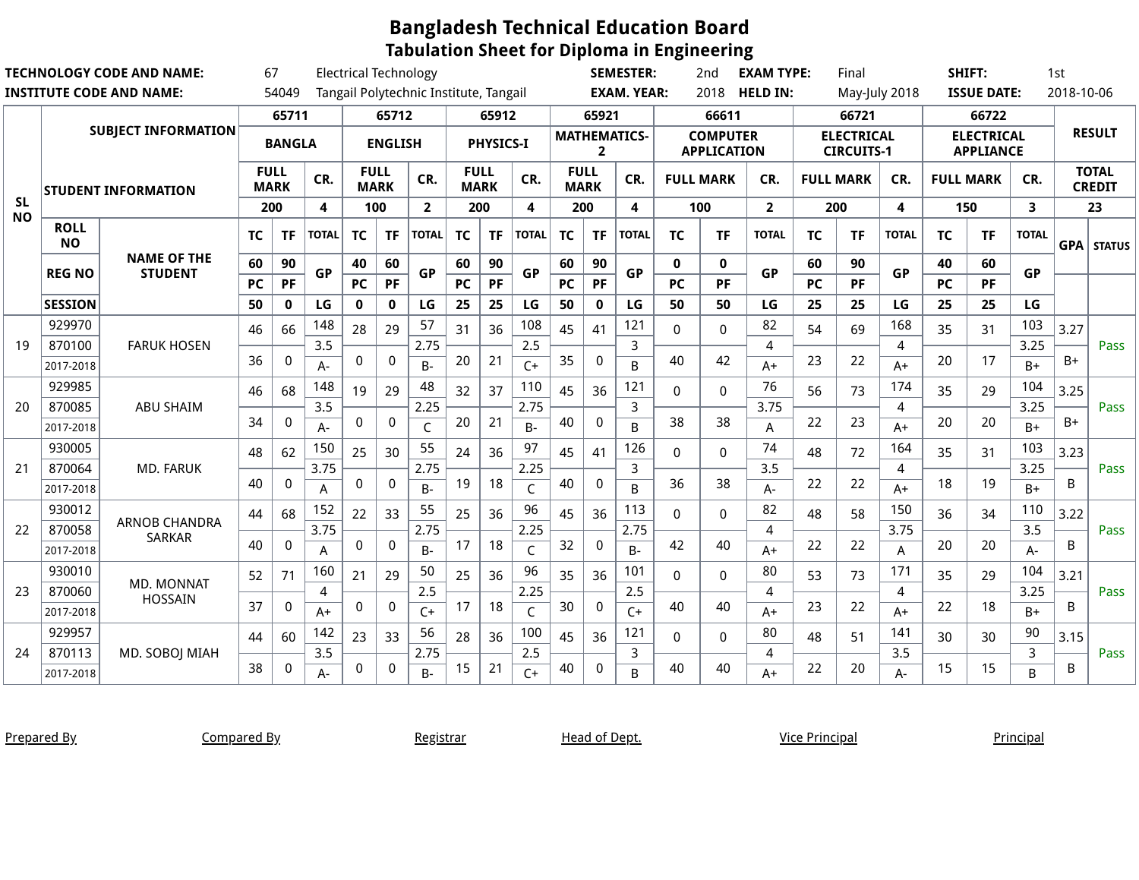|                        |                          |                                      |           |                            |                        |                              |                            |                                        |           |                            |                         |    |                            |                     |              | <b>Bangladesh Technical Education Board</b><br><b>Tabulation Sheet for Diploma in Engineering</b> |                   |           |                                        |               |           |                                       |              |            |                               |
|------------------------|--------------------------|--------------------------------------|-----------|----------------------------|------------------------|------------------------------|----------------------------|----------------------------------------|-----------|----------------------------|-------------------------|----|----------------------------|---------------------|--------------|---------------------------------------------------------------------------------------------------|-------------------|-----------|----------------------------------------|---------------|-----------|---------------------------------------|--------------|------------|-------------------------------|
|                        |                          | <b>TECHNOLOGY CODE AND NAME:</b>     |           | 67                         |                        | <b>Electrical Technology</b> |                            |                                        |           |                            |                         |    |                            | <b>SEMESTER:</b>    |              | 2nd                                                                                               | <b>EXAM TYPE:</b> |           | Final                                  |               |           | SHIFT:                                |              | 1st        |                               |
|                        |                          | <b>INSTITUTE CODE AND NAME:</b>      |           | 54049                      |                        |                              |                            | Tangail Polytechnic Institute, Tangail |           |                            |                         |    |                            | <b>EXAM. YEAR:</b>  |              | 2018                                                                                              | <b>HELD IN:</b>   |           |                                        | May-July 2018 |           | <b>ISSUE DATE:</b>                    |              | 2018-10-06 |                               |
|                        |                          |                                      |           | 65711                      |                        |                              | 65712                      |                                        |           | 65912                      |                         |    | 65921                      |                     |              | 66611                                                                                             |                   |           | 66721                                  |               |           | 66722                                 |              |            |                               |
|                        |                          | <b>SUBJECT INFORMATION</b>           |           | <b>BANGLA</b>              |                        |                              | <b>ENGLISH</b>             |                                        |           | <b>PHYSICS-I</b>           |                         |    | $\overline{2}$             | <b>MATHEMATICS-</b> |              | <b>COMPUTER</b><br><b>APPLICATION</b>                                                             |                   |           | <b>ELECTRICAL</b><br><b>CIRCUITS-1</b> |               |           | <b>ELECTRICAL</b><br><b>APPLIANCE</b> |              |            | <b>RESULT</b>                 |
|                        |                          | <b>STUDENT INFORMATION</b>           |           | <b>FULL</b><br><b>MARK</b> | CR.                    |                              | <b>FULL</b><br><b>MARK</b> | CR.                                    |           | <b>FULL</b><br><b>MARK</b> | CR.                     |    | <b>FULL</b><br><b>MARK</b> | CR.                 |              | <b>FULL MARK</b>                                                                                  | CR.               |           | <b>FULL MARK</b>                       | CR.           |           | <b>FULL MARK</b>                      | CR.          |            | <b>TOTAL</b><br><b>CREDIT</b> |
| <b>SL</b><br><b>NO</b> |                          |                                      |           | 200                        | 4                      |                              | 100                        | $\overline{2}$                         |           | 200                        | 4                       |    | 200                        | 4                   |              | 100                                                                                               | $\overline{2}$    |           | 200                                    | 4             |           | 150                                   | 3            |            | 23                            |
|                        | <b>ROLL</b><br><b>NO</b> |                                      | <b>TC</b> | <b>TF</b>                  | <b>TOTAL</b>           | TC.                          | <b>TF</b>                  | <b>TOTAL</b>                           | <b>TC</b> | <b>TF</b>                  | <b>TOTAL</b>            | ТC | <b>TF</b>                  | <b>TOTAL</b>        | <b>TC</b>    | <b>TF</b>                                                                                         | <b>TOTAL</b>      | TC.       | <b>TF</b>                              | <b>TOTAL</b>  | <b>TC</b> | <b>TF</b>                             | <b>TOTAL</b> |            | <b>GPA</b> STATUS             |
|                        | <b>REG NO</b>            | <b>NAME OF THE</b><br><b>STUDENT</b> | 60        | 90                         | <b>GP</b>              | 40                           | 60                         | <b>GP</b>                              | 60        | 90                         | <b>GP</b>               | 60 | 90                         | <b>GP</b>           | $\mathbf{0}$ | $\mathbf{0}$                                                                                      | <b>GP</b>         | 60        | 90                                     | <b>GP</b>     | 40        | 60                                    | <b>GP</b>    |            |                               |
|                        |                          |                                      | <b>PC</b> | PF                         |                        | PC                           | <b>PF</b>                  |                                        | <b>PC</b> | PF                         |                         | PC | PF                         |                     | <b>PC</b>    | <b>PF</b>                                                                                         |                   | <b>PC</b> | <b>PF</b>                              |               | PC        | PF                                    |              |            |                               |
|                        | <b>SESSION</b>           |                                      | 50        | $\mathbf 0$                | LG                     | $\mathbf 0$                  | $\mathbf{0}$               | LG                                     | 25        | 25                         | LG                      | 50 | $\mathbf 0$                | LG                  | 50           | 50                                                                                                | LG                | 25        | 25                                     | LG            | 25        | 25                                    | LG           |            |                               |
|                        | 929970                   |                                      | 46        | 66                         | 148                    | 28                           | 29                         | 57                                     | 31        | 36                         | 108                     | 45 | 41                         | 121                 | $\Omega$     | $\Omega$                                                                                          | 82                | 54        | 69                                     | 168           | 35        | 31                                    | 103          | 3.27       |                               |
| 19                     | 870100                   | <b>FARUK HOSEN</b>                   |           |                            | 3.5                    |                              |                            | 2.75                                   |           |                            | 2.5                     |    |                            | 3                   |              |                                                                                                   | 4                 |           |                                        | 4             |           |                                       | 3.25         |            | Pass                          |
|                        | 2017-2018                |                                      | 36        | $\mathbf{0}$               | A-                     | $\Omega$                     | $\mathbf{0}$               | $B -$                                  | 20        | 21                         | $C+$                    | 35 | $\Omega$                   | B                   | 40           | 42                                                                                                | $A+$              | 23        | 22                                     | $A+$          | 20        | 17                                    | $B+$         | $B+$       |                               |
|                        | 929985                   |                                      | 46        | 68                         | 148                    | 19                           | 29                         | 48                                     | 32        | 37                         | 110                     | 45 | 36                         | 121                 | $\Omega$     | $\Omega$                                                                                          | 76                | 56        | 73                                     | 174           | 35        | 29                                    | 104          | 3.25       |                               |
| 20                     | 870085                   | ABU SHAIM                            | 34        | $\mathbf{0}$               | 3.5                    | $\Omega$                     | $\mathbf{0}$               | 2.25                                   | 20        | 21                         | 2.75                    | 40 | $\mathbf{0}$               | 3                   | 38           | 38                                                                                                | 3.75              | 22        | 23                                     | 4             | 20        | 20                                    | 3.25         | B+         | Pass                          |
|                        | 2017-2018                |                                      |           |                            | A-                     |                              |                            | $\mathsf{C}$                           |           |                            | $B -$                   |    |                            | B                   |              |                                                                                                   | A                 |           |                                        | $A+$          |           |                                       | $B+$         |            |                               |
|                        | 930005                   |                                      | 48        | 62                         | 150                    | 25                           | 30                         | 55                                     | 24        | 36                         | 97                      | 45 | 41                         | 126                 | $\Omega$     | $\Omega$                                                                                          | 74                | 48        | 72                                     | 164           | 35        | 31                                    | 103          | 3.23       |                               |
| 21                     | 870064<br>2017-2018      | <b>MD. FARUK</b>                     | 40        | $\mathbf{0}$               | 3.75<br>$\overline{A}$ | $\Omega$                     | $\Omega$                   | 2.75<br>$B -$                          | 19        | 18                         | 2.25<br>$\mathsf{C}$    | 40 | $\Omega$                   | 3<br>R.             | 36           | 38                                                                                                | 3.5<br>А-         | 22        | 22                                     | 4<br>$A+$     | 18        | 19                                    | 3.25<br>$B+$ | B          | Pass                          |
|                        | 930012                   |                                      |           |                            | 152                    |                              |                            | 55                                     |           |                            | 96                      |    |                            | 113                 |              |                                                                                                   | 82                |           |                                        | 150           |           |                                       | 110          |            |                               |
| 22                     | 870058                   | ARNOB CHANDRA                        | 44        | 68                         | 3.75                   | 22                           | 33                         | 2.75                                   | 25        | 36                         | 2.25                    | 45 | 36                         | 2.75                | $\Omega$     | $\Omega$                                                                                          | $\overline{4}$    | 48        | 58                                     | 3.75          | 36        | 34                                    | 3.5          | 3.22       | Pass                          |
|                        | 2017-2018                | SARKAR                               | 40        | $\mathbf{0}$               | $\overline{A}$         | $\mathbf{0}$                 | $\mathbf{0}$               | $B -$                                  | 17        | 18                         | $\overline{\mathsf{C}}$ | 32 | $\mathbf{0}$               | $B -$               | 42           | 40                                                                                                | $A+$              | 22        | 22                                     | A             | 20        | 20                                    | A-           | B          |                               |
|                        | 930010                   |                                      | 52        | 71                         | 160                    | 21                           | 29                         | 50                                     | 25        | 36                         | 96                      | 35 | 36                         | 101                 | $\Omega$     | $\mathbf{0}$                                                                                      | 80                | 53        | 73                                     | 171           | 35        | 29                                    | 104          | 3.21       |                               |
| 23                     | 870060                   | MD. MONNAT<br><b>HOSSAIN</b>         |           |                            | $\overline{4}$         |                              |                            | 2.5                                    |           |                            | 2.25                    |    |                            | 2.5                 |              |                                                                                                   | 4                 |           |                                        | 4             |           |                                       | 3.25         |            | Pass                          |
|                        | 2017-2018                |                                      | 37        | $\mathbf{0}$               | $A+$                   | $\Omega$                     | $\Omega$                   | $C+$                                   | 17        | 18                         | $\mathsf{C}$            | 30 | $\mathbf{0}$               | $C+$                | 40           | 40                                                                                                | $A+$              | 23        | 22                                     | $A+$          | 22        | 18                                    | $B+$         | B          |                               |
|                        | 929957                   |                                      | 44        | 60                         | 142                    | 23                           | 33                         | 56                                     | 28        | 36                         | 100                     | 45 | 36                         | 121                 | $\Omega$     | $\Omega$                                                                                          | 80                | 48        | 51                                     | 141           | 30        | 30                                    | 90           | 3.15       |                               |
| 24                     | 870113                   | MD. SOBOJ MIAH                       |           |                            | 3.5                    |                              |                            | 2.75                                   |           |                            | 2.5                     |    |                            | $\overline{3}$      |              |                                                                                                   | 4                 |           |                                        | 3.5           |           |                                       | 3            |            | Pass                          |
|                        | 2017-2018                |                                      | 38        | 0                          | А-                     | $\mathbf{0}$                 | $\mathbf{0}$               | $B -$                                  | 15        | 21                         | $C+$                    | 40 | 0                          | B                   | 40           | 40                                                                                                | $A+$              | 22        | 20                                     | А-            | 15        | 15                                    | B            | B          |                               |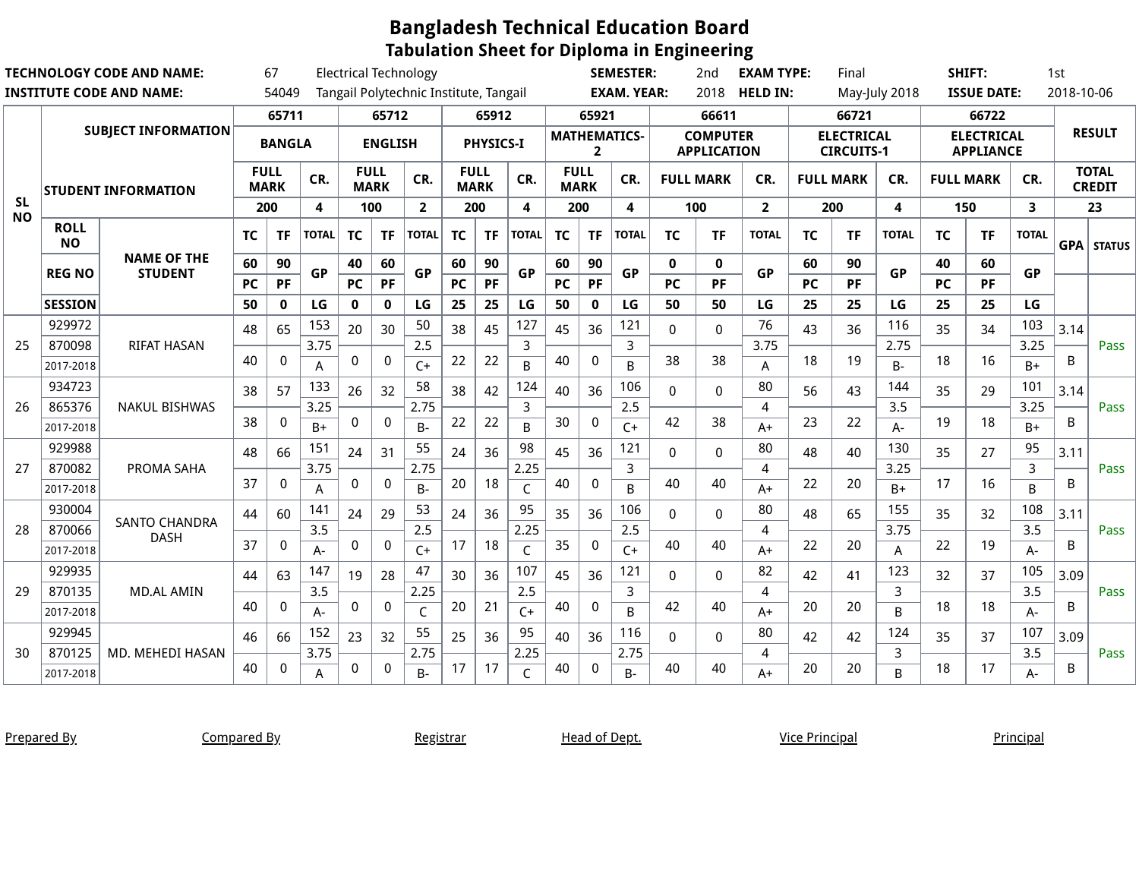|                        |                          |                                      |    |                            |              |              |                |                                        |                            |                  |                         |           |                            |                     |              | <b>Bangladesh Technical Education Board</b><br><b>Tabulation Sheet for Diploma in Engineering</b> |                          |           |                                        |                                |           |                                       |                |            |                               |
|------------------------|--------------------------|--------------------------------------|----|----------------------------|--------------|--------------|----------------|----------------------------------------|----------------------------|------------------|-------------------------|-----------|----------------------------|---------------------|--------------|---------------------------------------------------------------------------------------------------|--------------------------|-----------|----------------------------------------|--------------------------------|-----------|---------------------------------------|----------------|------------|-------------------------------|
|                        |                          | <b>TECHNOLOGY CODE AND NAME:</b>     |    | 67                         |              |              |                | <b>Electrical Technology</b>           |                            |                  |                         |           |                            | <b>SEMESTER:</b>    |              | 2 <sub>nd</sub>                                                                                   | <b>EXAM TYPE:</b>        |           | Final                                  |                                |           | SHIFT:                                |                | 1st        |                               |
|                        |                          | <b>INSTITUTE CODE AND NAME:</b>      |    | 54049                      |              |              |                | Tangail Polytechnic Institute, Tangail |                            |                  |                         |           |                            | <b>EXAM. YEAR:</b>  |              | 2018                                                                                              | <b>HELD IN:</b>          |           |                                        | May-July 2018                  |           | <b>ISSUE DATE:</b>                    |                | 2018-10-06 |                               |
|                        |                          |                                      |    | 65711                      |              |              | 65712          |                                        |                            | 65912            |                         |           | 65921                      |                     |              | 66611                                                                                             |                          |           | 66721                                  |                                |           | 66722                                 |                |            |                               |
|                        |                          | <b>SUBJECT INFORMATION</b>           |    | <b>BANGLA</b>              |              |              | <b>ENGLISH</b> |                                        |                            | <b>PHYSICS-I</b> |                         |           | $\overline{2}$             | <b>MATHEMATICS-</b> |              | <b>COMPUTER</b><br><b>APPLICATION</b>                                                             |                          |           | <b>ELECTRICAL</b><br><b>CIRCUITS-1</b> |                                |           | <b>ELECTRICAL</b><br><b>APPLIANCE</b> |                |            | <b>RESULT</b>                 |
|                        |                          | <b>STUDENT INFORMATION</b>           |    | <b>FULL</b><br><b>MARK</b> | CR.          | <b>FULL</b>  | <b>MARK</b>    | CR.                                    | <b>FULL</b><br><b>MARK</b> |                  | CR.                     |           | <b>FULL</b><br><b>MARK</b> | CR.                 |              | <b>FULL MARK</b>                                                                                  | CR.                      |           | <b>FULL MARK</b>                       | CR.                            |           | <b>FULL MARK</b>                      | CR.            |            | <b>TOTAL</b><br><b>CREDIT</b> |
| <b>SL</b><br><b>NO</b> |                          |                                      |    | 200                        | 4            |              | 100            | 2 <sup>1</sup>                         | 200                        |                  | $\overline{\mathbf{4}}$ |           | 200                        | 4                   |              | 100                                                                                               | $\overline{2}$           |           | 200                                    | 4                              |           | 150                                   | 3              |            | 23                            |
|                        | <b>ROLL</b><br><b>NO</b> |                                      | ТC | <b>TF</b>                  | <b>TOTAL</b> | <b>TC</b>    | <b>TF</b>      | <b>TOTAL</b>                           | TC                         | <b>TF</b>        | <b>TOTAL</b>            | <b>TC</b> | <b>TF</b>                  | <b>TOTAL</b>        | <b>TC</b>    | <b>TF</b>                                                                                         | <b>TOTAL</b>             | <b>TC</b> | <b>TF</b>                              | <b>TOTAL</b>                   | <b>TC</b> | <b>TF</b>                             | <b>TOTAL</b>   |            | <b>GPA</b> STATUS             |
|                        | <b>REG NO</b>            | <b>NAME OF THE</b><br><b>STUDENT</b> | 60 | 90                         | <b>GP</b>    | 40           | 60             | <b>GP</b>                              | 60                         | 90               | <b>GP</b>               | 60        | 90                         | <b>GP</b>           | $\mathbf{0}$ | $\mathbf{0}$                                                                                      | <b>GP</b>                | 60        | 90                                     | <b>GP</b>                      | 40        | 60                                    | <b>GP</b>      |            |                               |
|                        |                          |                                      | PC | PF                         |              | <b>PC</b>    | PF             |                                        | <b>PC</b>                  | PF               |                         | PC        | PF                         |                     | <b>PC</b>    | <b>PF</b>                                                                                         |                          | <b>PC</b> | PF                                     |                                | <b>PC</b> | PF                                    |                |            |                               |
|                        | <b>SESSION</b>           |                                      | 50 | $\mathbf 0$                | LG           | $\mathbf 0$  | $\mathbf 0$    | LG                                     | 25                         | 25               | LG                      | 50        | $\mathbf 0$                | LG                  | 50           | 50                                                                                                | LG                       | 25        | 25                                     | LG                             | 25        | 25                                    | LG             |            |                               |
|                        | 929972                   |                                      | 48 | 65                         | 153          | 20           | 30             | 50                                     | 38                         | 45               | 127                     | 45        | 36                         | 121                 | $\Omega$     | $\Omega$                                                                                          | 76                       | 43        | 36                                     | 116                            | 35        | 34                                    | 103            | 3.14       |                               |
| 25                     | 870098                   | <b>RIFAT HASAN</b>                   |    | $\mathbf{0}$               | 3.75         |              | $\mathbf{0}$   | 2.5                                    |                            | 22               | 3                       |           | $\mathbf{0}$               | 3                   |              |                                                                                                   | 3.75                     | 18        | 19                                     | 2.75                           | 18        |                                       | 3.25           |            | Pass                          |
|                        | 2017-2018                |                                      | 40 |                            | A            | 0            |                | $C+$                                   | 22                         |                  | $\overline{B}$          | 40        |                            | B                   | 38           | 38                                                                                                | A                        |           |                                        | $B -$                          |           | 16                                    | $B+$           | B          |                               |
|                        | 934723                   |                                      | 38 | 57                         | 133          | 26           | 32             | 58                                     | 38                         | 42               | 124                     | 40        | 36                         | 106                 | $\Omega$     | $\mathbf{0}$                                                                                      | 80                       | 56        | 43                                     | 144                            | 35        | 29                                    | 101            | 3.14       |                               |
| 26                     | 865376                   | NAKUL BISHWAS                        | 38 | $\mathbf{0}$               | 3.25<br>$B+$ | 0            | $\mathbf 0$    | 2.75<br>$B -$                          | 22                         | 22               | $\mathsf{3}$<br>B       | 30        | $\mathbf 0$                | 2.5<br>$C+$         | 42           | 38                                                                                                | 4<br>$A+$                | 23        | 22                                     | 3.5                            | 19        | 18                                    | 3.25<br>$B+$   | B          | Pass                          |
|                        | 2017-2018<br>929988      |                                      |    |                            | 151          |              |                | 55                                     |                            |                  | 98                      |           |                            | 121                 |              |                                                                                                   | 80                       |           |                                        | A-<br>130                      |           |                                       | 95             |            |                               |
| 27                     | 870082                   | PROMA SAHA                           | 48 | 66                         | 3.75         | 24           | 31             | 2.75                                   | 24                         | 36               | 2.25                    | 45        | 36                         | 3                   | $\Omega$     | $\mathbf{0}$                                                                                      | 4                        | 48        | 40                                     | 3.25                           | 35        | 27                                    | $\overline{3}$ | 3.11       | Pass                          |
|                        | 2017-2018                |                                      | 37 | $\mathbf{0}$               | A            | $\mathbf{0}$ | $\mathbf{0}$   | <b>B-</b>                              | 20                         | 18               | $\mathsf{C}$            | 40        | $\mathbf{0}$               | B                   | 40           | 40                                                                                                | $A+$                     | 22        | 20                                     | $B+$                           | 17        | 16                                    | B              | B          |                               |
|                        | 930004                   |                                      | 44 | 60                         | 141          | 24           | 29             | 53                                     | 24                         | 36               | 95                      | 35        | 36                         | 106                 | $\Omega$     | $\mathbf{0}$                                                                                      | 80                       | 48        | 65                                     | 155                            | 35        | 32                                    | 108            | 3.11       |                               |
| 28                     | 870066                   | <b>SANTO CHANDRA</b><br>DASH         |    |                            | 3.5          |              |                | 2.5                                    |                            |                  | 2.25                    |           |                            | 2.5                 |              |                                                                                                   | $\overline{4}$           |           |                                        | 3.75                           |           |                                       | 3.5            |            | Pass                          |
|                        | 2017-2018                |                                      | 37 | $\mathbf{0}$               | A-           | 0            | $\mathbf 0$    | $C+$                                   | 17                         | 18               | $\mathsf{C}$            | 35        | $\mathbf 0$                | $\overline{C+}$     | 40           | 40                                                                                                | $A+$                     | 22        | 20                                     | A                              | 22        | 19                                    | A-             | B          |                               |
|                        | 929935                   |                                      | 44 | 63                         | 147          | 19           | 28             | 47                                     | 30                         | 36               | 107                     | 45        | 36                         | 121                 | $\Omega$     | $\mathbf{0}$                                                                                      | 82                       | 42        | 41                                     | 123                            | 32        | 37                                    | 105            | 3.09       |                               |
| 29                     | 870135                   | <b>MD.AL AMIN</b>                    |    |                            | 3.5          |              |                | 2.25                                   |                            |                  | 2.5                     |           |                            | 3                   |              |                                                                                                   | $\overline{\mathcal{A}}$ |           |                                        | $\overline{3}$                 |           |                                       | 3.5            |            | Pass                          |
|                        | 2017-2018                |                                      | 40 | $\Omega$                   | $A -$        | $\Omega$     | $\mathbf{0}$   | $\mathsf{C}$                           | 20                         | 21               | $C+$                    | 40        | $\mathbf{0}$               | B                   | 42           | 40                                                                                                | $A+$                     | 20        | 20                                     | B                              | 18        | 18                                    | А-             | B          |                               |
|                        | 929945                   |                                      | 46 | 66                         | 152          | 23           | 32             | 55                                     | 25                         | 36               | 95                      | 40        | 36                         | 116                 | $\Omega$     | $\mathbf{0}$                                                                                      | 80                       | 42        | 42                                     | 124                            | 35        | 37                                    | 107            | 3.09       |                               |
| 30                     | 870125<br>2017-2018      | MD. MEHEDI HASAN                     | 40 | $\mathbf 0$                | 3.75<br>A    | $\Omega$     | $\mathbf 0$    | 2.75<br>B-                             | 17                         | 17               | 2.25<br>$\mathsf{C}$    | 40        | $\mathbf 0$                | 2.75<br>$B -$       | 40           | 40                                                                                                | $\overline{4}$<br>$A+$   | 20        | 20                                     | $\overline{3}$<br><sub>R</sub> | 18        | 17                                    | 3.5<br>A-      | B          | Pass                          |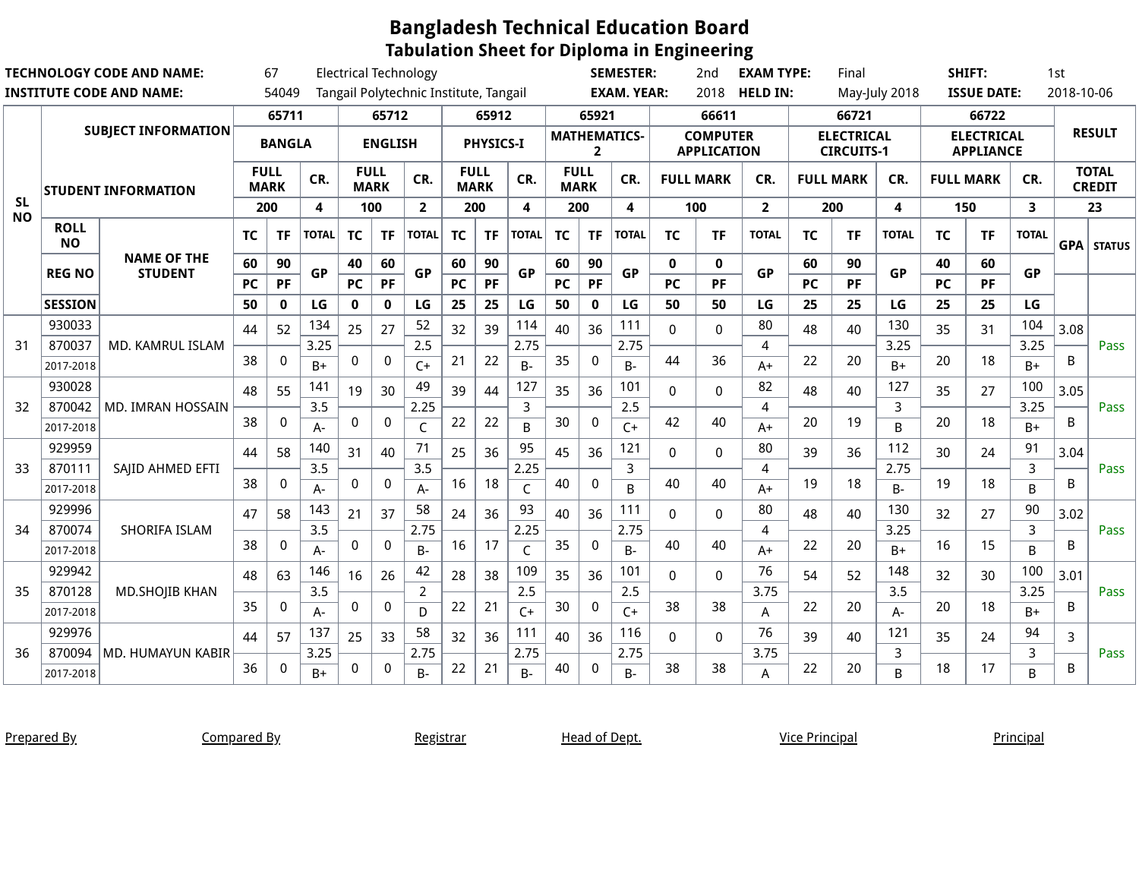|                        |                          |                                                              |    |                            |              |              |                            |                                                                        |             |             |                                |           |                            |                                        |           | <b>Bangladesh Technical Education Board</b><br><b>Tabulation Sheet for Diploma in Engineering</b> |                                      |           |                                        |               |           |                                       |              |                   |                               |
|------------------------|--------------------------|--------------------------------------------------------------|----|----------------------------|--------------|--------------|----------------------------|------------------------------------------------------------------------|-------------|-------------|--------------------------------|-----------|----------------------------|----------------------------------------|-----------|---------------------------------------------------------------------------------------------------|--------------------------------------|-----------|----------------------------------------|---------------|-----------|---------------------------------------|--------------|-------------------|-------------------------------|
|                        |                          | TECHNOLOGY CODE AND NAME:<br><b>INSTITUTE CODE AND NAME:</b> |    | 67<br>54049                |              |              |                            | <b>Electrical Technology</b><br>Tangail Polytechnic Institute, Tangail |             |             |                                |           |                            | <b>SEMESTER:</b><br><b>EXAM. YEAR:</b> |           | 2nd<br>2018                                                                                       | <b>EXAM TYPE:</b><br><b>HELD IN:</b> |           | Final                                  | May-July 2018 |           | SHIFT:<br><b>ISSUE DATE:</b>          |              | 1st<br>2018-10-06 |                               |
|                        |                          | <b>SUBJECT INFORMATION</b>                                   |    | 65711                      |              |              | 65712                      |                                                                        |             | 65912       |                                |           | 65921                      |                                        |           | 66611                                                                                             |                                      |           | 66721                                  |               |           | 66722                                 |              |                   |                               |
|                        |                          |                                                              |    | <b>BANGLA</b>              |              |              | <b>ENGLISH</b>             |                                                                        |             | PHYSICS-I   |                                |           | 2                          | <b>MATHEMATICS-</b>                    |           | <b>COMPUTER</b><br><b>APPLICATION</b>                                                             |                                      |           | <b>ELECTRICAL</b><br><b>CIRCUITS-1</b> |               |           | <b>ELECTRICAL</b><br><b>APPLIANCE</b> |              |                   | <b>RESULT</b>                 |
|                        |                          | <b>STUDENT INFORMATION</b>                                   |    | <b>FULL</b><br><b>MARK</b> | CR.          |              | <b>FULL</b><br><b>MARK</b> | CR.                                                                    | <b>FULL</b> | <b>MARK</b> | CR.                            |           | <b>FULL</b><br><b>MARK</b> | CR.                                    |           | <b>FULL MARK</b>                                                                                  | CR.                                  |           | <b>FULL MARK</b>                       | CR.           |           | <b>FULL MARK</b>                      | CR.          |                   | <b>TOTAL</b><br><b>CREDIT</b> |
| <b>SL</b><br><b>NO</b> |                          |                                                              |    | 200                        | 4            |              | 100                        | $2^{\circ}$                                                            |             | 200         | $\overline{\mathbf{4}}$        |           | 200                        | 4                                      |           | 100                                                                                               | $\overline{2}$                       |           | 200                                    | 4             |           | 150                                   | 3            |                   | 23                            |
|                        | <b>ROLL</b><br><b>NO</b> |                                                              | ТC | <b>TF</b>                  | <b>TOTAL</b> | <b>TC</b>    | <b>TF</b>                  | <b>TOTAL</b>                                                           | <b>TC</b>   | <b>TF</b>   | <b>TOTAL</b>                   | <b>TC</b> | <b>TF</b>                  | <b>TOTAL</b>                           | <b>TC</b> | <b>TF</b>                                                                                         | <b>TOTAL</b>                         | <b>TC</b> | <b>TF</b>                              | <b>TOTAL</b>  | <b>TC</b> | <b>TF</b>                             | <b>TOTAL</b> |                   | <b>GPA</b> STATUS             |
|                        | <b>REG NO</b>            | <b>NAME OF THE</b><br><b>STUDENT</b>                         | 60 | 90                         | <b>GP</b>    | 40           | 60                         | <b>GP</b>                                                              | 60          | 90          | <b>GP</b>                      | 60        | 90                         | <b>GP</b>                              | 0         | $\mathbf 0$                                                                                       | <b>GP</b>                            | 60        | 90                                     | <b>GP</b>     | 40        | 60                                    | <b>GP</b>    |                   |                               |
|                        |                          |                                                              | PC | PF                         |              | PC           | PF                         |                                                                        | <b>PC</b>   | PF          |                                | PC        | PF                         |                                        | <b>PC</b> | <b>PF</b>                                                                                         |                                      | <b>PC</b> | PF                                     |               | <b>PC</b> | PF                                    |              |                   |                               |
|                        | <b>SESSION</b>           |                                                              | 50 | $\mathbf 0$                | LG           | $\mathbf 0$  | $\mathbf 0$                | LG                                                                     | 25          | 25          | LG                             | 50        | $\mathbf 0$                | LG                                     | 50        | 50                                                                                                | LG                                   | 25        | 25                                     | LG            | 25        | 25                                    | LG           |                   |                               |
|                        | 930033                   |                                                              | 44 | 52                         | 134          | 25           | 27                         | 52                                                                     | 32          | 39          | 114                            | 40        | 36                         | 111                                    | $\Omega$  | $\Omega$                                                                                          | 80                                   | 48        | 40                                     | 130           | 35        | 31                                    | 104          | 3.08              |                               |
| 31                     | 870037                   | MD. KAMRUL ISLAM                                             | 38 | $\Omega$                   | 3.25         | 0            | $\mathbf{0}$               | 2.5                                                                    | 21          | 22          | 2.75                           | 35        | $\mathbf{0}$               | 2.75                                   | 44        | 36                                                                                                | 4                                    | 22        | 20                                     | 3.25          | 20        | 18                                    | 3.25         | B                 | Pass                          |
|                        | 2017-2018                |                                                              |    |                            | $B+$         |              |                            | $C+$                                                                   |             |             | $B -$                          |           |                            | $B -$                                  |           |                                                                                                   | $A+$                                 |           |                                        | $B+$          |           |                                       | $B+$         |                   |                               |
|                        | 930028                   |                                                              | 48 | 55                         | 141          | 19           | 30                         | 49                                                                     | 39          | 44          | 127                            | 35        | 36                         | 101                                    | $\Omega$  | $\mathbf{0}$                                                                                      | 82                                   | 48        | 40                                     | 127           | 35        | 27                                    | 100          | 3.05              |                               |
| 32                     | 870042<br>2017-2018      | MD. IMRAN HOSSAIN                                            | 38 | $\Omega$                   | 3.5<br>A-    | $\mathbf{0}$ | $\mathbf{0}$               | 2.25<br>$\mathsf{C}$                                                   | 22          | 22          | $\mathsf{3}$<br>$\overline{B}$ | 30        | $\mathbf 0$                | 2.5<br>$C+$                            | 42        | 40                                                                                                | $\overline{\mathcal{L}}$<br>$A+$     | 20        | 19                                     | 3<br>B        | 20        | 18                                    | 3.25<br>$B+$ | B                 | Pass                          |
|                        | 929959                   |                                                              | 44 | 58                         | 140          | 31           | 40                         | 71                                                                     | 25          | 36          | 95                             | 45        | 36                         | 121                                    | 0         | $\mathbf{0}$                                                                                      | 80                                   | 39        | 36                                     | 112           | 30        | 24                                    | 91           | 3.04              |                               |
| 33                     | 870111                   | SAJID AHMED EFTI                                             |    |                            | 3.5          |              |                            | 3.5                                                                    |             |             | 2.25                           |           |                            | 3                                      |           |                                                                                                   | $\overline{4}$                       |           |                                        | 2.75          |           |                                       | 3            |                   | Pass                          |
|                        | 2017-2018                |                                                              | 38 | 0                          | А-           | $\Omega$     | $\mathbf 0$                | А-                                                                     | 16          | 18          | $\mathsf{C}$                   | 40        | $\mathbf 0$                | B                                      | 40        | 40                                                                                                | $A+$                                 | 19        | 18                                     | $B -$         | 19        | 18                                    | B            | B                 |                               |
|                        | 929996                   |                                                              | 47 | 58                         | 143          | 21           | 37                         | 58                                                                     | 24          | 36          | 93                             | 40        | 36                         | 111                                    | $\Omega$  | $\Omega$                                                                                          | 80                                   | 48        | 40                                     | 130           | 32        | 27                                    | 90           | 3.02              |                               |
| 34                     | 870074                   | SHORIFA ISLAM                                                |    |                            | 3.5          |              |                            | 2.75                                                                   |             |             | 2.25                           |           |                            | 2.75                                   |           |                                                                                                   | 4                                    |           |                                        | 3.25          |           |                                       | 3            |                   | Pass                          |
|                        | 2017-2018                |                                                              | 38 | $\mathbf{0}$               | A-           | $\mathbf{0}$ | $\mathbf{0}$               | $B -$                                                                  | 16          | 17          | $\mathsf{C}$                   | 35        | $\mathbf 0$                | $B -$                                  | 40        | 40                                                                                                | $A+$                                 | 22        | 20                                     | $B+$          | 16        | 15                                    | B            | B                 |                               |
|                        | 929942                   |                                                              | 48 | 63                         | 146<br>3.5   | 16           | 26                         | 42                                                                     | 28          | 38          | 109                            | 35        | 36                         | 101                                    | $\Omega$  | $\mathbf{0}$                                                                                      | 76<br>3.75                           | 54        | 52                                     | 148<br>3.5    | 32        | 30                                    | 100          | 3.01              |                               |
| 35                     | 870128<br>2017-2018      | MD.SHOJIB KHAN                                               | 35 | $\mathbf 0$                | $A -$        | 0            | $\mathbf 0$                | $\overline{2}$<br>D.                                                   | 22          | 21          | 2.5<br>$C+$                    | 30        | $\mathbf 0$                | 2.5<br>$C+$                            | 38        | 38                                                                                                | A                                    | 22        | 20                                     | А-            | 20        | 18                                    | 3.25<br>$B+$ | B                 | Pass                          |
|                        | 929976                   |                                                              |    | 57                         | 137          | 25           | 33                         | 58                                                                     | 32          | 36          | 111                            | 40        | 36                         | 116                                    | $\Omega$  |                                                                                                   | 76                                   | 39        | 40                                     | 121           |           |                                       | 94           |                   |                               |
| 36                     | 870094                   | MD. HUMAYUN KABIR                                            | 44 |                            | 3.25         |              |                            | 2.75                                                                   |             |             | 2.75                           |           |                            | 2.75                                   |           | $\Omega$                                                                                          | 3.75                                 |           |                                        | 3             | 35        | 24                                    | 3            | 3                 | Pass                          |
|                        | 2017-2018                |                                                              | 36 | $\mathbf 0$                | $B+$         | $\Omega$     | $\mathbf 0$                | B-                                                                     | 22          | 21          | $B -$                          | 40        | $\mathbf 0$                | $B -$                                  | 38        | 38                                                                                                | A                                    | 22        | 20                                     | <sub>R</sub>  | 18        | 17                                    | B.           | B                 |                               |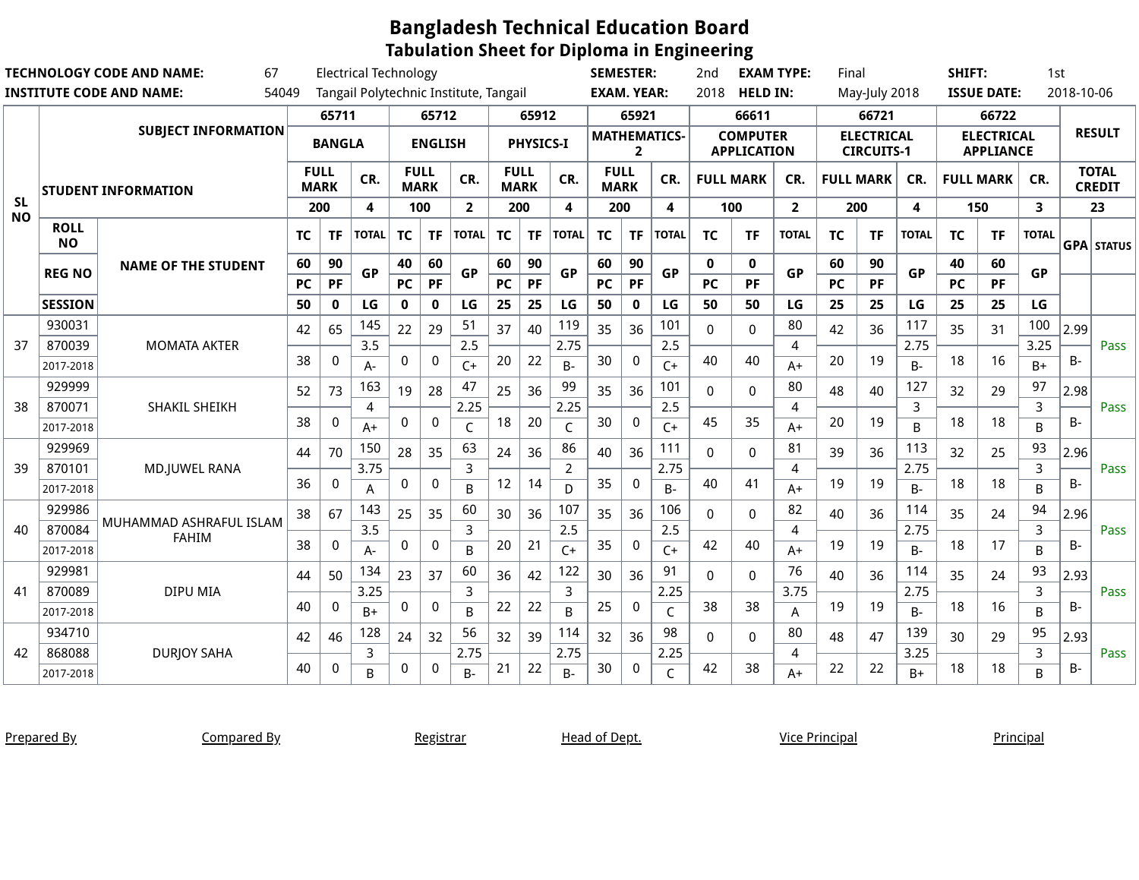|                        |                          |                                          |           |                            |                              |              |                            |                                        |             |             |                |           |                            | Tabulation Sheet for Diploma in Engineering |           |                                       |                   |                  |                                        |                |           |                                       |                         |            |                               |
|------------------------|--------------------------|------------------------------------------|-----------|----------------------------|------------------------------|--------------|----------------------------|----------------------------------------|-------------|-------------|----------------|-----------|----------------------------|---------------------------------------------|-----------|---------------------------------------|-------------------|------------------|----------------------------------------|----------------|-----------|---------------------------------------|-------------------------|------------|-------------------------------|
|                        |                          | 67<br>TECHNOLOGY CODE AND NAME:          |           |                            | <b>Electrical Technology</b> |              |                            |                                        |             |             |                |           | <b>SEMESTER:</b>           |                                             | 2nd       |                                       | <b>EXAM TYPE:</b> | Final            |                                        |                | SHIFT:    |                                       | 1st                     |            |                               |
|                        |                          | 54049<br><b>INSTITUTE CODE AND NAME:</b> |           |                            |                              |              |                            | Tangail Polytechnic Institute, Tangail |             |             |                |           | <b>EXAM. YEAR:</b>         |                                             | 2018      | <b>HELD IN:</b>                       |                   |                  | May-July 2018                          |                |           | <b>ISSUE DATE:</b>                    |                         | 2018-10-06 |                               |
|                        |                          |                                          |           | 65711                      |                              |              | 65712                      |                                        |             | 65912       |                |           | 65921                      |                                             |           | 66611                                 |                   |                  | 66721                                  |                |           | 66722                                 |                         |            |                               |
|                        |                          | <b>SUBJECT INFORMATION</b>               |           | <b>BANGLA</b>              |                              |              | <b>ENGLISH</b>             |                                        |             | PHYSICS-I   |                |           | $\overline{2}$             | <b>MATHEMATICS-</b>                         |           | <b>COMPUTER</b><br><b>APPLICATION</b> |                   |                  | <b>ELECTRICAL</b><br><b>CIRCUITS-1</b> |                |           | <b>ELECTRICAL</b><br><b>APPLIANCE</b> |                         |            | <b>RESULT</b>                 |
|                        |                          | <b>STUDENT INFORMATION</b>               |           | <b>FULL</b><br><b>MARK</b> | CR.                          |              | <b>FULL</b><br><b>MARK</b> | CR.                                    | <b>FULL</b> | <b>MARK</b> | CR.            |           | <b>FULL</b><br><b>MARK</b> | CR.                                         |           | <b>FULL MARK</b>                      | CR.               | <b>FULL MARK</b> |                                        | CR.            |           | <b>FULL MARK</b>                      | CR.                     |            | <b>TOTAL</b><br><b>CREDIT</b> |
| <b>SL</b><br><b>NO</b> |                          |                                          |           | 200                        | 4                            |              | 100                        | $\mathbf{2}$                           |             | 200         | 4              |           | 200                        | 4                                           |           | 100                                   | $\overline{2}$    |                  | 200                                    | 4              |           | 150                                   | $\overline{\mathbf{3}}$ |            | 23                            |
|                        | <b>ROLL</b><br><b>NO</b> |                                          | <b>TC</b> | TF.                        | <b>TOTAL</b>                 | <b>TC</b>    | <b>TF</b>                  | <b>TOTAL</b>                           | <b>TC</b>   | <b>TF</b>   | <b>TOTAL</b>   | <b>TC</b> | <b>TF</b>                  | <b>TOTAL</b>                                | <b>TC</b> | <b>TF</b>                             | <b>TOTAL</b>      | <b>TC</b>        | <b>TF</b>                              | <b>TOTAL</b>   | <b>TC</b> | <b>TF</b>                             | <b>TOTAL</b>            |            | <b>GPA STATUS</b>             |
|                        | <b>REG NO</b>            | <b>NAME OF THE STUDENT</b>               | 60        | 90                         | <b>GP</b>                    | 40           | 60                         | <b>GP</b>                              | 60          | 90          | <b>GP</b>      | 60        | 90                         | <b>GP</b>                                   | 0         | $\mathbf 0$                           | <b>GP</b>         | 60               | 90                                     | <b>GP</b>      | 40        | 60                                    | GP                      |            |                               |
|                        |                          |                                          | PC        | PF                         |                              | <b>PC</b>    | PF                         |                                        | PC          | PF          |                | PC        | <b>PF</b>                  |                                             | <b>PC</b> | PF                                    |                   | <b>PC</b>        | PF                                     |                | <b>PC</b> | PF                                    |                         |            |                               |
|                        | <b>SESSION</b>           |                                          | 50        | $\mathbf 0$                | LG                           | 0            | 0                          | LG                                     | 25          | 25          | LG             | 50        | $\mathbf 0$                | LG                                          | 50        | 50                                    | LG                | 25               | 25                                     | LG             | 25        | 25                                    | LG                      |            |                               |
|                        | 930031                   |                                          | 42        | 65                         | 145                          | 22           | 29                         | 51                                     | 37          | 40          | 119            | 35        | 36                         | 101                                         | $\Omega$  | $\Omega$                              | 80                | 42               | 36                                     | 117            | 35        | 31                                    | 100                     | 2.99       |                               |
| 37                     | 870039                   | <b>MOMATA AKTER</b>                      |           |                            | 3.5                          |              |                            | 2.5                                    |             |             | 2.75           |           |                            | 2.5                                         |           |                                       | $\overline{4}$    |                  |                                        | 2.75           |           |                                       | 3.25                    |            | Pass                          |
|                        | 2017-2018                |                                          | 38        | 0                          | $A -$                        | $\mathbf{0}$ | $\mathbf{0}$               | $C+$                                   | 20          | 22          | $B -$          | 30        | $\mathbf 0$                | $C+$                                        | 40        | 40                                    | $A+$              | 20               | 19                                     | <b>B-</b>      | 18        | 16                                    | $B+$                    | B-         |                               |
|                        | 929999                   |                                          | 52        | 73                         | 163                          | 19           | 28                         | 47                                     | 25          | 36          | 99             | 35        | 36                         | 101                                         | 0         | $\Omega$                              | 80                | 48               | 40                                     | 127            | 32        | 29                                    | 97                      | 2.98       |                               |
| 38                     | 870071                   | SHAKIL SHEIKH                            |           |                            | $\overline{\mathcal{A}}$     |              |                            | 2.25                                   |             |             | 2.25           |           |                            | 2.5                                         |           |                                       | $\overline{4}$    |                  |                                        | $\overline{3}$ |           |                                       | $\mathbf{3}$            |            | Pass                          |
|                        | 2017-2018                |                                          | 38        | $\mathbf{0}$               | $A+$                         | $\Omega$     | $\mathbf{0}$               | $\mathsf{C}$                           | 18          | 20          | C              | 30        | $\mathbf{0}$               | $C+$                                        | 45        | 35                                    | $A+$              | 20               | 19                                     | B              | 18        | 18                                    | B                       | <b>B-</b>  |                               |
|                        | 929969                   |                                          | 44        | 70                         | 150                          | 28           | 35                         | 63                                     | 24          | 36          | 86             | 40        | 36                         | 111                                         | $\Omega$  | $\Omega$                              | 81                | 39               | 36                                     | 113            | 32        | 25                                    | 93                      | 2.96       |                               |
| 39                     | 870101                   | MD.JUWEL RANA                            | 36        | $\mathbf{0}$               | 3.75                         | $\Omega$     | $\Omega$                   | 3                                      | 12          | 14          | $\overline{2}$ | 35        | $\mathbf{0}$               | 2.75                                        | 40        | 41                                    | $\overline{4}$    | 19               | 19                                     | 2.75           | 18        | 18                                    | $\mathbf{3}$            | B-         | Pass                          |
|                        | 2017-2018                |                                          |           |                            | A                            |              |                            | B                                      |             |             | D              |           |                            | $\overline{B}$                              |           |                                       | $A+$              |                  |                                        | $B -$          |           |                                       | $\overline{B}$          |            |                               |
|                        | 929986                   | MUHAMMAD ASHRAFUL ISLAM                  | 38        | 67                         | 143                          | 25           | 35                         | 60                                     | 30          | 36          | 107            | 35        | 36                         | 106                                         | 0         | $\Omega$                              | 82                | 40               | 36                                     | 114            | 35        | 24                                    | 94                      | 2.96       |                               |
| 40                     | 870084                   | <b>FAHIM</b>                             | 38        | $\mathbf{0}$               | 3.5                          | 0            | $\Omega$                   | 3                                      | 20          | 21          | 2.5            | 35        | $\mathbf{0}$               | 2.5                                         | 42        | 40                                    | $\overline{4}$    | 19               | 19                                     | 2.75           | 18        | 17                                    | $\overline{3}$          | B-         | Pass                          |
|                        | 2017-2018                |                                          |           |                            | $A -$                        |              |                            | B                                      |             |             | $C+$           |           |                            | $C+$                                        |           |                                       | $A+$              |                  |                                        | $B -$          |           |                                       | B                       |            |                               |
|                        | 929981                   |                                          | 44        | 50                         | 134                          | 23           | 37                         | 60                                     | 36          | 42          | 122            | 30        | 36                         | 91                                          | $\Omega$  | $\Omega$                              | 76                | 40               | 36                                     | 114            | 35        | 24                                    | 93                      | 2.93       |                               |
| 41                     | 870089                   | DIPU MIA                                 | 40        | 0                          | 3.25                         | 0            | 0                          | 3                                      | 22          | 22          | $\mathsf{3}$   | 25        | $\mathbf 0$                | 2.25                                        | 38        | 38                                    | 3.75              | 19               | 19                                     | 2.75           | 18        | 16                                    | $\mathbf{3}$            | B-         | Pass                          |
|                        | 2017-2018                |                                          |           |                            | $B+$                         |              |                            | B                                      |             |             | B              |           |                            | $\mathsf{C}$                                |           |                                       | A                 |                  |                                        | $B -$          |           |                                       | $\overline{B}$          |            |                               |
|                        | 934710                   |                                          | 42        | 46                         | 128                          | 24           | 32                         | 56                                     | 32          | 39          | 114            | 32        | 36                         | 98                                          | $\Omega$  | $\Omega$                              | 80                | 48               | 47                                     | 139            | 30        | 29                                    | 95                      | 2.93       |                               |
| 42                     | 868088                   | <b>DURJOY SAHA</b>                       | 40        | 0                          | 3                            | $\mathbf{0}$ | 0                          | 2.75                                   | 21          | 22          | 2.75           | 30        | $\mathbf 0$                | 2.25                                        | 42        | 38                                    | $\overline{4}$    | 22               | 22                                     | 3.25           | 18        | 18                                    | 3                       | B-         | Pass                          |
|                        | 2017-2018                |                                          |           |                            | B                            |              |                            | $B -$                                  |             |             | $B -$          |           |                            | $\mathsf{C}$                                |           |                                       | $A+$              |                  |                                        | $B+$           |           |                                       | B                       |            |                               |

**Bangladesh Technical Education Board**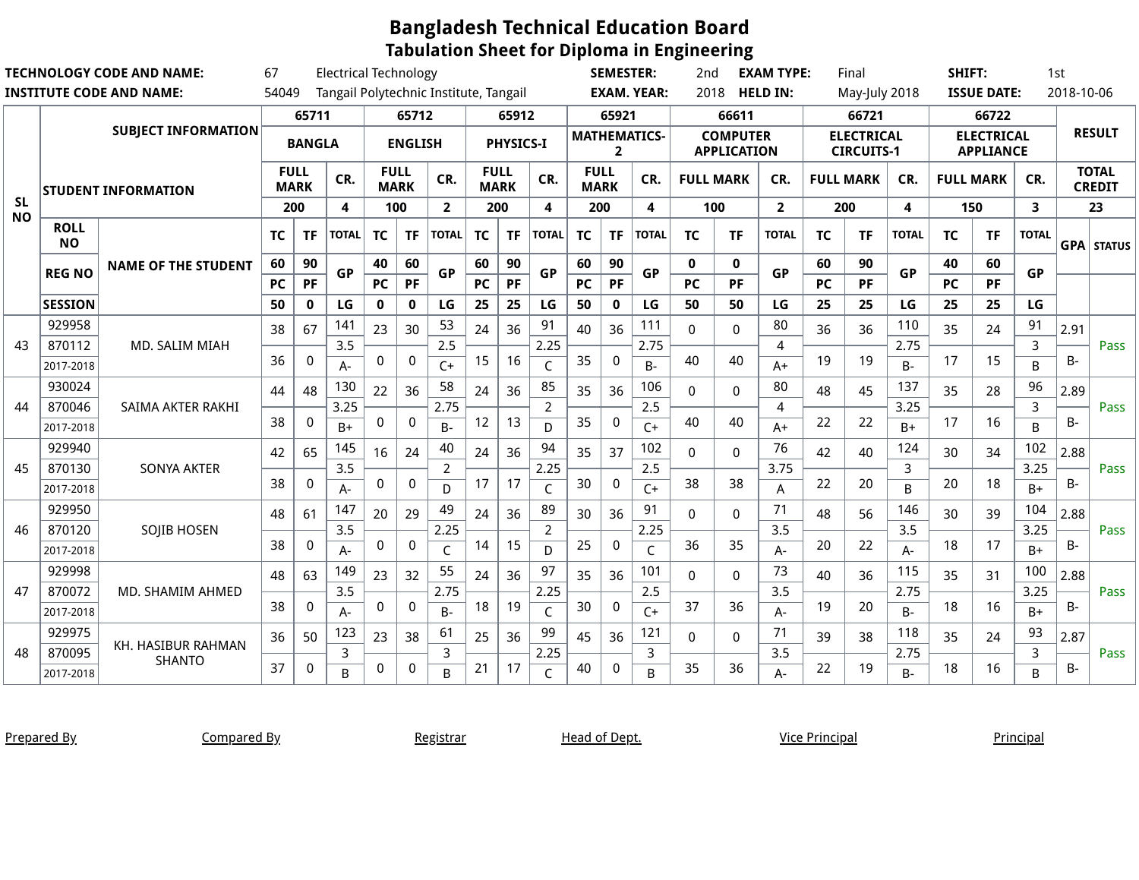|                        |                          |                                     |           |                            |                                        |             |                            |                         |             |                  |                                 |           |                            |                        | <b>Bangladesh Technical Education Board</b><br><b>Tabulation Sheet for Diploma in Engineering</b> |                                       |                   |           |                                        |              |           |                                       |                         |            |                               |
|------------------------|--------------------------|-------------------------------------|-----------|----------------------------|----------------------------------------|-------------|----------------------------|-------------------------|-------------|------------------|---------------------------------|-----------|----------------------------|------------------------|---------------------------------------------------------------------------------------------------|---------------------------------------|-------------------|-----------|----------------------------------------|--------------|-----------|---------------------------------------|-------------------------|------------|-------------------------------|
|                        |                          | <b>TECHNOLOGY CODE AND NAME:</b>    | 67        |                            | <b>Electrical Technology</b>           |             |                            |                         |             |                  |                                 |           | <b>SEMESTER:</b>           |                        | 2nd                                                                                               |                                       | <b>EXAM TYPE:</b> |           | Final                                  |              | SHIFT:    |                                       |                         | 1st        |                               |
|                        |                          | <b>INSTITUTE CODE AND NAME:</b>     | 54049     |                            | Tangail Polytechnic Institute, Tangail |             |                            |                         |             |                  |                                 |           |                            | <b>EXAM. YEAR:</b>     | 2018                                                                                              |                                       | <b>HELD IN:</b>   |           | May-July 2018                          |              |           | <b>ISSUE DATE:</b>                    |                         | 2018-10-06 |                               |
|                        |                          |                                     |           | 65711                      |                                        |             | 65712                      |                         |             | 65912            |                                 |           | 65921                      |                        |                                                                                                   | 66611                                 |                   |           | 66721                                  |              |           | 66722                                 |                         |            |                               |
|                        |                          | <b>SUBJECT INFORMATION</b>          |           | <b>BANGLA</b>              |                                        |             | <b>ENGLISH</b>             |                         |             | <b>PHYSICS-I</b> |                                 |           | $\overline{2}$             | <b>MATHEMATICS-</b>    |                                                                                                   | <b>COMPUTER</b><br><b>APPLICATION</b> |                   |           | <b>ELECTRICAL</b><br><b>CIRCUITS-1</b> |              |           | <b>ELECTRICAL</b><br><b>APPLIANCE</b> |                         |            | <b>RESULT</b>                 |
|                        |                          | <b>STUDENT INFORMATION</b>          |           | <b>FULL</b><br><b>MARK</b> | CR.                                    |             | <b>FULL</b><br><b>MARK</b> | CR.                     | <b>FULL</b> | <b>MARK</b>      | CR.                             |           | <b>FULL</b><br><b>MARK</b> | CR.                    |                                                                                                   | <b>FULL MARK</b>                      | CR.               |           | <b>FULL MARK</b>                       | CR.          |           | <b>FULL MARK</b>                      | CR.                     |            | <b>TOTAL</b><br><b>CREDIT</b> |
| <b>SL</b><br><b>NO</b> |                          |                                     |           | 200                        | $\overline{\mathbf{4}}$                |             | 100                        | $\overline{2}$          |             | 200              | $\overline{\mathbf{4}}$         |           | 200                        | 4                      |                                                                                                   | 100                                   | $\overline{2}$    |           | 200                                    | 4            |           | 150                                   | $\overline{\mathbf{3}}$ |            | 23                            |
|                        | <b>ROLL</b><br><b>NO</b> |                                     | <b>TC</b> | <b>TF</b>                  | <b>TOTAL</b>                           | TC          | <b>TF</b>                  | <b>TOTAL</b>            | TC          | <b>TF</b>        | <b>TOTAL</b>                    | <b>TC</b> | <b>TF</b>                  | <b>TOTAL</b>           | TC                                                                                                | <b>TF</b>                             | <b>TOTAL</b>      | <b>TC</b> | <b>TF</b>                              | <b>TOTAL</b> | TC        | <b>TF</b>                             | <b>TOTAL</b>            |            | <b>GPA STATUS</b>             |
|                        |                          | <b>NAME OF THE STUDENT</b>          | 60        | 90                         | <b>GP</b>                              | 40          | 60                         | <b>GP</b>               | 60          | 90               | <b>GP</b>                       | 60        | 90                         | <b>GP</b>              | $\mathbf{0}$                                                                                      | $\mathbf 0$                           | <b>GP</b>         | 60        | 90                                     | <b>GP</b>    | 40        | 60                                    | <b>GP</b>               |            |                               |
|                        | <b>REG NO</b>            |                                     | PC        | PF                         |                                        | <b>PC</b>   | <b>PF</b>                  |                         | <b>PC</b>   | PF               |                                 | <b>PC</b> | PF                         |                        | <b>PC</b>                                                                                         | <b>PF</b>                             |                   | <b>PC</b> | PF                                     |              | <b>PC</b> | PF                                    |                         |            |                               |
|                        | <b>SESSION</b>           |                                     | 50        | $\pmb{0}$                  | LG                                     | $\mathbf 0$ | 0                          | LG                      | 25          | 25               | LG                              | 50        | $\mathbf{0}$               | LG                     | 50                                                                                                | 50                                    | LG                | 25        | 25                                     | LG           | 25        | 25                                    | LG                      |            |                               |
|                        | 929958                   |                                     | 38        | 67                         | 141                                    | 23          | 30                         | 53                      | 24          | 36               | 91                              | 40        | 36                         | 111                    | $\Omega$                                                                                          | $\Omega$                              | 80                | 36        | 36                                     | 110          | 35        | 24                                    | 91                      | 2.91       |                               |
| 43                     | 870112                   | MD. SALIM MIAH                      |           |                            | 3.5                                    |             |                            | 2.5                     |             |                  | 2.25                            |           |                            | 2.75                   |                                                                                                   |                                       | 4                 |           |                                        | 2.75         |           |                                       | 3                       |            | Pass                          |
|                        | 2017-2018                |                                     | 36        | $\mathbf 0$                | А-                                     | 0           | $\Omega$                   | $C+$                    | 15          | 16               | $\mathsf{C}$                    | 35        | $\mathbf{0}$               | $B -$                  | 40                                                                                                | 40                                    | $A+$              | 19        | 19                                     | <b>B-</b>    | 17        | 15                                    | <sub>B</sub>            | <b>B-</b>  |                               |
|                        | 930024                   |                                     | 44        | 48                         | 130                                    | 22          | 36                         | 58                      | 24          | 36               | 85                              | 35        | 36                         | 106                    | $\Omega$                                                                                          | $\Omega$                              | 80                | 48        | 45                                     | 137          | 35        | 28                                    | 96                      | 2.89       |                               |
| 44                     | 870046                   | SAIMA AKTER RAKHI                   | 38        | $\mathbf 0$                | 3.25                                   | 0           | $\mathbf{0}$               | 2.75                    | 12          | 13               | $\overline{2}$                  | 35        | $\mathbf{0}$               | 2.5                    | 40                                                                                                | 40                                    | 4                 | 22        | 22                                     | 3.25         | 17        | 16                                    | 3                       | <b>B-</b>  | Pass                          |
|                        | 2017-2018                |                                     |           |                            | $B+$                                   |             |                            | $B -$                   |             |                  | D                               |           |                            | $\overline{C+}$        |                                                                                                   |                                       | $A+$              |           |                                        | $B+$         |           |                                       | B                       |            |                               |
|                        | 929940                   |                                     | 42        | 65                         | 145                                    | 16          | 24                         | 40                      | 24          | 36               | 94                              | 35        | 37                         | 102                    | $\Omega$                                                                                          | $\Omega$                              | 76                | 42        | 40                                     | 124          | 30        | 34                                    | 102                     | 2.88       |                               |
| 45                     | 870130<br>2017-2018      | SONYA AKTER                         | 38        | $\mathbf{0}$               | 3.5<br>$A -$                           | 0           | $\mathbf{0}$               | $\overline{2}$<br>D.    | 17          | 17               | 2.25<br>$\overline{\mathsf{C}}$ | 30        | $\mathbf{0}$               | 2.5<br>$\overline{C+}$ | 38                                                                                                | 38                                    | 3.75<br>A         | 22        | 20                                     | 3<br>B       | 20        | 18                                    | 3.25<br>$B+$            | B-         | Pass                          |
|                        | 929950                   |                                     |           |                            | 147                                    |             |                            | 49                      |             |                  | 89                              |           |                            | 91                     |                                                                                                   |                                       | 71                |           |                                        | 146          |           |                                       | 104                     |            |                               |
| 46                     | 870120                   | SOJIB HOSEN                         | 48        | 61                         | 3.5                                    | 20          | 29                         | 2.25                    | 24          | 36               | $\overline{2}$                  | 30        | 36                         | 2.25                   | $\Omega$                                                                                          | $\Omega$                              | 3.5               | 48        | 56                                     | 3.5          | 30        | 39                                    | 3.25                    | 2.88       | Pass                          |
|                        | 2017-2018                |                                     | 38        | $\mathbf 0$                | $A -$                                  | 0           | $\mathbf 0$                | $\overline{\mathsf{C}}$ | 14          | 15               | D                               | 25        | $\mathbf 0$                | $\mathsf{C}$           | 36                                                                                                | 35                                    | A-                | 20        | 22                                     | A-           | 18        | 17                                    | $B+$                    | <b>B-</b>  |                               |
|                        | 929998                   |                                     | 48        | 63                         | 149                                    | 23          | 32                         | 55                      | 24          | 36               | 97                              | 35        | 36                         | 101                    | $\Omega$                                                                                          | $\mathbf{0}$                          | 73                | 40        | 36                                     | 115          | 35        | 31                                    | 100                     | 2.88       |                               |
| 47                     | 870072                   | MD. SHAMIM AHMED                    |           |                            | 3.5                                    |             |                            | 2.75                    |             |                  | 2.25                            |           |                            | 2.5                    |                                                                                                   |                                       | 3.5               |           |                                        | 2.75         |           |                                       | 3.25                    |            | Pass                          |
|                        | 2017-2018                |                                     | 38        | 0                          | A-                                     | 0           | $\mathbf{0}$               | $B -$                   | 18          | 19               | $\mathsf{C}$                    | 30        | $\mathbf{0}$               | $C+$                   | 37                                                                                                | 36                                    | A-                | 19        | 20                                     | <b>B-</b>    | 18        | 16                                    | $B+$                    | <b>B-</b>  |                               |
|                        | 929975                   |                                     | 36        | 50                         | 123                                    | 23          | 38                         | 61                      | 25          | 36               | 99                              | 45        | 36                         | 121                    | $\Omega$                                                                                          | $\Omega$                              | 71                | 39        | 38                                     | 118          | 35        | 24                                    | 93                      | 2.87       |                               |
| 48                     | 870095                   | KH. HASIBUR RAHMAN<br><b>SHANTO</b> |           |                            | 3                                      |             |                            | $\overline{3}$          |             |                  | 2.25                            |           |                            | $\overline{3}$         |                                                                                                   |                                       | 3.5               |           |                                        | 2.75         |           |                                       | $\overline{3}$          |            | Pass                          |
|                        | 2017-2018                |                                     | 37        | $\mathbf 0$                | B                                      | 0           | 0                          | B                       | 21          | 17               | $\mathsf{C}$                    | 40        | $\mathbf{0}$               | B.                     | 35                                                                                                | 36                                    | А-                | 22        | 19                                     | B-           | 18        | 16                                    | B                       | <b>B-</b>  |                               |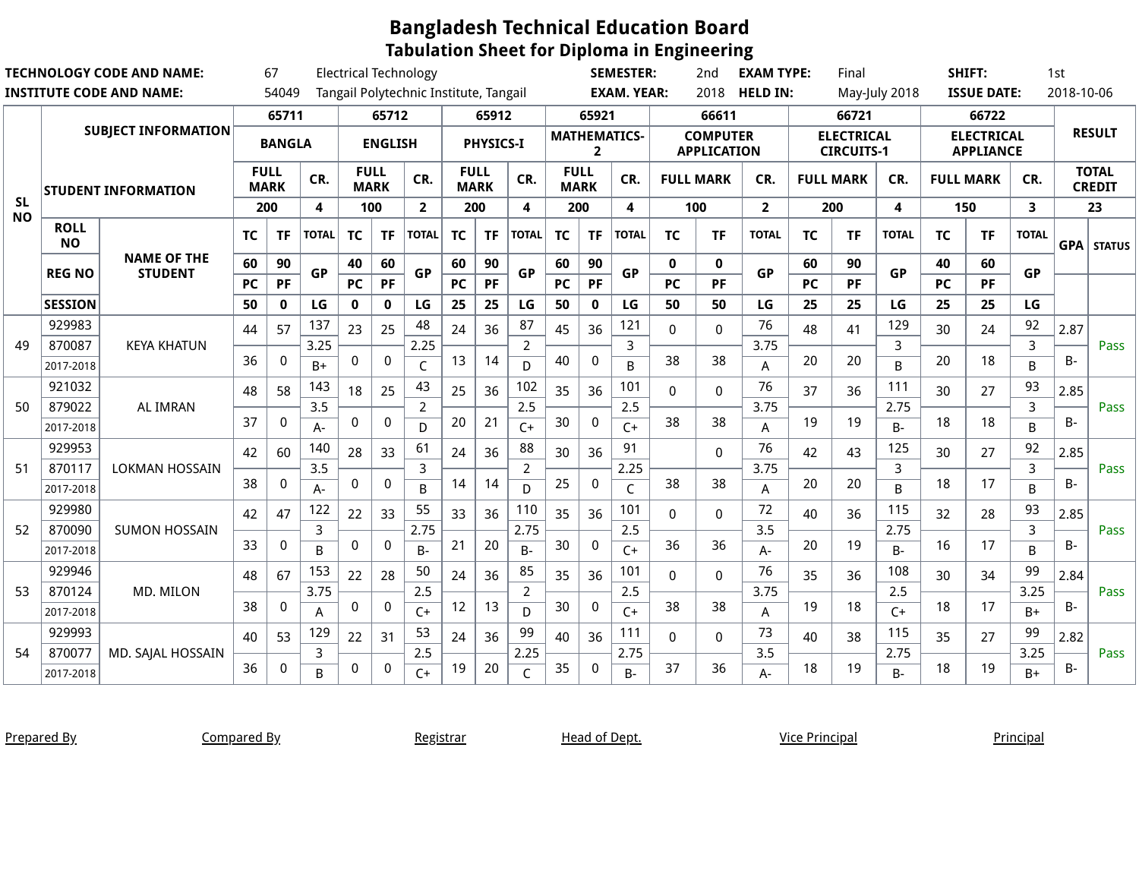|                        |                          |                                      |           |                            |              |             |                            |                                        |             |             |                         |           |                            |                     |           | <b>Bangladesh Technical Education Board</b><br><b>Tabulation Sheet for Diploma in Engineering</b> |                   |           |                                        |                       |           |                                       |                |            |                               |
|------------------------|--------------------------|--------------------------------------|-----------|----------------------------|--------------|-------------|----------------------------|----------------------------------------|-------------|-------------|-------------------------|-----------|----------------------------|---------------------|-----------|---------------------------------------------------------------------------------------------------|-------------------|-----------|----------------------------------------|-----------------------|-----------|---------------------------------------|----------------|------------|-------------------------------|
|                        |                          | <b>TECHNOLOGY CODE AND NAME:</b>     |           | 67                         |              |             |                            | <b>Electrical Technology</b>           |             |             |                         |           |                            | <b>SEMESTER:</b>    |           | 2nd                                                                                               | <b>EXAM TYPE:</b> |           | Final                                  |                       |           | SHIFT:                                |                | 1st        |                               |
|                        |                          | <b>INSTITUTE CODE AND NAME:</b>      |           | 54049                      |              |             |                            | Tangail Polytechnic Institute, Tangail |             |             |                         |           |                            | <b>EXAM. YEAR:</b>  |           | 2018                                                                                              | <b>HELD IN:</b>   |           |                                        | May-July 2018         |           | <b>ISSUE DATE:</b>                    |                | 2018-10-06 |                               |
|                        |                          |                                      |           | 65711                      |              |             | 65712                      |                                        |             | 65912       |                         |           | 65921                      |                     |           | 66611                                                                                             |                   |           | 66721                                  |                       |           | 66722                                 |                |            |                               |
|                        |                          | <b>SUBJECT INFORMATION</b>           |           | <b>BANGLA</b>              |              |             | <b>ENGLISH</b>             |                                        |             | PHYSICS-I   |                         |           | 2                          | <b>MATHEMATICS-</b> |           | <b>COMPUTER</b><br><b>APPLICATION</b>                                                             |                   |           | <b>ELECTRICAL</b><br><b>CIRCUITS-1</b> |                       |           | <b>ELECTRICAL</b><br><b>APPLIANCE</b> |                |            | <b>RESULT</b>                 |
|                        |                          | <b>STUDENT INFORMATION</b>           |           | <b>FULL</b><br><b>MARK</b> | CR.          |             | <b>FULL</b><br><b>MARK</b> | CR.                                    | <b>FULL</b> | <b>MARK</b> | CR.                     |           | <b>FULL</b><br><b>MARK</b> | CR.                 |           | <b>FULL MARK</b>                                                                                  | CR.               |           | <b>FULL MARK</b>                       | CR.                   |           | <b>FULL MARK</b>                      | CR.            |            | <b>TOTAL</b><br><b>CREDIT</b> |
| <b>SL</b><br><b>NO</b> |                          |                                      |           | 200                        | 4            |             | 100                        | $2^{\circ}$                            |             | 200         | $\overline{\mathbf{4}}$ |           | 200                        | 4                   |           | 100                                                                                               | $\overline{2}$    |           | 200                                    | 4                     |           | 150                                   | 3              |            | 23                            |
|                        | <b>ROLL</b><br><b>NO</b> |                                      | <b>TC</b> | <b>TF</b>                  | <b>TOTAL</b> | <b>TC</b>   | <b>TF</b>                  | <b>TOTAL</b>                           | <b>TC</b>   | <b>TF</b>   | <b>TOTAL</b>            | <b>TC</b> | <b>TF</b>                  | <b>TOTAL</b>        | <b>TC</b> | <b>TF</b>                                                                                         | <b>TOTAL</b>      | <b>TC</b> | <b>TF</b>                              | <b>TOTAL</b>          | <b>TC</b> | <b>TF</b>                             | <b>TOTAL</b>   |            | <b>GPA</b> STATUS             |
|                        |                          | <b>NAME OF THE</b><br><b>STUDENT</b> | 60        | 90                         | <b>GP</b>    | 40          | 60                         | <b>GP</b>                              | 60          | 90          | <b>GP</b>               | 60        | 90                         | <b>GP</b>           | 0         | $\mathbf 0$                                                                                       | <b>GP</b>         | 60        | 90                                     | <b>GP</b>             | 40        | 60                                    | <b>GP</b>      |            |                               |
|                        | <b>REG NO</b>            |                                      | PC        | PF                         |              | PC          | PF                         |                                        | <b>PC</b>   | PF          |                         | PC        | PF                         |                     | <b>PC</b> | <b>PF</b>                                                                                         |                   | <b>PC</b> | PF                                     |                       | <b>PC</b> | PF                                    |                |            |                               |
|                        | <b>SESSION</b>           |                                      | 50        | $\mathbf 0$                | LG           | $\mathbf 0$ | $\mathbf 0$                | LG                                     | 25          | 25          | LG                      | 50        | $\mathbf 0$                | LG                  | 50        | 50                                                                                                | LG                | 25        | 25                                     | LG                    | 25        | 25                                    | LG             |            |                               |
|                        | 929983                   |                                      | 44        | 57                         | 137          | 23          | 25                         | 48                                     | 24          | 36          | 87                      | 45        | 36                         | 121                 | $\Omega$  | $\Omega$                                                                                          | 76                | 48        | 41                                     | 129                   | 30        | 24                                    | 92             | 2.87       |                               |
| 49                     | 870087                   | <b>KEYA KHATUN</b>                   |           |                            | 3.25         |             |                            | 2.25                                   |             |             | $\overline{2}$          |           |                            | 3                   |           |                                                                                                   | 3.75              |           |                                        | 3                     |           |                                       | $\overline{3}$ |            | Pass                          |
|                        | 2017-2018                |                                      | 36        | $\Omega$                   | $B+$         | 0           | $\mathbf{0}$               | $\mathsf{C}$                           | 13          | 14          | D                       | 40        | $\mathbf{0}$               | B                   | 38        | 38                                                                                                | A                 | 20        | 20                                     | <sub>B</sub>          | 20        | 18                                    | <sub>B</sub>   | $B -$      |                               |
|                        | 921032                   |                                      | 48        | 58                         | 143          | 18          | 25                         | 43                                     | 25          | 36          | 102                     | 35        | 36                         | 101                 | $\Omega$  | $\mathbf{0}$                                                                                      | 76                | 37        | 36                                     | 111                   | 30        | 27                                    | 93             | 2.85       |                               |
| 50                     | 879022                   | AL IMRAN                             | 37        | $\mathbf{0}$               | 3.5          | $\Omega$    | $\mathbf{0}$               | $\overline{2}$                         | 20          | 21          | 2.5                     | 30        | $\mathbf{0}$               | 2.5                 | 38        | 38                                                                                                | 3.75              | 19        | 19                                     | 2.75                  | 18        | 18                                    | $\mathbf{3}$   | $B -$      | Pass                          |
|                        | 2017-2018                |                                      |           |                            | A-           |             |                            | D                                      |             |             | $C+$                    |           |                            | $C+$                |           |                                                                                                   | A                 |           |                                        | $B -$                 |           |                                       | $\overline{B}$ |            |                               |
|                        | 929953                   |                                      | 42        | 60                         | 140<br>3.5   | 28          | 33                         | 61<br>3                                | 24          | 36          | 88<br>$\overline{2}$    | 30        | 36                         | 91<br>2.25          |           | $\mathbf{0}$                                                                                      | 76<br>3.75        | 42        | 43                                     | 125<br>$\overline{3}$ | 30        | 27                                    | 92<br>3        | 2.85       |                               |
| 51                     | 870117<br>2017-2018      | <b>LOKMAN HOSSAIN</b>                | 38        | 0                          | A-           | $\Omega$    | 0                          | <sub>B</sub>                           | 14          | 14          | D                       | 25        | $\mathbf 0$                | $\mathsf{C}$        | 38        | 38                                                                                                | A                 | 20        | 20                                     | B                     | 18        | 17                                    | $\overline{B}$ | <b>B-</b>  | Pass                          |
|                        | 929980                   |                                      |           |                            | 122          |             | 33                         | 55                                     |             |             | 110                     | 35        |                            | 101                 |           |                                                                                                   | 72                |           |                                        | 115                   |           |                                       | 93             |            |                               |
| 52                     | 870090                   | <b>SUMON HOSSAIN</b>                 | 42        | 47                         | 3            | 22          |                            | 2.75                                   | 33          | 36          | 2.75                    |           | 36                         | 2.5                 | $\Omega$  | $\Omega$                                                                                          | 3.5               | 40        | 36                                     | 2.75                  | 32        | 28                                    | 3              | 2.85       | Pass                          |
|                        | 2017-2018                |                                      | 33        | $\Omega$                   | B            | $\Omega$    | $\mathbf{0}$               | $B -$                                  | 21          | 20          | $B -$                   | 30        | $\mathbf 0$                | $C+$                | 36        | 36                                                                                                | A-                | 20        | 19                                     | $B -$                 | 16        | 17                                    | B              | $B -$      |                               |
|                        | 929946                   |                                      | 48        | 67                         | 153          | 22          | 28                         | 50                                     | 24          | 36          | 85                      | 35        | 36                         | 101                 | $\Omega$  | $\mathbf{0}$                                                                                      | 76                | 35        | 36                                     | 108                   | 30        | 34                                    | 99             | 2.84       |                               |
| 53                     | 870124                   | MD. MILON                            |           |                            | 3.75         |             |                            | 2.5                                    |             |             | $\overline{2}$          |           |                            | 2.5                 |           |                                                                                                   | 3.75              |           |                                        | 2.5                   |           |                                       | 3.25           |            | Pass                          |
|                        | 2017-2018                |                                      | 38        | $\mathbf 0$                | A            | 0           | $\mathbf 0$                | $C+$                                   | 12          | 13          | D                       | 30        | $\mathbf 0$                | $C+$                | 38        | 38                                                                                                | A                 | 19        | 18                                     | $C+$                  | 18        | 17                                    | $B+$           | <b>B-</b>  |                               |
|                        | 929993                   |                                      | 40        | 53                         | 129          | 22          | 31                         | 53                                     | 24          | 36          | 99                      | 40        | 36                         | 111                 | $\Omega$  | $\mathbf{0}$                                                                                      | 73                | 40        | 38                                     | 115                   | 35        | 27                                    | 99             | 2.82       |                               |
| 54                     | 870077                   | MD. SAJAL HOSSAIN                    | 36        |                            | 3            |             |                            | 2.5                                    | 19          |             | 2.25                    | 35        |                            | 2.75                | 37        |                                                                                                   | 3.5               |           |                                        | 2.75                  | 18        |                                       | 3.25           | $B -$      | Pass                          |
|                        | 2017-2018                |                                      |           | 0                          | B.           | 0           | 0                          | $C+$                                   |             | 20          | $\mathsf{C}$            |           | $\mathbf 0$                | $B -$               |           | 36                                                                                                | $A -$             | 18        | 19                                     | $B -$                 |           | 19                                    | $B+$           |            |                               |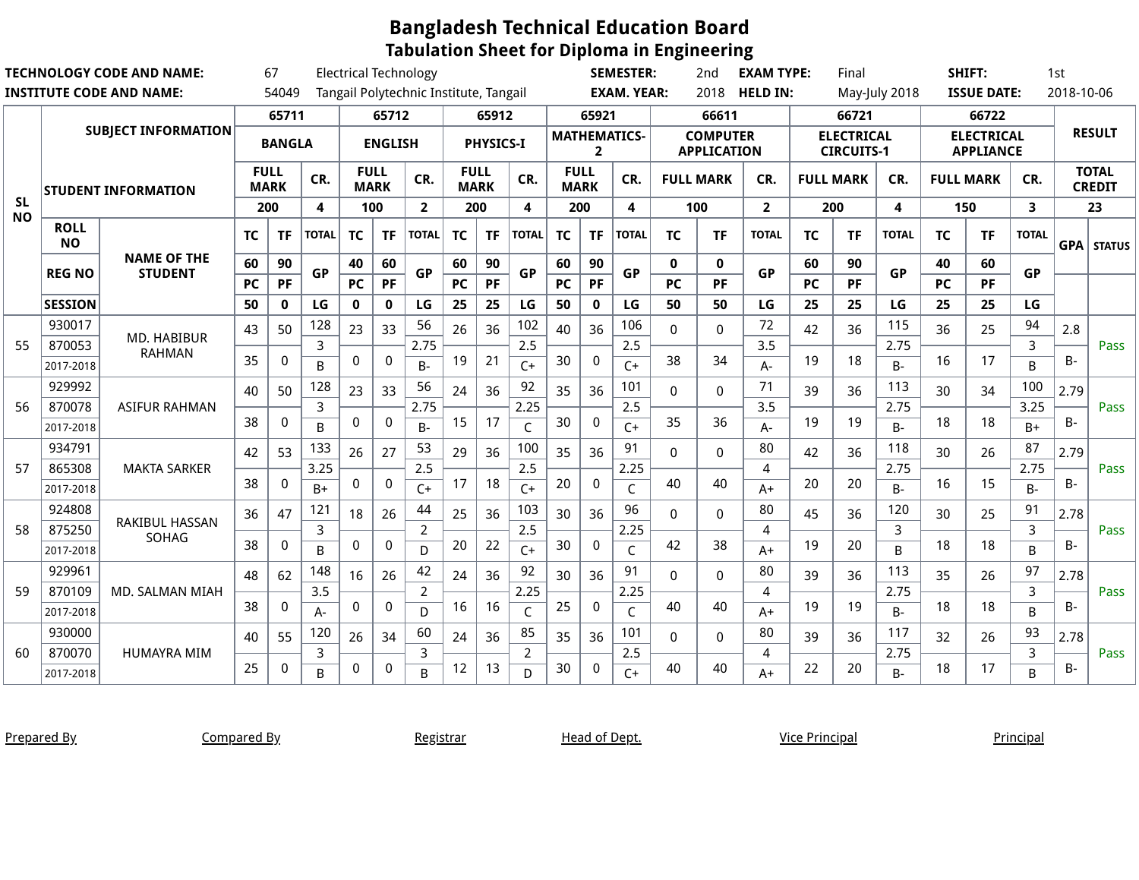|                        |                          |                                      |           |                            |                         |              |                            |                                        |             |             |                      |           |                            |                         | <b>Bangladesh Technical Education Board</b><br><b>Tabulation Sheet for Diploma in Engineering</b> |                                       |                   |           |                                        |               |           |                                       |                |            |                               |
|------------------------|--------------------------|--------------------------------------|-----------|----------------------------|-------------------------|--------------|----------------------------|----------------------------------------|-------------|-------------|----------------------|-----------|----------------------------|-------------------------|---------------------------------------------------------------------------------------------------|---------------------------------------|-------------------|-----------|----------------------------------------|---------------|-----------|---------------------------------------|----------------|------------|-------------------------------|
|                        |                          | <b>TECHNOLOGY CODE AND NAME:</b>     |           | 67                         |                         |              |                            | <b>Electrical Technology</b>           |             |             |                      |           |                            | <b>SEMESTER:</b>        |                                                                                                   | 2nd                                   | <b>EXAM TYPE:</b> |           | Final                                  |               |           | SHIFT:                                |                | 1st        |                               |
|                        |                          | <b>INSTITUTE CODE AND NAME:</b>      |           | 54049                      |                         |              |                            | Tangail Polytechnic Institute, Tangail |             |             |                      |           |                            | <b>EXAM. YEAR:</b>      |                                                                                                   | 2018                                  | <b>HELD IN:</b>   |           |                                        | May-July 2018 |           | <b>ISSUE DATE:</b>                    |                | 2018-10-06 |                               |
|                        |                          |                                      |           | 65711                      |                         |              | 65712                      |                                        |             | 65912       |                      |           | 65921                      |                         |                                                                                                   | 66611                                 |                   |           | 66721                                  |               |           | 66722                                 |                |            |                               |
|                        |                          | <b>SUBJECT INFORMATION</b>           |           | <b>BANGLA</b>              |                         |              | <b>ENGLISH</b>             |                                        |             | PHYSICS-I   |                      |           | 2                          | <b>MATHEMATICS-</b>     |                                                                                                   | <b>COMPUTER</b><br><b>APPLICATION</b> |                   |           | <b>ELECTRICAL</b><br><b>CIRCUITS-1</b> |               |           | <b>ELECTRICAL</b><br><b>APPLIANCE</b> |                |            | <b>RESULT</b>                 |
|                        |                          | <b>STUDENT INFORMATION</b>           |           | <b>FULL</b><br><b>MARK</b> | CR.                     |              | <b>FULL</b><br><b>MARK</b> | CR.                                    | <b>FULL</b> | <b>MARK</b> | CR.                  |           | <b>FULL</b><br><b>MARK</b> | CR.                     |                                                                                                   | <b>FULL MARK</b>                      | CR.               |           | <b>FULL MARK</b>                       | CR.           |           | <b>FULL MARK</b>                      | CR.            |            | <b>TOTAL</b><br><b>CREDIT</b> |
| <b>SL</b><br><b>NO</b> |                          |                                      |           | 200                        | $\overline{\mathbf{4}}$ |              | 100                        | $2^{\circ}$                            |             | 200         | 4                    |           | 200                        | $\overline{\mathbf{4}}$ |                                                                                                   | 100                                   | $\overline{2}$    |           | 200                                    | 4             |           | 150                                   | 3              |            | 23                            |
|                        | <b>ROLL</b><br><b>NO</b> |                                      | <b>TC</b> | <b>TF</b>                  | <b>TOTAL</b>            | ТC           | <b>TF</b>                  | <b>TOTAL</b>                           | <b>TC</b>   | <b>TF</b>   | <b>TOTAL</b>         | <b>TC</b> | <b>TF</b>                  | <b>TOTAL</b>            | <b>TC</b>                                                                                         | <b>TF</b>                             | <b>TOTAL</b>      | <b>TC</b> | <b>TF</b>                              | <b>TOTAL</b>  | <b>TC</b> | TF                                    | <b>TOTAL</b>   |            | <b>GPA</b> STATUS             |
|                        | <b>REG NO</b>            | <b>NAME OF THE</b><br><b>STUDENT</b> | 60        | 90                         | <b>GP</b>               | 40           | 60                         | <b>GP</b>                              | 60          | 90          | <b>GP</b>            | 60        | 90                         | <b>GP</b>               | $\mathbf 0$                                                                                       | 0                                     | <b>GP</b>         | 60        | 90                                     | <b>GP</b>     | 40        | 60                                    | <b>GP</b>      |            |                               |
|                        |                          |                                      | <b>PC</b> | PF                         |                         | <b>PC</b>    | PF                         |                                        | <b>PC</b>   | PF          |                      | <b>PC</b> | $\overline{PF}$            |                         | <b>PC</b>                                                                                         | PF                                    |                   | PC        | PF                                     |               | PC        | PF                                    |                |            |                               |
|                        | <b>SESSION</b>           |                                      | 50        | $\mathbf 0$                | LG                      | $\mathbf 0$  | 0                          | LG                                     | 25          | 25          | LG                   | 50        | $\mathbf 0$                | LG                      | 50                                                                                                | 50                                    | LG                | 25        | 25                                     | LG            | 25        | 25                                    | LG             |            |                               |
|                        | 930017                   | MD. HABIBUR                          | 43        | 50                         | 128                     | 23           | 33                         | 56                                     | 26          | 36          | 102                  | 40        | 36                         | 106                     | $\Omega$                                                                                          | $\Omega$                              | 72                | 42        | 36                                     | 115           | 36        | 25                                    | 94             | 2.8        |                               |
| 55                     | 870053                   | RAHMAN                               | 35        | $\mathbf{0}$               | 3                       | $\mathbf{0}$ | $\Omega$                   | 2.75                                   |             |             | 2.5                  |           | $\mathbf{0}$               | 2.5                     | 38                                                                                                | 34                                    | 3.5               | 19        | 18                                     | 2.75          | 16        | 17                                    | 3              | B-         | Pass                          |
|                        | 2017-2018                |                                      |           |                            | B.                      |              |                            | B-                                     | 19          | 21          | $C+$                 | 30        |                            | $C+$                    |                                                                                                   |                                       | A-                |           |                                        | $B -$         |           |                                       | <sub>B</sub>   |            |                               |
|                        | 929992                   |                                      | 40        | 50                         | 128                     | 23           | 33                         | 56                                     | 24          | 36          | 92                   | 35        | 36                         | 101                     | $\Omega$                                                                                          | $\mathbf{0}$                          | 71                | 39        | 36                                     | 113           | 30        | 34                                    | 100            | 2.79       |                               |
| 56                     | 870078                   | <b>ASIFUR RAHMAN</b>                 | 38        | $\mathbf{0}$               | 3<br>B                  | $\mathbf{0}$ | $\Omega$                   | 2.75                                   | 15          | 17          | 2.25                 | 30        | $\mathbf 0$                | 2.5                     | 35                                                                                                | 36                                    | 3.5               | 19        | 19                                     | 2.75          | 18        | 18                                    | 3.25           | <b>B-</b>  | Pass                          |
|                        | 2017-2018<br>934791      |                                      |           |                            | 133                     |              |                            | $B -$<br>53                            |             |             | $\mathsf{C}$<br>100  |           |                            | $C+$<br>91              |                                                                                                   |                                       | A-<br>80          |           |                                        | $B -$<br>118  |           |                                       | $B+$<br>87     |            |                               |
| 57                     | 865308                   | <b>MAKTA SARKER</b>                  | 42        | 53                         | 3.25                    | 26           | 27                         | 2.5                                    | 29          | 36          | 2.5                  | 35        | 36                         | 2.25                    | $\Omega$                                                                                          | $\Omega$                              | $\overline{4}$    | 42        | 36                                     | 2.75          | 30        | 26                                    | 2.75           | 2.79       | Pass                          |
|                        | 2017-2018                |                                      | 38        | $\mathbf{0}$               | $B+$                    | 0            | $\mathbf{0}$               | $C+$                                   | 17          | 18          | $C+$                 | 20        | $\mathbf 0$                | $\mathsf{C}$            | 40                                                                                                | 40                                    | $A+$              | 20        | 20                                     | $B -$         | 16        | 15                                    | $B -$          | B-         |                               |
|                        | 924808                   |                                      | 36        | 47                         | 121                     | 18           | 26                         | 44                                     | 25          | 36          | 103                  | 30        | 36                         | 96                      | $\Omega$                                                                                          | $\Omega$                              | 80                | 45        | 36                                     | 120           | 30        | 25                                    | 91             | 2.78       |                               |
| 58                     | 875250                   | RAKIBUL HASSAN<br>SOHAG              |           |                            | 3                       |              |                            | $\overline{2}$                         |             |             | 2.5                  |           |                            | 2.25                    |                                                                                                   |                                       | $\overline{4}$    |           |                                        | 3             |           |                                       | 3              |            | Pass                          |
|                        | 2017-2018                |                                      | 38        | $\Omega$                   | B                       | $\mathbf{0}$ | $\mathbf{0}$               | D.                                     | 20          | 22          | $C+$                 | 30        | $\mathbf 0$                | $\mathsf C$             | 42                                                                                                | 38                                    | $A+$              | 19        | 20                                     | <sub>B</sub>  | 18        | 18                                    | B              | $B -$      |                               |
|                        | 929961                   |                                      | 48        | 62                         | 148                     | 16           | 26                         | 42                                     | 24          | 36          | 92                   | 30        | 36                         | 91                      | $\Omega$                                                                                          | $\Omega$                              | 80                | 39        | 36                                     | 113           | 35        | 26                                    | 97             | 2.78       |                               |
| 59                     | 870109                   | MD. SALMAN MIAH                      |           |                            | 3.5                     |              |                            | $\overline{2}$                         |             |             | 2.25                 |           |                            | 2.25                    |                                                                                                   |                                       | $\overline{4}$    |           |                                        | 2.75          |           |                                       | $\overline{3}$ |            | Pass                          |
|                        | 2017-2018                |                                      | 38        | 0                          | A-                      | 0            | 0                          | D                                      | 16          | 16          | $\mathsf{C}$         | 25        | $\mathbf 0$                | $\mathsf C$             | 40                                                                                                | 40                                    | $A+$              | 19        | 19                                     | $B -$         | 18        | 18                                    | B              | B-         |                               |
|                        | 930000                   |                                      | 40        | 55                         | 120                     | 26           | 34                         | 60                                     | 24          | 36          | 85                   | 35        | 36                         | 101                     | $\Omega$                                                                                          | $\Omega$                              | 80                | 39        | 36                                     | 117           | 32        | 26                                    | 93             | 2.78       |                               |
| 60                     | 870070<br>2017-2018      | <b>HUMAYRA MIM</b>                   | 25        | 0                          | 3<br>R                  | 0            | 0                          | 3<br>R                                 | 12          | 13          | $\overline{2}$<br>D. | 30        | $\mathbf 0$                | 2.5<br>$C+$             | 40                                                                                                | 40                                    | 4<br>$A+$         | 22        | 20                                     | 2.75<br>$B -$ | 18        | 17                                    | 3<br>B         | <b>B-</b>  | Pass                          |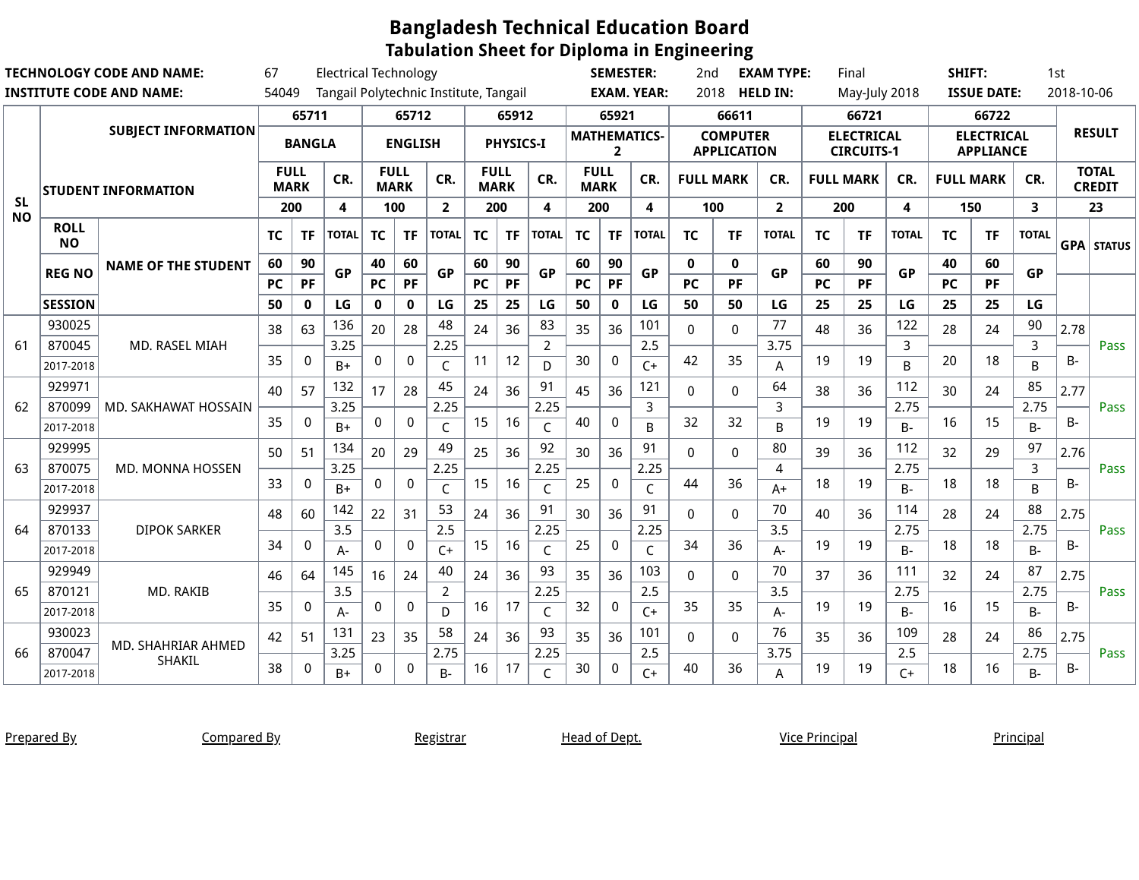|                        |                          |                                     |           |                            |                                        |             |                            |                                 |           |                            |                         |    |                            |                      | <b>Bangladesh Technical Education Board</b><br><b>Tabulation Sheet for Diploma in Engineering</b> |                                       |                        |           |                                        |                |           |                                       |                         |            |                               |
|------------------------|--------------------------|-------------------------------------|-----------|----------------------------|----------------------------------------|-------------|----------------------------|---------------------------------|-----------|----------------------------|-------------------------|----|----------------------------|----------------------|---------------------------------------------------------------------------------------------------|---------------------------------------|------------------------|-----------|----------------------------------------|----------------|-----------|---------------------------------------|-------------------------|------------|-------------------------------|
|                        |                          | <b>TECHNOLOGY CODE AND NAME:</b>    | 67        |                            | <b>Electrical Technology</b>           |             |                            |                                 |           |                            |                         |    | <b>SEMESTER:</b>           |                      | 2nd                                                                                               |                                       | <b>EXAM TYPE:</b>      |           | Final                                  |                | SHIFT:    |                                       |                         | 1st        |                               |
|                        |                          | <b>INSTITUTE CODE AND NAME:</b>     | 54049     |                            | Tangail Polytechnic Institute, Tangail |             |                            |                                 |           |                            |                         |    |                            | <b>EXAM. YEAR:</b>   | 2018                                                                                              |                                       | <b>HELD IN:</b>        |           | May-July 2018                          |                |           | <b>ISSUE DATE:</b>                    |                         | 2018-10-06 |                               |
|                        |                          |                                     |           | 65711                      |                                        |             | 65712                      |                                 |           | 65912                      |                         |    | 65921                      |                      |                                                                                                   | 66611                                 |                        |           | 66721                                  |                |           | 66722                                 |                         |            |                               |
|                        |                          | <b>SUBJECT INFORMATION</b>          |           | <b>BANGLA</b>              |                                        |             | <b>ENGLISH</b>             |                                 |           | PHYSICS-I                  |                         |    | $\overline{2}$             | <b>MATHEMATICS-</b>  |                                                                                                   | <b>COMPUTER</b><br><b>APPLICATION</b> |                        |           | <b>ELECTRICAL</b><br><b>CIRCUITS-1</b> |                |           | <b>ELECTRICAL</b><br><b>APPLIANCE</b> |                         |            | <b>RESULT</b>                 |
|                        |                          | <b>STUDENT INFORMATION</b>          |           | <b>FULL</b><br><b>MARK</b> | CR.                                    |             | <b>FULL</b><br><b>MARK</b> | CR.                             |           | <b>FULL</b><br><b>MARK</b> | CR.                     |    | <b>FULL</b><br><b>MARK</b> | CR.                  | <b>FULL MARK</b>                                                                                  |                                       | CR.                    |           | <b>FULL MARK</b>                       | CR.            |           | <b>FULL MARK</b>                      | CR.                     |            | <b>TOTAL</b><br><b>CREDIT</b> |
| <b>SL</b><br><b>NO</b> |                          |                                     |           | 200                        | 4                                      |             | 100                        | $\overline{2}$                  |           | 200                        | $\overline{\mathbf{4}}$ |    | 200                        | 4                    |                                                                                                   | 100                                   | $\overline{2}$         |           | 200                                    | 4              |           | 150                                   | $\overline{\mathbf{3}}$ |            | 23                            |
|                        | <b>ROLL</b><br><b>NO</b> |                                     | <b>TC</b> | <b>TF</b>                  | <b>TOTAL</b>                           | TC          | <b>TF</b>                  | <b>TOTAL</b>                    | TC        | <b>TF</b>                  | <b>TOTAL</b>            | ТC | <b>TF</b>                  | <b>TOTAL</b>         | <b>TC</b>                                                                                         | <b>TF</b>                             | <b>TOTAL</b>           | <b>TC</b> | <b>TF</b>                              | <b>TOTAL</b>   | TC        | <b>TF</b>                             | <b>TOTAL</b>            |            | <b>GPA</b> STATUS             |
|                        | <b>REG NO</b>            | <b>NAME OF THE STUDENT</b>          | 60        | 90                         | <b>GP</b>                              | 40          | 60                         | <b>GP</b>                       | 60        | 90                         | <b>GP</b>               | 60 | 90                         | <b>GP</b>            | $\bf{0}$                                                                                          | $\mathbf 0$                           | <b>GP</b>              | 60        | 90                                     | <b>GP</b>      | 40        | 60                                    | <b>GP</b>               |            |                               |
|                        |                          |                                     | PC        | <b>PF</b>                  |                                        | <b>PC</b>   | PF                         |                                 | <b>PC</b> | PF                         |                         | PC | PF                         |                      | PC                                                                                                | <b>PF</b>                             |                        | <b>PC</b> | PF                                     |                | <b>PC</b> | PF                                    |                         |            |                               |
|                        | <b>SESSION</b>           |                                     | 50        | $\mathbf 0$                | LG                                     | $\mathbf 0$ | $\mathbf 0$                | LG                              | 25        | 25                         | LG                      | 50 | $\mathbf 0$                | LG                   | 50                                                                                                | 50                                    | LG                     | 25        | 25                                     | LG             | 25        | 25                                    | LG                      |            |                               |
|                        | 930025                   |                                     | 38        | 63                         | 136                                    | 20          | 28                         | 48                              | 24        | 36                         | 83                      | 35 | 36                         | 101                  | $\Omega$                                                                                          | $\Omega$                              | 77                     | 48        | 36                                     | 122            | 28        | 24                                    | 90                      | 2.78       |                               |
| 61                     | 870045                   | MD. RASEL MIAH                      |           |                            | 3.25                                   |             |                            | 2.25                            |           |                            | $\overline{2}$          |    |                            | 2.5                  |                                                                                                   |                                       | 3.75                   |           |                                        | $\overline{3}$ |           |                                       | $\overline{3}$          |            | Pass                          |
|                        | 2017-2018                |                                     | 35        | $\mathbf{0}$               | $B+$                                   | 0           | $\Omega$                   | $\mathsf{C}$                    | 11        | 12                         | D.                      | 30 | $\mathbf 0$                | $C+$                 | 42                                                                                                | 35                                    | A                      | 19        | 19                                     | <sub>B</sub>   | 20        | 18                                    | B                       | <b>B-</b>  |                               |
|                        | 929971                   |                                     | 40        | 57                         | 132                                    | 17          | 28                         | 45                              | 24        | 36                         | 91                      | 45 | 36                         | 121                  | $\Omega$                                                                                          | $\mathbf{0}$                          | 64                     | 38        | 36                                     | 112            | 30        | 24                                    | 85                      | 2.77       |                               |
| 62                     | 870099                   | MD. SAKHAWAT HOSSAIN                | 35        | $\mathbf 0$                | 3.25                                   | 0           | $\mathbf 0$                | 2.25                            | 15        | 16                         | 2.25                    | 40 | $\mathbf{0}$               | $\mathbf{3}$         | 32                                                                                                | 32                                    | 3                      | 19        | 19                                     | 2.75           | 16        | 15                                    | 2.75                    | <b>B-</b>  | Pass                          |
|                        | 2017-2018                |                                     |           |                            | $B+$                                   |             |                            | $\mathsf{C}$                    |           |                            | $\overline{\mathsf{C}}$ |    |                            | B                    |                                                                                                   |                                       | B                      |           |                                        | $B -$          |           |                                       | $B -$                   |            |                               |
|                        | 929995                   |                                     | 50        | 51                         | 134                                    | 20          | 29                         | 49                              | 25        | 36                         | 92                      | 30 | 36                         | 91                   | $\Omega$                                                                                          | $\Omega$                              | 80                     | 39        | 36                                     | 112            | 32        | 29                                    | 97                      | 2.76       |                               |
| 63                     | 870075<br>2017-2018      | <b>MD. MONNA HOSSEN</b>             | 33        | $\mathbf{0}$               | 3.25<br>$B+$                           | 0           | $\mathbf{0}$               | 2.25<br>$\overline{\mathsf{C}}$ | 15        | 16                         | 2.25<br>$\overline{C}$  | 25 | $\mathbf{0}$               | 2.25<br>$\mathsf{C}$ | 44                                                                                                | 36                                    | $\overline{4}$<br>$A+$ | 18        | 19                                     | 2.75<br>$B -$  | 18        | 18                                    | 3<br>B                  | <b>B-</b>  | Pass                          |
|                        | 929937                   |                                     |           |                            | 142                                    |             |                            | 53                              |           |                            | 91                      |    |                            | 91                   |                                                                                                   |                                       | 70                     |           |                                        | 114            |           |                                       | 88                      |            |                               |
| 64                     | 870133                   | <b>DIPOK SARKER</b>                 | 48        | 60                         | 3.5                                    | 22          | 31                         | 2.5                             | 24        | 36                         | 2.25                    | 30 | 36                         | 2.25                 | $\Omega$                                                                                          | $\Omega$                              | 3.5                    | 40        | 36                                     | 2.75           | 28        | 24                                    | 2.75                    | 2.75       | Pass                          |
|                        | 2017-2018                |                                     | 34        | $\mathbf{0}$               | $A -$                                  | $\mathbf 0$ | $\mathbf 0$                | $\overline{C+}$                 | 15        | 16                         | $\overline{C}$          | 25 | $\mathbf{0}$               | $\mathsf{C}$         | 34                                                                                                | 36                                    | A-                     | 19        | 19                                     | $B -$          | 18        | 18                                    | $B -$                   | $B -$      |                               |
|                        | 929949                   |                                     | 46        | 64                         | 145                                    | 16          | 24                         | 40                              | 24        | 36                         | 93                      | 35 | 36                         | 103                  | $\Omega$                                                                                          | $\Omega$                              | 70                     | 37        | 36                                     | 111            | 32        | 24                                    | 87                      | 2.75       |                               |
| 65                     | 870121                   | MD. RAKIB                           |           |                            | 3.5                                    |             |                            | $\overline{2}$                  |           |                            | 2.25                    |    |                            | 2.5                  |                                                                                                   |                                       | 3.5                    |           |                                        | 2.75           |           |                                       | 2.75                    |            | Pass                          |
|                        | 2017-2018                |                                     | 35        | $\mathbf{0}$               | A-                                     | $\Omega$    | $\mathbf{0}$               | D                               | 16        | 17                         | $\mathsf{C}$            | 32 | $\mathbf{0}$               | $C+$                 | 35                                                                                                | 35                                    | A-                     | 19        | 19                                     | $B -$          | 16        | 15                                    | $B -$                   | $B -$      |                               |
|                        | 930023                   |                                     | 42        | 51                         | 131                                    | 23          | 35                         | 58                              | 24        | 36                         | 93                      | 35 | 36                         | 101                  | $\Omega$                                                                                          | $\Omega$                              | 76                     | 35        | 36                                     | 109            | 28        | 24                                    | 86                      | 2.75       |                               |
| 66                     | 870047                   | MD. SHAHRIAR AHMED<br><b>SHAKIL</b> |           |                            | 3.25                                   |             |                            | 2.75                            |           |                            | 2.25                    |    |                            | 2.5                  |                                                                                                   |                                       | 3.75                   |           |                                        | 2.5            |           |                                       | 2.75                    |            | Pass                          |
|                        | 2017-2018                |                                     | 38        | $\mathbf 0$                | $B+$                                   | 0           | 0                          | $B -$                           | 16        | 17                         | $\mathsf{C}$            | 30 | $\mathbf{0}$               | $C+$                 | 40                                                                                                | 36                                    | A                      | 19        | 19                                     | $C+$           | 18        | 16                                    | $B -$                   | <b>B-</b>  |                               |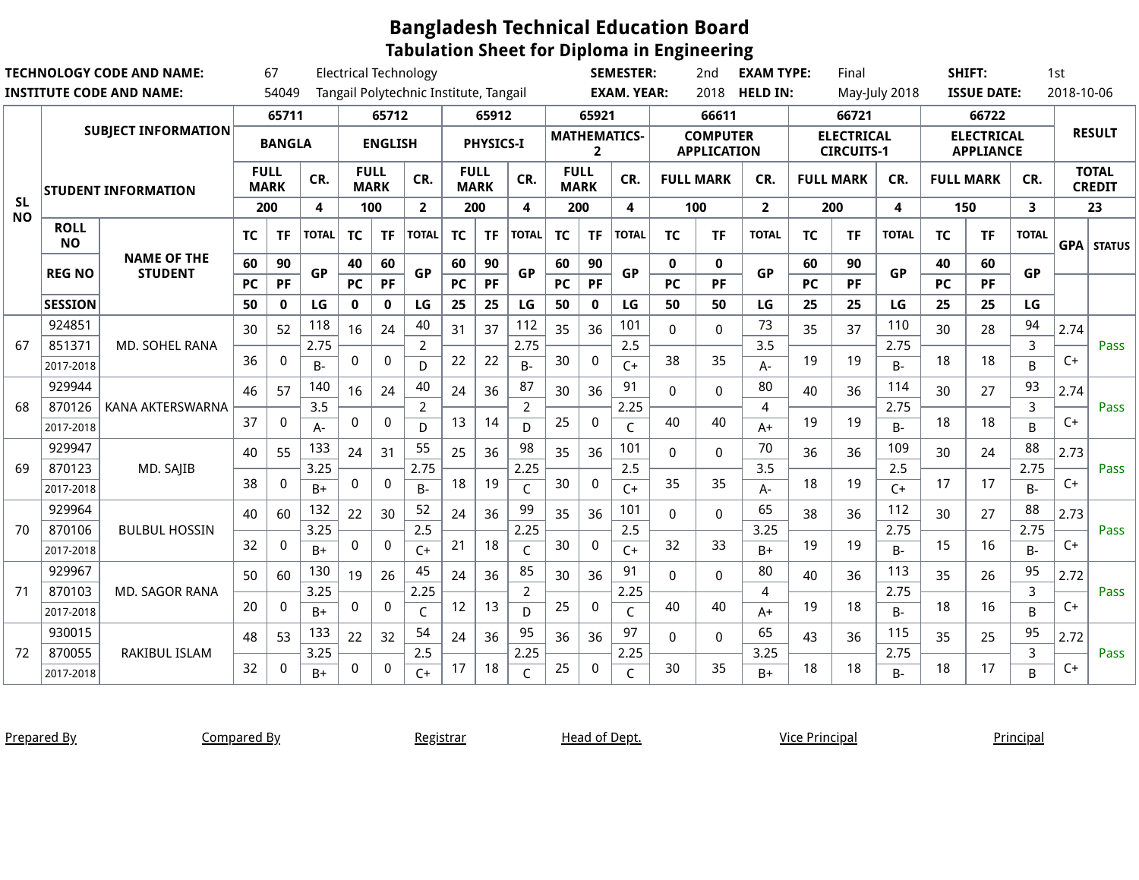|                        |                          |                                  |           |                            |              |              |                            |                                        |             |                  |                         |           |                            |                      |           | <b>Bangladesh Technical Education Board</b><br><b>Tabulation Sheet for Diploma in Engineering</b> |                          |           |                                        |               |           |                                       |                      |            |                               |
|------------------------|--------------------------|----------------------------------|-----------|----------------------------|--------------|--------------|----------------------------|----------------------------------------|-------------|------------------|-------------------------|-----------|----------------------------|----------------------|-----------|---------------------------------------------------------------------------------------------------|--------------------------|-----------|----------------------------------------|---------------|-----------|---------------------------------------|----------------------|------------|-------------------------------|
|                        |                          | <b>TECHNOLOGY CODE AND NAME:</b> |           | 67                         |              |              |                            | <b>Electrical Technology</b>           |             |                  |                         |           |                            | <b>SEMESTER:</b>     |           | 2nd                                                                                               | <b>EXAM TYPE:</b>        |           | Final                                  |               |           | SHIFT:                                |                      | 1st        |                               |
|                        |                          | <b>INSTITUTE CODE AND NAME:</b>  |           | 54049                      |              |              |                            | Tangail Polytechnic Institute, Tangail |             |                  |                         |           |                            | <b>EXAM. YEAR:</b>   |           | 2018                                                                                              | <b>HELD IN:</b>          |           |                                        | May-July 2018 |           | <b>ISSUE DATE:</b>                    |                      | 2018-10-06 |                               |
|                        |                          | <b>SUBJECT INFORMATION</b>       |           | 65711                      |              |              | 65712                      |                                        |             | 65912            |                         |           | 65921                      |                      |           | 66611                                                                                             |                          |           | 66721                                  |               |           | 66722                                 |                      |            | <b>RESULT</b>                 |
|                        |                          |                                  |           | <b>BANGLA</b>              |              |              | <b>ENGLISH</b>             |                                        |             | <b>PHYSICS-I</b> |                         |           | 2                          | <b>MATHEMATICS-</b>  |           | <b>COMPUTER</b><br><b>APPLICATION</b>                                                             |                          |           | <b>ELECTRICAL</b><br><b>CIRCUITS-1</b> |               |           | <b>ELECTRICAL</b><br><b>APPLIANCE</b> |                      |            |                               |
|                        |                          | <b>STUDENT INFORMATION</b>       |           | <b>FULL</b><br><b>MARK</b> | CR.          |              | <b>FULL</b><br><b>MARK</b> | CR.                                    | <b>FULL</b> | <b>MARK</b>      | CR.                     |           | <b>FULL</b><br><b>MARK</b> | CR.                  |           | <b>FULL MARK</b>                                                                                  | CR.                      |           | <b>FULL MARK</b>                       | CR.           |           | <b>FULL MARK</b>                      | CR.                  |            | <b>TOTAL</b><br><b>CREDIT</b> |
| <b>SL</b><br><b>NO</b> |                          |                                  |           | 200                        | 4            |              | 100                        | $\mathbf{2}$                           |             | 200              | $\overline{\mathbf{4}}$ |           | 200                        | 4                    |           | 100                                                                                               | $\overline{2}$           |           | 200                                    | 4             |           | 150                                   | 3                    |            | 23                            |
|                        | <b>ROLL</b><br><b>NO</b> |                                  | <b>TC</b> | <b>TF</b>                  | <b>TOTAL</b> | <b>TC</b>    | <b>TF</b>                  | <b>TOTAL</b>                           | <b>TC</b>   | <b>TF</b>        | <b>TOTAL</b>            | <b>TC</b> | <b>TF</b>                  | <b>TOTAL</b>         | <b>TC</b> | <b>TF</b>                                                                                         | <b>TOTAL</b>             | <b>TC</b> | <b>TF</b>                              | <b>TOTAL</b>  | <b>TC</b> | <b>TF</b>                             | <b>TOTAL</b>         |            | <b>GPA</b> STATUS             |
|                        |                          | <b>NAME OF THE</b>               | 60        | 90                         | <b>GP</b>    | 40           | 60                         | <b>GP</b>                              | 60          | 90               | <b>GP</b>               | 60        | 90                         | <b>GP</b>            | 0         | $\mathbf 0$                                                                                       | <b>GP</b>                | 60        | 90                                     | <b>GP</b>     | 40        | 60                                    | <b>GP</b>            |            |                               |
|                        | <b>REG NO</b>            | <b>STUDENT</b>                   | PC        | PF                         |              | PC           | PF                         |                                        | <b>PC</b>   | PF               |                         | PC        | PF                         |                      | <b>PC</b> | <b>PF</b>                                                                                         |                          | <b>PC</b> | PF                                     |               | <b>PC</b> | PF                                    |                      |            |                               |
|                        | <b>SESSION</b>           |                                  | 50        | $\mathbf 0$                | LG           | $\mathbf 0$  | $\mathbf 0$                | LG                                     | 25          | 25               | LG                      | 50        | $\mathbf{0}$               | LG                   | 50        | 50                                                                                                | LG                       | 25        | 25                                     | LG            | 25        | 25                                    | LG                   |            |                               |
|                        | 924851                   |                                  | 30        | 52                         | 118          | 16           | 24                         | 40                                     | 31          | 37               | 112                     | 35        | 36                         | 101                  | $\Omega$  | $\Omega$                                                                                          | 73                       | 35        | 37                                     | 110           | 30        | 28                                    | 94                   | 2.74       |                               |
| 67                     | 851371                   | MD. SOHEL RANA                   |           |                            | 2.75         |              |                            | $\overline{2}$                         |             |                  | 2.75                    |           |                            | 2.5                  |           |                                                                                                   | 3.5                      |           |                                        | 2.75          |           |                                       | 3                    |            | Pass                          |
|                        | 2017-2018                |                                  | 36        | $\mathbf{0}$               | B-           | $\Omega$     | $\mathbf{0}$               | D.                                     | 22          | 22               | $B -$                   | 30        | $\mathbf{0}$               | $C+$                 | 38        | 35                                                                                                | $A -$                    | 19        | 19                                     | $B -$         | 18        | 18                                    | <sub>B</sub>         | $C+$       |                               |
|                        | 929944                   |                                  | 46        | 57                         | 140          | 16           | 24                         | 40                                     | 24          | 36               | 87                      | 30        | 36                         | 91                   | $\Omega$  | $\mathbf{0}$                                                                                      | 80                       | 40        | 36                                     | 114           | 30        | 27                                    | 93                   | 2.74       |                               |
| 68                     | 870126                   | KANA AKTERSWARNA                 | 37        | $\mathbf{0}$               | 3.5          | $\mathbf{0}$ | $\mathbf{0}$               | $\overline{a}$                         | 13          | 14               | $\mathbf 2$             | 25        | $\mathbf{0}$               | 2.25                 | 40        | 40                                                                                                | $\overline{\mathcal{L}}$ | 19        | 19                                     | 2.75          | 18        | 18                                    | $\mathbf{3}$         | $C+$       | Pass                          |
|                        | 2017-2018                |                                  |           |                            | А-           |              |                            | D                                      |             |                  | D                       |           |                            | $\mathsf{C}$         |           |                                                                                                   | $A+$                     |           |                                        | $B -$         |           |                                       | $\overline{B}$       |            |                               |
| 69                     | 929947<br>870123         | MD. SAJIB                        | 40        | 55                         | 133<br>3.25  | 24           | 31                         | 55<br>2.75                             | 25          | 36               | 98<br>2.25              | 35        | 36                         | 101<br>2.5           | $\Omega$  | $\mathbf{0}$                                                                                      | 70<br>3.5                | 36        | 36                                     | 109<br>2.5    | 30        | 24                                    | 88<br>2.75           | 2.73       | Pass                          |
|                        | 2017-2018                |                                  | 38        | 0                          | $B+$         | 0            | $\mathbf 0$                | <b>B-</b>                              | 18          | 19               | $\mathsf{C}$            | 30        | $\mathbf 0$                | $C+$                 | 35        | 35                                                                                                | $A -$                    | 18        | 19                                     | $C+$          | 17        | 17                                    | $B -$                | $C+$       |                               |
|                        | 929964                   |                                  | 40        | 60                         | 132          | 22           | 30                         | 52                                     | 24          | 36               | 99                      | 35        | 36                         | 101                  | $\Omega$  | $\Omega$                                                                                          | 65                       | 38        | 36                                     | 112           | 30        | 27                                    | 88                   | 2.73       |                               |
| 70                     | 870106                   | <b>BULBUL HOSSIN</b>             |           |                            | 3.25         |              |                            | 2.5                                    |             |                  | 2.25                    |           |                            | 2.5                  |           |                                                                                                   | 3.25                     |           |                                        | 2.75          |           |                                       | 2.75                 |            | Pass                          |
|                        | 2017-2018                |                                  | 32        | $\mathbf{0}$               | $B+$         | 0            | $\mathbf{0}$               | $C+$                                   | 21          | 18               | $\mathsf{C}$            | 30        | $\mathbf 0$                | $C+$                 | 32        | 33                                                                                                | $B+$                     | 19        | 19                                     | $B -$         | 15        | 16                                    | $B -$                | $C+$       |                               |
|                        | 929967                   |                                  | 50        | 60                         | 130          | 19           | 26                         | 45                                     | 24          | 36               | 85                      | 30        | 36                         | 91                   | $\Omega$  | $\mathbf{0}$                                                                                      | 80                       | 40        | 36                                     | 113           | 35        | 26                                    | 95                   | 2.72       |                               |
| 71                     | 870103                   | MD. SAGOR RANA                   |           |                            | 3.25         |              |                            | 2.25                                   |             |                  | $\overline{2}$          |           |                            | 2.25                 |           |                                                                                                   | $\overline{4}$           |           |                                        | 2.75          |           |                                       | $\overline{3}$       |            | Pass                          |
|                        | 2017-2018                |                                  | 20        | $\mathbf 0$                | $B+$         | 0            | $\mathbf 0$                | $\mathsf{C}$                           | 12          | 13               | D                       | 25        | $\mathbf 0$                | $\mathsf{C}$         | 40        | 40                                                                                                | $A+$                     | 19        | 18                                     | $B -$         | 18        | 16                                    | B                    | $C+$       |                               |
|                        | 930015                   |                                  | 48        | 53                         | 133          | 22           | 32                         | 54                                     | 24          | 36               | 95                      | 36        | 36                         | 97                   | $\Omega$  | $\Omega$                                                                                          | 65                       | 43        | 36                                     | 115           | 35        | 25                                    | 95                   | 2.72       |                               |
| 72                     | 870055<br>2017-2018      | RAKIBUL ISLAM                    | 32        | $\mathbf 0$                | 3.25<br>$B+$ | $\Omega$     | 0                          | 2.5<br>$C+$                            | 17          | 18               | 2.25<br>$\mathsf{C}$    | 25        | 0                          | 2.25<br>$\mathsf{C}$ | 30        | 35                                                                                                | 3.25<br>$B+$             | 18        | 18                                     | 2.75<br>$B -$ | 18        | 17                                    | $\overline{3}$<br>B. | $C+$       | Pass                          |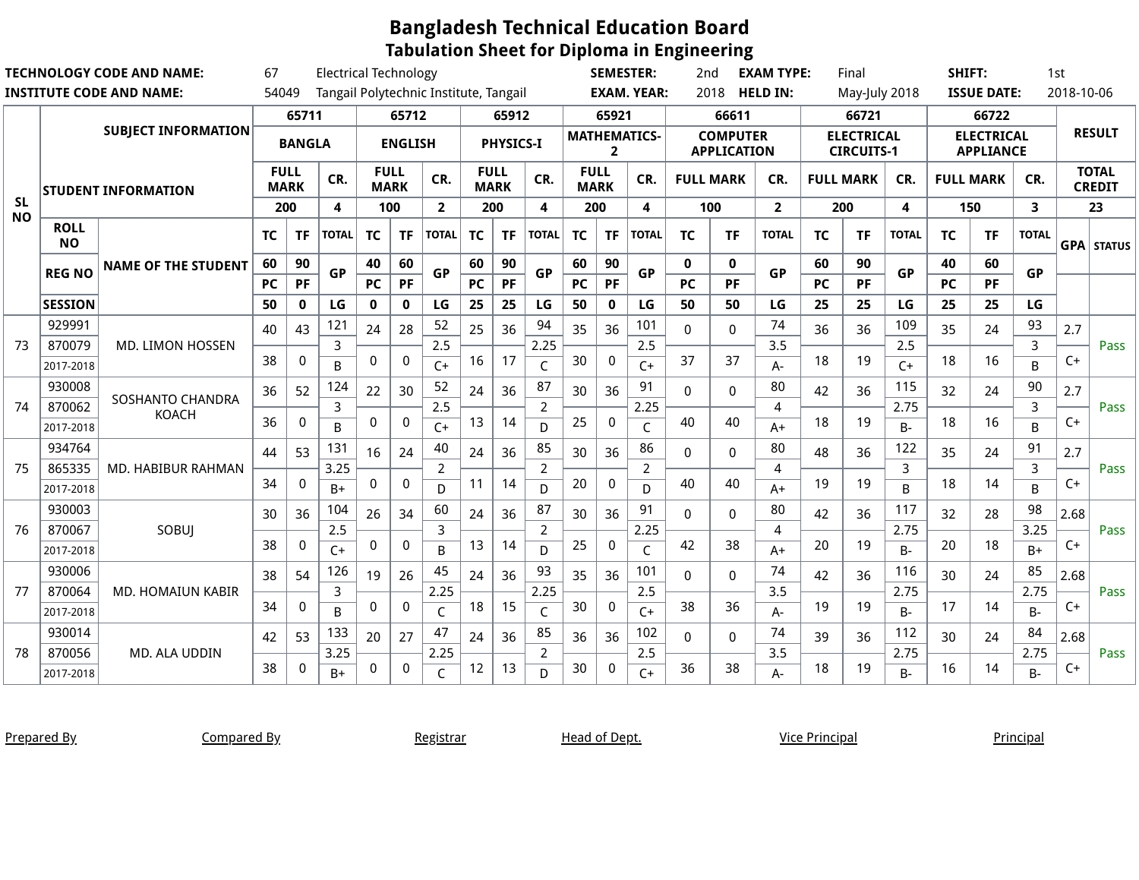|                        |                          |                                 |             |               |                                        |             |                |                      |             |                  |                         |           |                            |                         | <b>Bangladesh Technical Education Board</b><br><b>Tabulation Sheet for Diploma in Engineering</b> |                                       |                      |           |                                        |              |           |                                       |                         |            |                               |
|------------------------|--------------------------|---------------------------------|-------------|---------------|----------------------------------------|-------------|----------------|----------------------|-------------|------------------|-------------------------|-----------|----------------------------|-------------------------|---------------------------------------------------------------------------------------------------|---------------------------------------|----------------------|-----------|----------------------------------------|--------------|-----------|---------------------------------------|-------------------------|------------|-------------------------------|
|                        |                          | TECHNOLOGY CODE AND NAME:       | 67          |               | <b>Electrical Technology</b>           |             |                |                      |             |                  |                         |           | <b>SEMESTER:</b>           |                         | 2nd                                                                                               |                                       | <b>EXAM TYPE:</b>    |           | Final                                  |              | SHIFT:    |                                       |                         | 1st        |                               |
|                        |                          | <b>INSTITUTE CODE AND NAME:</b> | 54049       |               | Tangail Polytechnic Institute, Tangail |             |                |                      |             |                  |                         |           |                            | <b>EXAM. YEAR:</b>      |                                                                                                   | 2018                                  | <b>HELD IN:</b>      |           | May-July 2018                          |              |           | <b>ISSUE DATE:</b>                    |                         | 2018-10-06 |                               |
|                        |                          |                                 |             | 65711         |                                        |             | 65712          |                      |             | 65912            |                         |           | 65921                      |                         |                                                                                                   | 66611                                 |                      |           | 66721                                  |              |           | 66722                                 |                         |            |                               |
|                        |                          | <b>SUBJECT INFORMATION</b>      |             | <b>BANGLA</b> |                                        |             | <b>ENGLISH</b> |                      |             | <b>PHYSICS-I</b> |                         |           | $\overline{2}$             | <b>MATHEMATICS-</b>     |                                                                                                   | <b>COMPUTER</b><br><b>APPLICATION</b> |                      |           | <b>ELECTRICAL</b><br><b>CIRCUITS-1</b> |              |           | <b>ELECTRICAL</b><br><b>APPLIANCE</b> |                         |            | <b>RESULT</b>                 |
|                        |                          | <b>STUDENT INFORMATION</b>      | <b>FULL</b> | <b>MARK</b>   | CR.                                    | <b>FULL</b> | <b>MARK</b>    | CR.                  | <b>FULL</b> | <b>MARK</b>      | CR.                     |           | <b>FULL</b><br><b>MARK</b> | CR.                     |                                                                                                   | <b>FULL MARK</b>                      | CR.                  |           | <b>FULL MARK</b>                       | CR.          |           | <b>FULL MARK</b>                      | CR.                     |            | <b>TOTAL</b><br><b>CREDIT</b> |
| <b>SL</b><br><b>NO</b> |                          |                                 |             | 200           | $\overline{\mathbf{4}}$                | 100         |                | $\overline{2}$       |             | 200              | $\overline{\mathbf{4}}$ |           | 200                        | $\overline{\mathbf{4}}$ |                                                                                                   | 100                                   | $\overline{2}$       |           | 200                                    | 4            |           | 150                                   | $\overline{\mathbf{3}}$ |            | 23                            |
|                        | <b>ROLL</b><br><b>NO</b> |                                 | ТC          | <b>TF</b>     | <b>TOTAL</b>                           | TC.         | <b>TF</b>      | <b>TOTAL</b>         | <b>TC</b>   | <b>TF</b>        | <b>TOTAL</b>            | <b>TC</b> | <b>TF</b>                  | <b>TOTAL</b>            | <b>TC</b>                                                                                         | <b>TF</b>                             | <b>TOTAL</b>         | <b>TC</b> | <b>TF</b>                              | <b>TOTAL</b> | <b>TC</b> | <b>TF</b>                             | <b>TOTAL</b>            |            | <b>GPA STATUS</b>             |
|                        |                          | <b>NAME OF THE STUDENT</b>      | 60          | 90            | <b>GP</b>                              | 40          | 60             | <b>GP</b>            | 60          | 90               | <b>GP</b>               | 60        | 90                         | <b>GP</b>               | $\mathbf{0}$                                                                                      | $\mathbf 0$                           | <b>GP</b>            | 60        | 90                                     | <b>GP</b>    | 40        | 60                                    | <b>GP</b>               |            |                               |
|                        | <b>REG NO</b>            |                                 | PC          | PF            |                                        | <b>PC</b>   | PF             |                      | PC          | PF               |                         | PC        | PF                         |                         | <b>PC</b>                                                                                         | PF                                    |                      | PC        | PF                                     |              | <b>PC</b> | PF                                    |                         |            |                               |
|                        | <b>SESSION</b>           |                                 | 50          | $\mathbf{0}$  | LG                                     | $\mathbf 0$ | $\mathbf 0$    | LG                   | 25          | 25               | LG                      | 50        | $\mathbf 0$                | LG                      | 50                                                                                                | 50                                    | LG                   | 25        | 25                                     | LG           | 25        | 25                                    | LG                      |            |                               |
| 73                     | 929991                   |                                 | 40          | 43            | 121                                    | 24          | 28             | 52                   | 25          | 36               | 94                      | 35        | 36                         | 101                     | $\Omega$                                                                                          | $\Omega$                              | 74                   | 36        | 36                                     | 109          | 35        | 24                                    | 93                      | 2.7        |                               |
|                        | 870079                   | MD. LIMON HOSSEN                |             |               | 3                                      |             |                | 2.5                  |             | 17               | 2.25                    |           |                            | 2.5                     |                                                                                                   |                                       | 3.5                  |           |                                        | 2.5          |           |                                       | $\overline{3}$          |            | Pass                          |
|                        | 2017-2018                |                                 | 38          | $\mathbf{0}$  | B                                      | 0           | $\mathbf{0}$   | $C+$                 | 16          |                  | $\mathsf{C}$            | 30        | $\mathbf 0$                | $C+$                    | 37                                                                                                | 37                                    | $A -$                | 18        | 19                                     | $C+$         | 18        | 16                                    | B                       | $C+$       |                               |
|                        | 930008                   | SOSHANTO CHANDRA                | 36          | 52            | 124                                    | 22          | 30             | 52                   | 24          | 36               | 87                      | 30        | 36                         | 91                      | $\Omega$                                                                                          | $\Omega$                              | 80                   | 42        | 36                                     | 115          | 32        | 24                                    | 90                      | 2.7        |                               |
| 74                     | 870062                   | KOACH                           | 36          | $\mathbf{0}$  | $\mathbf{3}$                           | 0           | $\mathbf{0}$   | 2.5                  | 13          | 14               | $\overline{2}$          | 25        | $\mathbf 0$                | 2.25                    | 40                                                                                                | 40                                    | 4                    | 18        | 19                                     | 2.75         | 18        | 16                                    | 3                       | $C+$       | Pass                          |
|                        | 2017-2018                |                                 |             |               | $\overline{B}$                         |             |                | $C +$                |             |                  | D.                      |           |                            | $\mathsf{C}$            |                                                                                                   |                                       | $A+$                 |           |                                        | $B -$        |           |                                       | B                       |            |                               |
| 75                     | 934764<br>865335         | MD. HABIBUR RAHMAN              | 44          | 53            | 131<br>3.25                            | 16          | 24             | 40<br>$\overline{2}$ | 24          | 36               | 85<br>$\overline{2}$    | 30        | 36                         | 86<br>$\overline{2}$    | $\Omega$                                                                                          | $\Omega$                              | 80<br>$\overline{4}$ | 48        | 36                                     | 122<br>3     | 35        | 24                                    | 91<br>3                 | 2.7        | Pass                          |
|                        | 2017-2018                |                                 | 34          | $\Omega$      | $B+$                                   | 0           | $\Omega$       | $\overline{D}$       | 11          | 14               | D.                      | 20        | $\mathbf{0}$               | D                       | 40                                                                                                | 40                                    | $A+$                 | 19        | 19                                     | B            | 18        | 14                                    | B                       | $C+$       |                               |
|                        | 930003                   |                                 | 30          | 36            | 104                                    | 26          | 34             | 60                   | 24          | 36               | 87                      | 30        | 36                         | 91                      | $\Omega$                                                                                          | $\mathbf{0}$                          | 80                   | 42        | 36                                     | 117          | 32        | 28                                    | 98                      | 2.68       |                               |
| 76                     | 870067                   | SOBUJ                           |             |               | 2.5                                    |             |                | $\overline{3}$       |             |                  | $\overline{2}$          |           |                            | 2.25                    |                                                                                                   |                                       | $\overline{4}$       |           |                                        | 2.75         |           |                                       | 3.25                    |            | Pass                          |
|                        | 2017-2018                |                                 | 38          | $\mathbf{0}$  | $\overline{C+}$                        | 0           | $\mathbf{0}$   | $\overline{B}$       | 13          | 14               | D.                      | 25        | $\mathbf{0}$               | $\mathsf{C}$            | 42                                                                                                | 38                                    | $A+$                 | 20        | 19                                     | $B -$        | 20        | 18                                    | $B+$                    | $C+$       |                               |
|                        | 930006                   |                                 | 38          | 54            | 126                                    | 19          | 26             | 45                   | 24          | 36               | 93                      | 35        | 36                         | 101                     | $\Omega$                                                                                          | $\Omega$                              | 74                   | 42        | 36                                     | 116          | 30        | 24                                    | 85                      | 2.68       |                               |
| 77                     | 870064                   | MD. HOMAIUN KABIR               |             |               | 3                                      |             |                | 2.25                 |             |                  | 2.25                    |           |                            | 2.5                     |                                                                                                   |                                       | 3.5                  |           |                                        | 2.75         |           |                                       | 2.75                    |            | Pass                          |
|                        | 2017-2018                |                                 | 34          | $\mathbf{0}$  | B                                      | 0           | $\mathbf{0}$   | $\mathsf{C}$         | 18          | 15               | C                       | 30        | $\mathbf 0$                | $C+$                    | 38                                                                                                | 36                                    | А-                   | 19        | 19                                     | B-           | 17        | 14                                    | $B -$                   | $C+$       |                               |
|                        | 930014                   |                                 | 42          | 53            | 133                                    | 20          | 27             | 47                   | 24          | 36               | 85                      | 36        | 36                         | 102                     | $\Omega$                                                                                          | $\Omega$                              | 74                   | 39        | 36                                     | 112          | 30        | 24                                    | 84                      | 2.68       |                               |
| 78                     | 870056                   | MD. ALA UDDIN                   |             | $\mathbf{0}$  | 3.25                                   |             | $\mathbf{0}$   | 2.25                 | 12          | 13               | $\overline{2}$          | 30        |                            | 2.5                     |                                                                                                   |                                       | 3.5                  | 18        | 19                                     | 2.75         |           |                                       | 2.75                    | $C+$       | Pass                          |
|                        | 2017-2018                |                                 | 38          |               | $B+$                                   | 0           |                | $\mathsf{C}$         |             |                  | D.                      |           | $\mathbf 0$                | $C+$                    | 36                                                                                                | 38                                    | А-                   |           |                                        | $B -$        | 16        | 14                                    | $B -$                   |            |                               |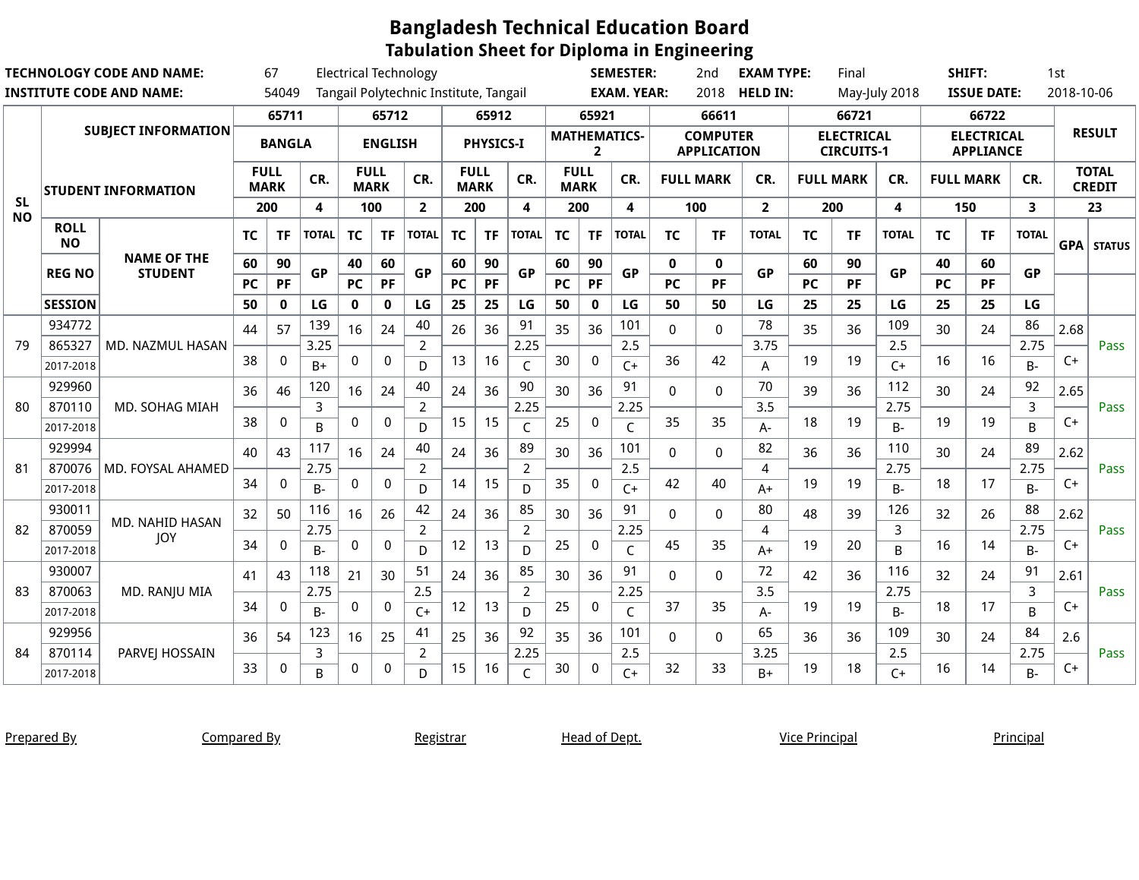|                        |                          |                                      |           |                            |              |              |                |                                        |                            |                  |                      |           |                            |                     | <b>Tabulation Sheet for Diploma in Engineering</b> |                                       |                   |           |                                        |               |           |                                       |                      |            |                               |
|------------------------|--------------------------|--------------------------------------|-----------|----------------------------|--------------|--------------|----------------|----------------------------------------|----------------------------|------------------|----------------------|-----------|----------------------------|---------------------|----------------------------------------------------|---------------------------------------|-------------------|-----------|----------------------------------------|---------------|-----------|---------------------------------------|----------------------|------------|-------------------------------|
|                        |                          | <b>TECHNOLOGY CODE AND NAME:</b>     |           | 67                         |              |              |                | <b>Electrical Technology</b>           |                            |                  |                      |           |                            | <b>SEMESTER:</b>    |                                                    | 2nd.                                  | <b>EXAM TYPE:</b> |           | Final                                  |               |           | SHIFT:                                |                      | 1st        |                               |
|                        |                          | <b>INSTITUTE CODE AND NAME:</b>      |           | 54049                      |              |              |                | Tangail Polytechnic Institute, Tangail |                            |                  |                      |           |                            | <b>EXAM. YEAR:</b>  |                                                    | 2018                                  | <b>HELD IN:</b>   |           |                                        | May-July 2018 |           | <b>ISSUE DATE:</b>                    |                      | 2018-10-06 |                               |
|                        |                          |                                      |           | 65711                      |              |              | 65712          |                                        |                            | 65912            |                      |           | 65921                      |                     |                                                    | 66611                                 |                   |           | 66721                                  |               |           | 66722                                 |                      |            |                               |
|                        |                          | <b>SUBJECT INFORMATION</b>           |           | <b>BANGLA</b>              |              |              | <b>ENGLISH</b> |                                        |                            | <b>PHYSICS-I</b> |                      |           | 2                          | <b>MATHEMATICS-</b> |                                                    | <b>COMPUTER</b><br><b>APPLICATION</b> |                   |           | <b>ELECTRICAL</b><br><b>CIRCUITS-1</b> |               |           | <b>ELECTRICAL</b><br><b>APPLIANCE</b> |                      |            | <b>RESULT</b>                 |
|                        |                          | <b>STUDENT INFORMATION</b>           |           | <b>FULL</b><br><b>MARK</b> | CR.          | <b>FULL</b>  | <b>MARK</b>    | CR.                                    | <b>FULL</b><br><b>MARK</b> |                  | CR.                  |           | <b>FULL</b><br><b>MARK</b> | CR.                 |                                                    | <b>FULL MARK</b>                      | CR.               |           | <b>FULL MARK</b>                       | CR.           |           | <b>FULL MARK</b>                      | CR.                  |            | <b>TOTAL</b><br><b>CREDIT</b> |
| <b>SL</b><br><b>NO</b> |                          |                                      |           | 200                        | 4            |              | 100            | $\overline{2}$                         | 200                        |                  | 4                    |           | 200                        | 4                   |                                                    | 100                                   | $\mathbf{2}$      |           | 200                                    | 4             |           | 150                                   | 3                    |            | 23                            |
|                        | <b>ROLL</b><br><b>NO</b> |                                      | <b>TC</b> | <b>TF</b>                  | <b>TOTAL</b> | <b>TC</b>    | <b>TF</b>      | <b>TOTAL</b>                           | <b>TC</b>                  | <b>TF</b>        | <b>TOTAL</b>         | <b>TC</b> | <b>TF</b>                  | <b>TOTAL</b>        | <b>TC</b>                                          | <b>TF</b>                             | <b>TOTAL</b>      | <b>TC</b> | <b>TF</b>                              | <b>TOTAL</b>  | <b>TC</b> | <b>TF</b>                             | <b>TOTAL</b>         |            | <b>GPA</b> STATUS             |
|                        | <b>REG NO</b>            | <b>NAME OF THE</b><br><b>STUDENT</b> | 60        | 90                         | <b>GP</b>    | 40           | 60             | <b>GP</b>                              | 60                         | 90               | <b>GP</b>            | 60        | 90                         | <b>GP</b>           | 0                                                  | $\mathbf{0}$                          | <b>GP</b>         | 60        | 90                                     | <b>GP</b>     | 40        | 60                                    | <b>GP</b>            |            |                               |
|                        |                          |                                      | PC        | PF                         |              | PC           | PF             |                                        | <b>PC</b>                  | PF               |                      | <b>PC</b> | $P$ F                      |                     | <b>PC</b>                                          | PF                                    |                   | <b>PC</b> | <b>PF</b>                              |               | <b>PC</b> | PF                                    |                      |            |                               |
|                        | <b>SESSION</b>           |                                      | 50        | $\mathbf 0$                | LG           | $\mathbf{0}$ | $\mathbf 0$    | LG                                     | 25                         | 25               | LG                   | 50        | $\mathbf{0}$               | LG                  | 50                                                 | 50                                    | LG                | 25        | 25                                     | LG            | 25        | 25                                    | LG                   |            |                               |
| 79                     | 934772                   |                                      | 44        | 57                         | 139          | 16           | 24             | 40                                     | 26                         | 36               | 91                   | 35        | 36                         | 101                 | $\Omega$                                           | $\Omega$                              | 78                | 35        | 36                                     | 109           | 30        | 24                                    | 86                   | 2.68       |                               |
|                        | 865327                   | MD. NAZMUL HASAN                     |           |                            | 3.25         |              |                | $\overline{2}$                         |                            |                  | 2.25                 |           |                            | 2.5                 |                                                    |                                       | 3.75              |           |                                        | 2.5           |           |                                       | 2.75                 |            | Pass                          |
|                        | 2017-2018                |                                      | 38        | $\mathbf{0}$               | $B+$         | 0            | $\mathbf 0$    | D                                      | 13                         | 16               | $\mathsf{C}$         | 30        | $\mathbf 0$                | $C+$                | 36                                                 | 42                                    | A                 | 19        | 19                                     | $C+$          | 16        | 16                                    | $B -$                | $C+$       |                               |
|                        | 929960                   |                                      | 36        | 46                         | 120          | 16           | 24             | 40                                     | 24                         | 36               | 90                   | 30        | 36                         | 91                  | $\mathbf{0}$                                       | $\mathbf{0}$                          | 70                | 39        | 36                                     | 112           | 30        | 24                                    | 92                   | 2.65       |                               |
| 80                     | 870110                   | MD. SOHAG MIAH                       | 38        | $\mathbf{0}$               | 3            | 0            | $\mathbf 0$    | $\overline{2}$                         | 15                         | 15               | 2.25                 | 25        | $\mathbf 0$                | 2.25                | 35                                                 | 35                                    | 3.5               | 18        | 19                                     | 2.75          | 19        | 19                                    | 3                    | $C+$       | Pass                          |
|                        | 2017-2018                |                                      |           |                            | B            |              |                | D                                      |                            |                  | $\mathsf{C}$         |           |                            | $\mathsf{C}$        |                                                    |                                       | А-                |           |                                        | $B -$         |           |                                       | B                    |            |                               |
|                        | 929994                   |                                      | 40        | 43                         | 117          | 16           | 24             | 40                                     | 24                         | 36               | 89                   | 30        | 36                         | 101                 | $\mathbf{0}$                                       | $\mathbf{0}$                          | 82                | 36        | 36                                     | 110           | 30        | 24                                    | 89                   | 2.62       |                               |
| 81                     | 870076                   | MD. FOYSAL AHAMED                    | 34        | $\mathbf{0}$               | 2.75         | $\Omega$     | $\mathbf{0}$   | $\overline{2}$                         | 14                         | 15               | $\overline{2}$       | 35        | $\mathbf{0}$               | 2.5                 | 42                                                 | 40                                    | 4                 | 19        | 19                                     | 2.75          | 18        | 17                                    | 2.75                 | $C+$       | Pass                          |
|                        | 2017-2018                |                                      |           |                            | B-           |              |                | D.                                     |                            |                  | D                    |           |                            | $C+$                |                                                    |                                       | $A+$              |           |                                        | $B -$         |           |                                       | $B -$                |            |                               |
|                        | 930011                   | MD. NAHID HASAN                      | 32        | 50                         | 116          | 16           | 26             | 42                                     | 24                         | 36               | 85                   | 30        | 36                         | 91                  | $\Omega$                                           | $\mathbf{0}$                          | 80                | 48        | 39                                     | 126           | 32        | 26                                    | 88                   | 2.62       |                               |
| 82                     | 870059                   | JOY                                  | 34        | $\mathbf{0}$               | 2.75         | 0            | $\mathbf 0$    | $\overline{2}$                         | 12                         | 13               | $\overline{2}$       | 25        | $\mathbf 0$                | 2.25                | 45                                                 | 35                                    | 4                 | 19        | 20                                     | 3             | 16        | 14                                    | 2.75                 | $C+$       | Pass                          |
|                        | 2017-2018                |                                      |           |                            | $B -$        |              |                | D                                      |                            |                  | D                    |           |                            | $\mathsf{C}$        |                                                    |                                       | $A+$              |           |                                        | B             |           |                                       | $B -$                |            |                               |
| 83                     | 930007<br>870063         |                                      | 41        | 43                         | 118<br>2.75  | 21           | 30             | 51<br>2.5                              | 24                         | 36               | 85<br>$\overline{2}$ | 30        | 36                         | 91<br>2.25          | $\Omega$                                           | $\mathbf{0}$                          | 72<br>3.5         | 42        | 36                                     | 116<br>2.75   | 32        | 24                                    | 91<br>$\overline{3}$ | 2.61       | Pass                          |
|                        | 2017-2018                | MD. RANJU MIA                        | 34        | 0                          | $B -$        | 0            | $\mathbf 0$    | $C +$                                  | 12                         | 13               | D                    | 25        | $\mathbf 0$                | $\mathsf{C}$        | 37                                                 | 35                                    | A-                | 19        | 19                                     | $B -$         | 18        | 17                                    | B                    | $C+$       |                               |
|                        | 929956                   |                                      |           |                            | 123          |              |                | 41                                     |                            |                  | 92                   |           |                            | 101                 |                                                    |                                       | 65                |           |                                        | 109           |           |                                       | 84                   |            |                               |
| 84                     | 870114                   | PARVEJ HOSSAIN                       | 36        | 54                         | 3            | 16           | 25             | $\overline{2}$                         | 25                         | 36               | 2.25                 | 35        | 36                         | 2.5                 | $\Omega$                                           | $\mathbf{0}$                          | 3.25              | 36        | 36                                     | 2.5           | 30        | 24                                    | 2.75                 | 2.6        | Pass                          |
|                        | 2017-2018                |                                      | 33        | 0                          | B            | 0            | 0              | D                                      | 15                         | 16               |                      | 30        | 0                          | $C+$                | 32                                                 | 33                                    | $B+$              | 19        | 18                                     | $C+$          | 16        | 14                                    | $B -$                | $C+$       |                               |

**Bangladesh Technical Education Board**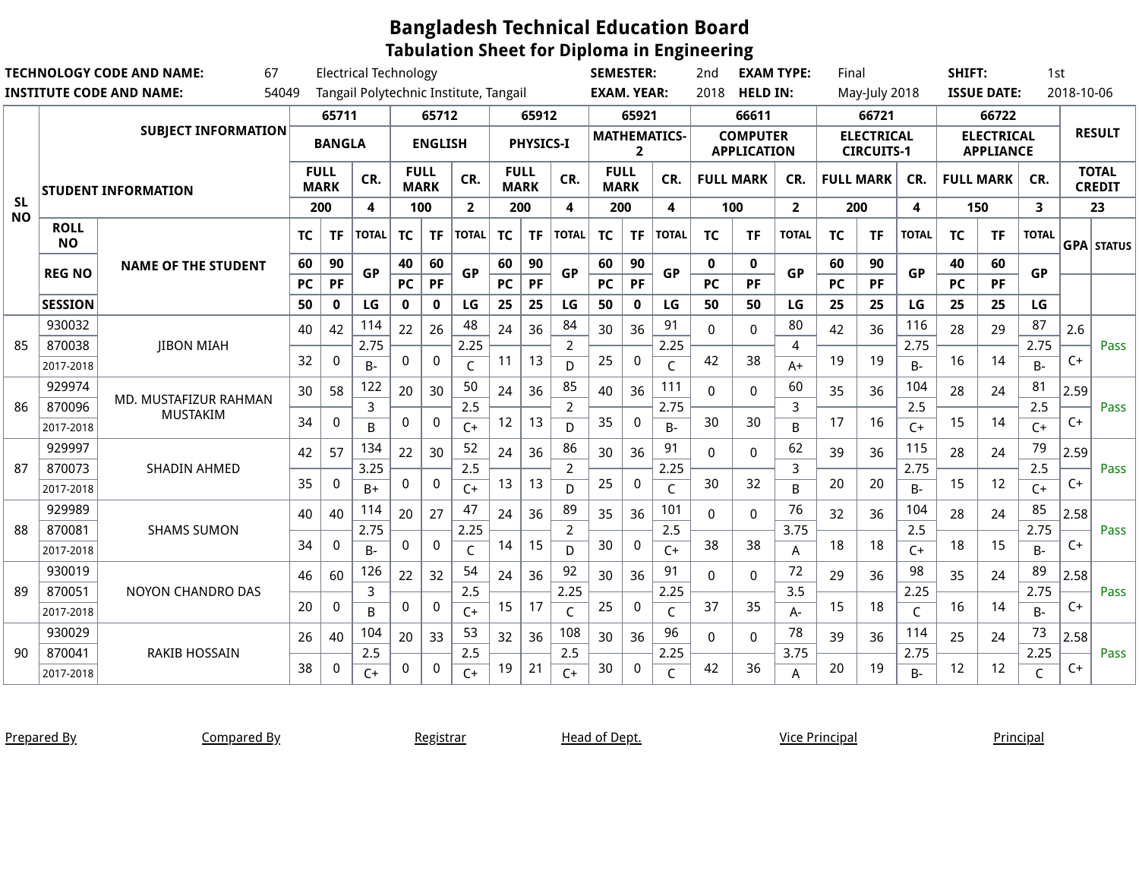|                        |                          |                                          |    |                            |                              |              |                            |                                        |                            |                  |                     |                    |                            | Tabulation Sheet for Diploma in Engineering |                 |                                       |                   |           |                                        |              |           |                                       |                         |            |                               |
|------------------------|--------------------------|------------------------------------------|----|----------------------------|------------------------------|--------------|----------------------------|----------------------------------------|----------------------------|------------------|---------------------|--------------------|----------------------------|---------------------------------------------|-----------------|---------------------------------------|-------------------|-----------|----------------------------------------|--------------|-----------|---------------------------------------|-------------------------|------------|-------------------------------|
|                        |                          | 67<br>TECHNOLOGY CODE AND NAME:          |    |                            | <b>Electrical Technology</b> |              |                            |                                        |                            |                  |                     |                    | <b>SEMESTER:</b>           |                                             | 2 <sub>nd</sub> |                                       | <b>EXAM TYPE:</b> | Final     |                                        |              | SHIFT:    |                                       | 1st                     |            |                               |
|                        |                          | 54049<br><b>INSTITUTE CODE AND NAME:</b> |    |                            |                              |              |                            | Tangail Polytechnic Institute, Tangail |                            |                  |                     | <b>EXAM. YEAR:</b> |                            |                                             | 2018            | <b>HELD IN:</b>                       |                   |           | May-July 2018                          |              |           | <b>ISSUE DATE:</b>                    |                         | 2018-10-06 |                               |
|                        |                          |                                          |    | 65711                      |                              |              | 65712                      |                                        |                            | 65912            |                     |                    | 65921                      |                                             |                 | 66611                                 |                   |           | 66721                                  |              |           | 66722                                 |                         |            |                               |
|                        |                          | <b>SUBJECT INFORMATION</b>               |    | <b>BANGLA</b>              |                              |              | <b>ENGLISH</b>             |                                        |                            | <b>PHYSICS-I</b> |                     |                    | $\overline{2}$             | <b>MATHEMATICS-</b>                         |                 | <b>COMPUTER</b><br><b>APPLICATION</b> |                   |           | <b>ELECTRICAL</b><br><b>CIRCUITS-1</b> |              |           | <b>ELECTRICAL</b><br><b>APPLIANCE</b> |                         |            | <b>RESULT</b>                 |
|                        |                          | <b>STUDENT INFORMATION</b>               |    | <b>FULL</b><br><b>MARK</b> | CR.                          |              | <b>FULL</b><br><b>MARK</b> | CR.                                    | <b>FULL</b><br><b>MARK</b> |                  | CR.                 |                    | <b>FULL</b><br><b>MARK</b> | CR.                                         |                 | <b>FULL MARK</b>                      | CR.               |           | <b>FULL MARK</b>                       | CR.          |           | <b>FULL MARK</b>                      | CR.                     |            | <b>TOTAL</b><br><b>CREDIT</b> |
| <b>SL</b><br><b>NO</b> |                          |                                          |    | 200                        | 4                            |              | 100                        | $\mathbf{2}$                           |                            | 200              | 4                   |                    | 200                        | 4                                           |                 | 100                                   | $\overline{2}$    |           | 200                                    | 4            |           | 150                                   | $\overline{\mathbf{3}}$ |            | 23                            |
|                        | <b>ROLL</b><br><b>NO</b> |                                          | ТC | <b>TF</b>                  | <b>TOTAL</b>                 | ТC           | <b>TF</b>                  | <b>TOTAL</b>                           | TC                         | <b>TF</b>        | <b>TOTAL</b>        | <b>TC</b>          | <b>TF</b>                  | <b>TOTAL</b>                                | <b>TC</b>       | <b>TF</b>                             | <b>TOTAL</b>      | <b>TC</b> | TF.                                    | <b>TOTAL</b> | <b>TC</b> | <b>TF</b>                             | <b>TOTAL</b>            |            | <b>GPA STATUS</b>             |
|                        | <b>REG NO</b>            | <b>NAME OF THE STUDENT</b>               | 60 | 90                         | <b>GP</b>                    | 40           | 60                         | GP                                     | 60                         | 90               | <b>GP</b>           | 60                 | 90                         | <b>GP</b>                                   | $\mathbf{0}$    | $\mathbf{0}$                          | <b>GP</b>         | 60        | 90                                     | <b>GP</b>    | 40        | 60                                    | GP                      |            |                               |
|                        |                          |                                          | PC | PF                         |                              | PC           | PF                         |                                        | <b>PC</b>                  | PF               |                     | <b>PC</b>          | PF                         |                                             | <b>PC</b>       | PF                                    |                   | <b>PC</b> | PF                                     |              | <b>PC</b> | PF                                    |                         |            |                               |
|                        | <b>SESSION</b>           |                                          | 50 | 0                          | LG                           | 0            | 0                          | LG                                     | 25                         | 25               | LG                  | 50                 | 0                          | LG                                          | 50              | 50                                    | LG                | 25        | 25                                     | LG           | 25        | 25                                    | LG                      |            |                               |
| 85                     | 930032                   |                                          | 40 | 42                         | 114                          | 22           | 26                         | 48                                     | 24                         | 36               | 84                  | 30                 | 36                         | 91                                          | $\Omega$        | $\Omega$                              | 80                | 42        | 36                                     | 116          | 28        | 29                                    | 87                      | 2.6        |                               |
|                        | 870038                   | <b>JIBON MIAH</b>                        |    |                            | 2.75                         |              |                            | 2.25                                   |                            |                  | $\overline{2}$      |                    |                            | 2.25                                        |                 |                                       | 4                 |           |                                        | 2.75         |           |                                       | 2.75                    |            | Pass                          |
|                        | 2017-2018                |                                          | 32 | 0                          | $B -$                        | 0            | $\mathbf 0$                | $\mathsf{C}$                           | 11                         | 13               | D                   | 25                 | 0                          | $\mathsf{C}$                                | 42              | 38                                    | $A+$              | 19        | 19                                     | $B -$        | 16        | 14                                    | $B -$                   | $C+$       |                               |
|                        | 929974                   | MD. MUSTAFIZUR RAHMAN                    | 30 | 58                         | 122                          | 20           | 30                         | 50                                     | 24                         | 36               | 85                  | 40                 | 36                         | 111                                         | $\Omega$        | $\Omega$                              | 60                | 35        | 36                                     | 104          | 28        | 24                                    | 81                      | 2.59       |                               |
| 86                     | 870096                   | MUSTAKIM                                 | 34 | 0                          | 3                            | $\Omega$     | $\mathbf{0}$               | 2.5                                    | 12                         | 13               | $\overline{2}$      | 35                 | 0                          | 2.75                                        | 30              | 30                                    | $\mathsf{3}$      | 17        | 16                                     | 2.5          | 15        | 14                                    | 2.5                     | $C+$       | Pass                          |
|                        | 2017-2018                |                                          |    |                            | B                            |              |                            | $C+$                                   |                            |                  | D                   |                    |                            | $B -$                                       |                 |                                       | B                 |           |                                        | $C+$         |           |                                       | $C+$                    |            |                               |
|                        | 929997                   |                                          | 42 | 57                         | 134                          | 22           | 30                         | 52                                     | 24                         | 36               | 86                  | 30                 | 36                         | 91                                          | $\Omega$        | $\Omega$                              | 62                | 39        | 36                                     | 115          | 28        | 24                                    | 79                      | 2.59       |                               |
| 87                     | 870073                   | SHADIN AHMED                             | 35 | $\mathbf{0}$               | 3.25<br>$B+$                 | 0            | $\mathbf{0}$               | 2.5<br>$C+$                            | 13                         | 13               | $\overline{2}$<br>D | 25                 | $\mathbf{0}$               | 2.25<br>$\overline{C}$                      | 30              | 32                                    | $\overline{3}$    | 20        | 20                                     | 2.75         | 15        | 12                                    | 2.5<br>$C+$             | $C+$       | Pass                          |
|                        | 2017-2018                |                                          |    |                            |                              |              |                            |                                        |                            |                  |                     |                    |                            |                                             |                 |                                       | B                 |           |                                        | $B -$        |           |                                       |                         |            |                               |
| 88                     | 929989<br>870081         |                                          | 40 | 40                         | 114<br>2.75                  | 20           | 27                         | 47<br>2.25                             | 24                         | 36               | 89<br>2             | 35                 | 36                         | 101<br>2.5                                  | 0               | $\Omega$                              | 76<br>3.75        | 32        | 36                                     | 104<br>2.5   | 28        | 24                                    | 85<br>2.75              | 2.58       | Pass                          |
|                        | 2017-2018                | <b>SHAMS SUMON</b>                       | 34 | $\mathbf{0}$               | $B -$                        | <sup>0</sup> | $\mathbf{0}$               | $\mathsf{C}$                           | 14                         | 15               | D                   | 30                 | $\mathbf{0}$               | $C+$                                        | 38              | 38                                    | A                 | 18        | 18                                     | $C+$         | 18        | 15                                    | <b>B-</b>               | $C+$       |                               |
|                        | 930019                   |                                          |    |                            | 126                          |              |                            | 54                                     |                            |                  | 92                  |                    |                            | 91                                          |                 |                                       | 72                |           |                                        | 98           |           |                                       | 89                      |            |                               |
| 89                     | 870051                   | NOYON CHANDRO DAS                        | 46 | 60                         | 3                            | 22           | 32                         | 2.5                                    | 24                         | 36               | 2.25                | 30                 | 36                         | 2.25                                        | $\Omega$        | $\Omega$                              | 3.5               | 29        | 36                                     | 2.25         | 35        | 24                                    | 2.75                    | 2.58       | Pass                          |
|                        | 2017-2018                |                                          | 20 | 0                          | B                            | 0            | 0                          | $C+$                                   | 15                         | 17               | $\mathsf{C}$        | 25                 | 0                          | $\mathsf{C}$                                | 37              | 35                                    | $A -$             | 15        | 18                                     | $\mathsf{C}$ | 16        | 14                                    | $B -$                   | $C+$       |                               |
|                        | 930029                   |                                          | 26 | 40                         | 104                          | 20           | 33                         | 53                                     | 32                         | 36               | 108                 | 30                 | 36                         | 96                                          | $\mathbf{0}$    | $\Omega$                              | 78                | 39        | 36                                     | 114          | 25        | 24                                    | 73                      | 2.58       |                               |
| 90                     | 870041                   | <b>RAKIB HOSSAIN</b>                     |    |                            | 2.5                          |              |                            | 2.5                                    |                            |                  | 2.5                 |                    |                            | 2.25                                        |                 |                                       | 3.75              |           |                                        | 2.75         |           |                                       | 2.25                    |            | Pass                          |
|                        | 2017-2018                |                                          | 38 | 0                          | $C+$                         | 0            | 0                          | $C+$                                   | 19                         | 21               | $C+$                | 30                 | 0                          | C                                           | 42              | 36                                    | Α                 | 20        | 19                                     | $B -$        | 12        | 12                                    | $\mathsf{C}$            | $C+$       |                               |

**Bangladesh Technical Education Board**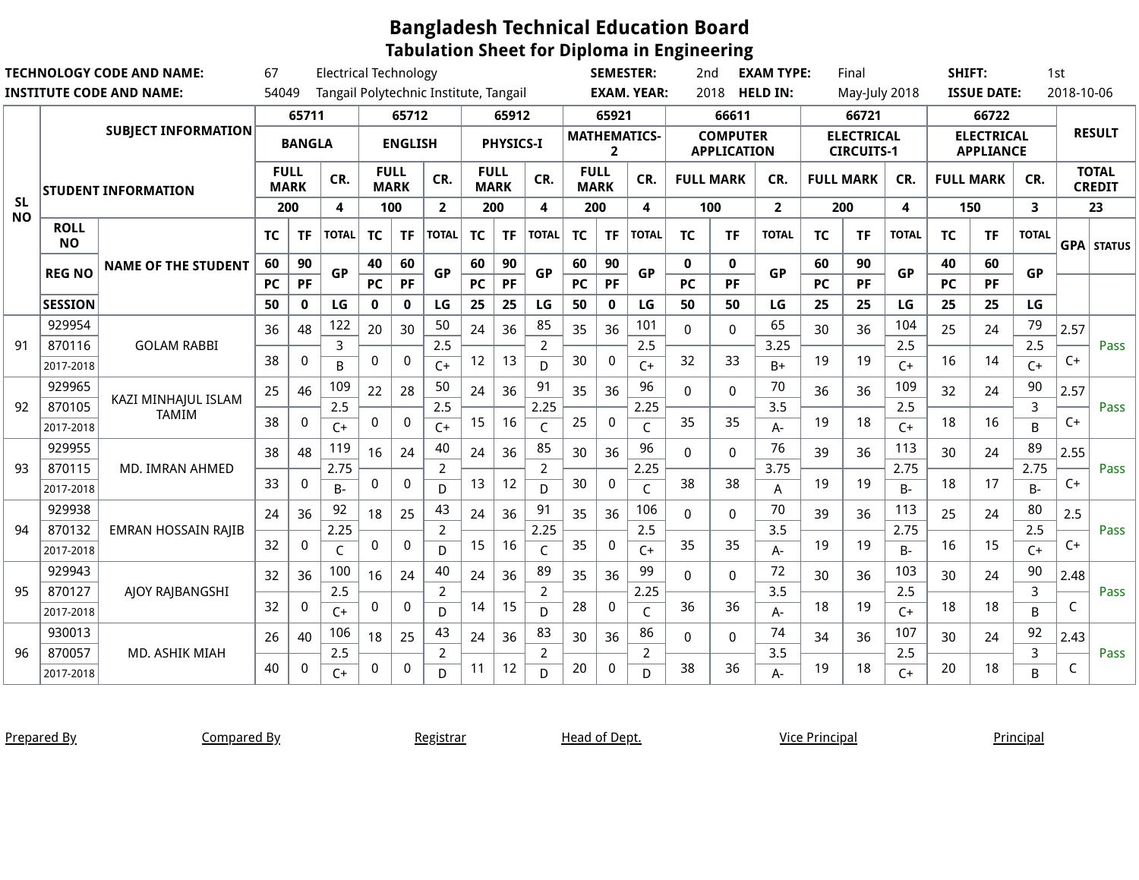|                        |                          |                                 |                            |               |                              |              |                            |                                        |             |                  |                         |             |                  |                         | <b>Bangladesh Technical Education Board</b><br><b>Tabulation Sheet for Diploma in Engineering</b> |                                       |                   |           |                                        |              |           |                                       |                         |            |                               |
|------------------------|--------------------------|---------------------------------|----------------------------|---------------|------------------------------|--------------|----------------------------|----------------------------------------|-------------|------------------|-------------------------|-------------|------------------|-------------------------|---------------------------------------------------------------------------------------------------|---------------------------------------|-------------------|-----------|----------------------------------------|--------------|-----------|---------------------------------------|-------------------------|------------|-------------------------------|
|                        |                          | TECHNOLOGY CODE AND NAME:       | 67                         |               | <b>Electrical Technology</b> |              |                            |                                        |             |                  |                         |             | <b>SEMESTER:</b> |                         | 2nd                                                                                               |                                       | <b>EXAM TYPE:</b> |           | Final                                  |              | SHIFT:    |                                       |                         | 1st        |                               |
|                        |                          | <b>INSTITUTE CODE AND NAME:</b> | 54049                      |               |                              |              |                            | Tangail Polytechnic Institute, Tangail |             |                  |                         |             |                  | <b>EXAM. YEAR:</b>      |                                                                                                   | 2018                                  | <b>HELD IN:</b>   |           | May-July 2018                          |              |           | <b>ISSUE DATE:</b>                    |                         | 2018-10-06 |                               |
|                        |                          |                                 |                            | 65711         |                              |              | 65712                      |                                        |             | 65912            |                         |             | 65921            |                         |                                                                                                   | 66611                                 |                   |           | 66721                                  |              |           | 66722                                 |                         |            |                               |
|                        |                          | <b>SUBJECT INFORMATION</b>      |                            | <b>BANGLA</b> |                              |              | <b>ENGLISH</b>             |                                        |             | <b>PHYSICS-I</b> |                         |             | $\overline{2}$   | <b>MATHEMATICS-</b>     |                                                                                                   | <b>COMPUTER</b><br><b>APPLICATION</b> |                   |           | <b>ELECTRICAL</b><br><b>CIRCUITS-1</b> |              |           | <b>ELECTRICAL</b><br><b>APPLIANCE</b> |                         |            | <b>RESULT</b>                 |
|                        |                          | <b>STUDENT INFORMATION</b>      | <b>FULL</b><br><b>MARK</b> |               | CR.                          |              | <b>FULL</b><br><b>MARK</b> | CR.                                    | <b>FULL</b> | <b>MARK</b>      | CR.                     | <b>FULL</b> | <b>MARK</b>      | CR.                     |                                                                                                   | <b>FULL MARK</b>                      | CR.               |           | <b>FULL MARK</b>                       | CR.          |           | <b>FULL MARK</b>                      | CR.                     |            | <b>TOTAL</b><br><b>CREDIT</b> |
| <b>SL</b><br><b>NO</b> |                          |                                 | 200                        |               | $\overline{\mathbf{4}}$      |              | 100                        | $2^{\circ}$                            |             | 200              | $\overline{\mathbf{4}}$ |             | 200              | $\overline{\mathbf{4}}$ |                                                                                                   | 100                                   | $\overline{2}$    |           | 200                                    | 4            |           | 150                                   | $\overline{\mathbf{3}}$ |            | 23                            |
|                        | <b>ROLL</b><br><b>NO</b> |                                 | <b>TC</b>                  | <b>TF</b>     | <b>TOTAL</b>                 | <b>TC</b>    | <b>TF</b>                  | <b>TOTAL</b>                           | ТC          | <b>TF</b>        | <b>TOTAL</b>            | <b>TC</b>   | <b>TF</b>        | <b>TOTAL</b>            | <b>TC</b>                                                                                         | <b>TF</b>                             | <b>TOTAL</b>      | <b>TC</b> | <b>TF</b>                              | <b>TOTAL</b> | <b>TC</b> | <b>TF</b>                             | <b>TOTAL</b>            |            | <b>GPA STATUS</b>             |
|                        |                          | <b>NAME OF THE STUDENT</b>      | 60                         | 90            | <b>GP</b>                    | 40           | 60                         | <b>GP</b>                              | 60          | 90               | <b>GP</b>               | 60          | 90               | <b>GP</b>               | $\mathbf{0}$                                                                                      | $\mathbf{0}$                          | <b>GP</b>         | 60        | 90                                     | <b>GP</b>    | 40        | 60                                    | <b>GP</b>               |            |                               |
|                        | <b>REG NO</b>            |                                 | <b>PC</b>                  | PF            |                              | PC           | PF                         |                                        | <b>PC</b>   | PF               |                         | <b>PC</b>   | PF               |                         | <b>PC</b>                                                                                         | <b>PF</b>                             |                   | PC        | PF                                     |              | <b>PC</b> | PF                                    |                         |            |                               |
|                        | <b>SESSION</b>           |                                 | 50                         | $\mathbf 0$   | LG                           | $\mathbf 0$  | $\mathbf{0}$               | LG                                     | 25          | 25               | LG                      | 50          | $\mathbf 0$      | LG                      | 50                                                                                                | 50                                    | LG                | 25        | 25                                     | LG           | 25        | 25                                    | LG                      |            |                               |
| 91                     | 929954                   |                                 | 36                         | 48            | 122                          | 20           | 30                         | 50                                     | 24          | 36               | 85                      | 35          | 36               | 101                     | $\Omega$                                                                                          | $\Omega$                              | 65                | 30        | 36                                     | 104          | 25        | 24                                    | 79                      | 2.57       |                               |
|                        | 870116                   | <b>GOLAM RABBI</b>              |                            |               | $\mathbf{3}$                 |              |                            | 2.5                                    |             |                  | $\overline{2}$          |             |                  | 2.5                     |                                                                                                   |                                       | 3.25              |           |                                        | 2.5          |           |                                       | 2.5                     |            | Pass                          |
|                        | 2017-2018                |                                 | 38                         | $\mathbf{0}$  | B                            | $\mathbf{0}$ | $\Omega$                   | $C+$                                   | 12          | 13               | D.                      | 30          | $\mathbf 0$      | $C+$                    | 32                                                                                                | 33                                    | $B+$              | 19        | 19                                     | $C+$         | 16        | 14                                    | $C+$                    | $C+$       |                               |
|                        | 929965                   | KAZI MINHAJUL ISLAM             | 25                         | 46            | 109                          | 22           | 28                         | 50                                     | 24          | 36               | 91                      | 35          | 36               | 96                      | $\Omega$                                                                                          | $\Omega$                              | 70                | 36        | 36                                     | 109          | 32        | 24                                    | 90                      | 2.57       |                               |
| 92                     | 870105                   | <b>TAMIM</b>                    | 38                         | $\mathbf{0}$  | 2.5                          | $\mathbf{0}$ | $\Omega$                   | 2.5                                    | 15          | 16               | 2.25                    | 25          | $\mathbf 0$      | 2.25                    | 35                                                                                                | 35                                    | 3.5               | 19        | 18                                     | 2.5          | 18        | 16                                    | 3                       | $C+$       | Pass                          |
|                        | 2017-2018<br>929955      |                                 |                            |               | $\overline{C+}$              |              |                            | $\overline{C+}$                        |             |                  | $\mathsf{C}$            |             |                  | $\mathsf{C}$            |                                                                                                   |                                       | A-                |           |                                        | $C+$         |           |                                       | B                       |            |                               |
| 93                     | 870115                   | <b>MD. IMRAN AHMED</b>          | 38                         | 48            | 119<br>2.75                  | 16           | 24                         | 40<br>$\overline{2}$                   | 24          | 36               | 85<br>$\overline{2}$    | 30          | 36               | 96<br>2.25              | $\Omega$                                                                                          | $\Omega$                              | 76<br>3.75        | 39        | 36                                     | 113<br>2.75  | 30        | 24                                    | 89<br>2.75              | 2.55       | Pass                          |
|                        | 2017-2018                |                                 | 33                         | $\mathbf{0}$  | <b>B-</b>                    | $\mathbf{0}$ | $\Omega$                   | D.                                     | 13          | 12               | D.                      | 30          | $\mathbf{0}$     | $\mathsf{C}$            | 38                                                                                                | 38                                    | A                 | 19        | 19                                     | B-           | 18        | 17                                    | $B -$                   | $C+$       |                               |
|                        | 929938                   |                                 | 24                         | 36            | 92                           | 18           | 25                         | 43                                     | 24          | 36               | 91                      | 35          | 36               | 106                     | $\Omega$                                                                                          | $\mathbf{0}$                          | 70                | 39        | 36                                     | 113          | 25        | 24                                    | 80                      | 2.5        |                               |
| 94                     | 870132                   | <b>EMRAN HOSSAIN RAJIB</b>      |                            |               | 2.25                         |              |                            | $\overline{2}$                         |             |                  | 2.25                    |             |                  | 2.5                     |                                                                                                   |                                       | 3.5               |           |                                        | 2.75         |           |                                       | 2.5                     |            | Pass                          |
|                        | 2017-2018                |                                 | 32                         | $\mathbf 0$   | $\overline{\mathsf{C}}$      | $\mathbf{0}$ | $\Omega$                   | D                                      | 15          | 16               | $\mathsf{C}$            | 35          | $\mathbf{0}$     | $\overline{C}$          | 35                                                                                                | 35                                    | $A -$             | 19        | 19                                     | $B -$        | 16        | 15                                    | $\overline{C+}$         | $C+$       |                               |
|                        | 929943                   |                                 | 32                         | 36            | 100                          | 16           | 24                         | 40                                     | 24          | 36               | 89                      | 35          | 36               | 99                      | $\mathbf{0}$                                                                                      | $\Omega$                              | 72                | 30        | 36                                     | 103          | 30        | 24                                    | 90                      | 2.48       |                               |
| 95                     | 870127                   | AJOY RAJBANGSHI                 |                            |               | 2.5                          |              |                            | $\overline{2}$                         |             |                  | $\overline{2}$          |             |                  | 2.25                    |                                                                                                   |                                       | 3.5               |           |                                        | 2.5          |           |                                       | $\mathsf{3}$            |            | Pass                          |
|                        | 2017-2018                |                                 | 32                         | $\mathbf{0}$  | $C+$                         | $\mathbf{0}$ | $\Omega$                   | D                                      | 14          | 15               | D.                      | 28          | $\mathbf{0}$     | $\mathsf{C}$            | 36                                                                                                | 36                                    | A-                | 18        | 19                                     | $C+$         | 18        | 18                                    | B                       | C          |                               |
|                        | 930013                   |                                 | 26                         | 40            | 106                          | 18           | 25                         | 43                                     | 24          | 36               | 83                      | 30          | 36               | 86                      | $\Omega$                                                                                          | $\mathbf{0}$                          | 74                | 34        | 36                                     | 107          | 30        | 24                                    | 92                      | 2.43       |                               |
| 96                     | 870057<br>2017-2018      | MD. ASHIK MIAH                  | 40                         | 0             | 2.5<br>$C +$                 | $\mathbf{0}$ | 0                          | $\overline{2}$<br>D.                   | 11          | 12               | $\overline{2}$<br>D     | 20          | $\mathbf 0$      | $\overline{2}$<br>D     | 38                                                                                                | 36                                    | 3.5<br>А-         | 19        | 18                                     | 2.5<br>$C+$  | 20        | 18                                    | 3<br>B                  | C          | Pass                          |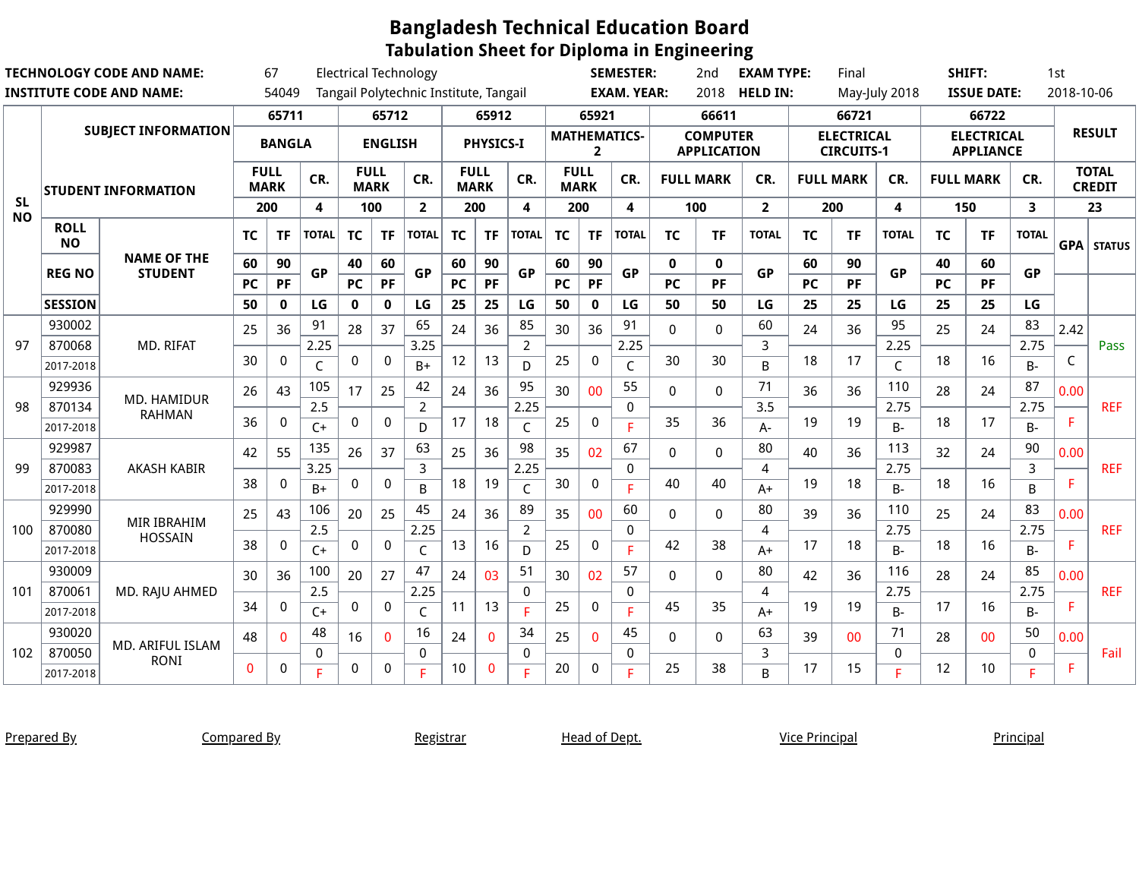|                        |                          |                                      |             |                            |                         |              |                |                                        |             |                  |                         |             |                |                     | <b>Bangladesh Technical Education Board</b><br><b>Tabulation Sheet for Diploma in Engineering</b> |                                       |                   |           |                                        |                |           |                                       |                   |            |                               |
|------------------------|--------------------------|--------------------------------------|-------------|----------------------------|-------------------------|--------------|----------------|----------------------------------------|-------------|------------------|-------------------------|-------------|----------------|---------------------|---------------------------------------------------------------------------------------------------|---------------------------------------|-------------------|-----------|----------------------------------------|----------------|-----------|---------------------------------------|-------------------|------------|-------------------------------|
|                        |                          | <b>TECHNOLOGY CODE AND NAME:</b>     |             | 67                         |                         |              |                | <b>Electrical Technology</b>           |             |                  |                         |             |                | <b>SEMESTER:</b>    |                                                                                                   | 2nd                                   | <b>EXAM TYPE:</b> |           | Final                                  |                |           | SHIFT:                                |                   | 1st        |                               |
|                        |                          | <b>INSTITUTE CODE AND NAME:</b>      |             | 54049                      |                         |              |                | Tangail Polytechnic Institute, Tangail |             |                  |                         |             |                | <b>EXAM. YEAR:</b>  |                                                                                                   | 2018                                  | <b>HELD IN:</b>   |           |                                        | May-July 2018  |           | <b>ISSUE DATE:</b>                    |                   | 2018-10-06 |                               |
|                        |                          |                                      |             | 65711                      |                         |              | 65712          |                                        |             | 65912            |                         |             | 65921          |                     |                                                                                                   | 66611                                 |                   |           | 66721                                  |                |           | 66722                                 |                   |            |                               |
|                        |                          | <b>SUBJECT INFORMATION</b>           |             | <b>BANGLA</b>              |                         |              | <b>ENGLISH</b> |                                        |             | <b>PHYSICS-I</b> |                         |             | $\overline{2}$ | <b>MATHEMATICS-</b> |                                                                                                   | <b>COMPUTER</b><br><b>APPLICATION</b> |                   |           | <b>ELECTRICAL</b><br><b>CIRCUITS-1</b> |                |           | <b>ELECTRICAL</b><br><b>APPLIANCE</b> |                   |            | <b>RESULT</b>                 |
|                        |                          | <b>STUDENT INFORMATION</b>           |             | <b>FULL</b><br><b>MARK</b> | CR.                     | <b>FULL</b>  | <b>MARK</b>    | CR.                                    | <b>FULL</b> | <b>MARK</b>      | CR.                     | <b>FULL</b> | <b>MARK</b>    | CR.                 |                                                                                                   | <b>FULL MARK</b>                      | CR.               |           | <b>FULL MARK</b>                       | CR.            |           | <b>FULL MARK</b>                      | CR.               |            | <b>TOTAL</b><br><b>CREDIT</b> |
| <b>SL</b><br><b>NO</b> |                          |                                      |             | 200                        | $\overline{\mathbf{4}}$ |              | 100            | $\overline{2}$                         |             | 200              | $\overline{\mathbf{4}}$ |             | 200            | 4                   |                                                                                                   | 100                                   | $\overline{2}$    |           | 200                                    | 4              |           | 150                                   | 3                 |            | 23                            |
|                        | <b>ROLL</b><br><b>NO</b> |                                      | ТC          | <b>TF</b>                  | <b>TOTAL</b>            | <b>TC</b>    | <b>TF</b>      | <b>TOTAL</b>                           | TC          | <b>TF</b>        | <b>TOTAL</b>            | <b>TC</b>   | <b>TF</b>      | <b>TOTAL</b>        | <b>TC</b>                                                                                         | <b>TF</b>                             | <b>TOTAL</b>      | <b>TC</b> | <b>TF</b>                              | <b>TOTAL</b>   | TC        | <b>TF</b>                             | <b>TOTAL</b>      |            | <b>GPA</b> STATUS             |
|                        | <b>REG NO</b>            | <b>NAME OF THE</b><br><b>STUDENT</b> | 60          | 90                         | <b>GP</b>               | 40           | 60             | <b>GP</b>                              | 60          | 90               | <b>GP</b>               | 60          | 90             | <b>GP</b>           | $\mathbf{0}$                                                                                      | $\mathbf 0$                           | <b>GP</b>         | 60        | 90                                     | <b>GP</b>      | 40        | 60                                    | <b>GP</b>         |            |                               |
|                        |                          |                                      | PC          | PF                         |                         | PC           | PF             |                                        | <b>PC</b>   | PF               |                         | PC          | PF             |                     | <b>PC</b>                                                                                         | PF                                    |                   | <b>PC</b> | <b>PF</b>                              |                | <b>PC</b> | PF                                    |                   |            |                               |
|                        | <b>SESSION</b>           |                                      | 50          | $\mathbf 0$                | LG                      | $\mathbf 0$  | $\mathbf 0$    | LG                                     | 25          | 25               | LG                      | 50          | $\mathbf 0$    | LG                  | 50                                                                                                | 50                                    | LG                | 25        | 25                                     | LG             | 25        | 25                                    | LG                |            |                               |
|                        | 930002                   |                                      | 25          | 36                         | 91                      | 28           | 37             | 65                                     | 24          | 36               | 85                      | 30          | 36             | 91                  | $\Omega$                                                                                          | $\Omega$                              | 60                | 24        | 36                                     | 95             | 25        | 24                                    | 83                | 2.42       |                               |
| 97                     | 870068                   | MD. RIFAT                            | 30          | $\mathbf{0}$               | 2.25                    | 0            | $\mathbf{0}$   | 3.25                                   | 12          | 13               | $\overline{2}$          | 25          | $\mathbf{0}$   | 2.25                | 30                                                                                                | 30                                    | $\overline{3}$    | 18        | 17                                     | 2.25           | 18        | 16                                    | 2.75              | C          | Pass                          |
|                        | 2017-2018                |                                      |             |                            | $\mathsf{C}$            |              |                | $B+$                                   |             |                  | D.                      |             |                | $\mathsf{C}$        |                                                                                                   |                                       | B                 |           |                                        | $\mathsf{C}$   |           |                                       | $B -$             |            |                               |
|                        | 929936                   | MD. HAMIDUR                          | 26          | 43                         | 105                     | 17           | 25             | 42                                     | 24          | 36               | 95                      | 30          | 00             | 55                  | $\mathbf{0}$                                                                                      | $\Omega$                              | 71                | 36        | 36                                     | 110            | 28        | 24                                    | 87                | 0.00       |                               |
| 98                     | 870134<br>2017-2018      | <b>RAHMAN</b>                        | 36          | $\mathbf{0}$               | 2.5<br>$C+$             | $\mathbf 0$  | $\mathbf 0$    | $\overline{2}$<br>D                    | 17          | 18               | 2.25<br>$\mathsf{C}$    | 25          | $\mathbf 0$    | 0<br>E              | 35                                                                                                | 36                                    | 3.5<br>А-         | 19        | 19                                     | 2.75<br>$B -$  | 18        | 17                                    | 2.75<br>$B -$     | F          | <b>REF</b>                    |
|                        | 929987                   |                                      | 42          | 55                         | 135                     | 26           | 37             | 63                                     | 25          | 36               | 98                      | 35          | 02             | 67                  | $\mathbf{0}$                                                                                      | $\mathbf{0}$                          | 80                | 40        | 36                                     | 113            | 32        | 24                                    | 90                | 0.00       |                               |
| 99                     | 870083                   | AKASH KABIR                          |             |                            | 3.25                    |              |                | 3                                      |             |                  | 2.25                    |             |                | $\mathbf{0}$        |                                                                                                   |                                       | 4                 |           |                                        | 2.75           |           |                                       | 3                 |            | <b>REF</b>                    |
|                        | 2017-2018                |                                      | 38          | $\mathbf{0}$               | $B+$                    | $\mathbf{0}$ | $\mathbf{0}$   | <sub>R</sub>                           | 18          | 19               | $\mathsf{C}$            | 30          | $\mathbf{0}$   | F.                  | 40                                                                                                | 40                                    | $A+$              | 19        | 18                                     | $B -$          | 18        | 16                                    | B                 | F          |                               |
|                        | 929990                   |                                      | 25          | 43                         | 106                     | 20           | 25             | 45                                     | 24          | 36               | 89                      | 35          | 00             | 60                  | $\Omega$                                                                                          | $\mathbf{0}$                          | 80                | 39        | 36                                     | 110            | 25        | 24                                    | 83                | 0.00       |                               |
| 100                    | 870080                   | <b>MIR IBRAHIM</b><br><b>HOSSAIN</b> |             |                            | 2.5                     |              |                | 2.25                                   |             |                  | $\overline{2}$          |             |                | $\pmb{0}$           |                                                                                                   |                                       | 4                 |           |                                        | 2.75           |           |                                       | 2.75              |            | <b>REF</b>                    |
|                        | 2017-2018                |                                      | 38          | $\mathbf 0$                | $\overline{C+}$         | $\mathbf 0$  | $\mathbf 0$    | $\mathsf{C}$                           | 13          | 16               | D                       | 25          | $\mathbf 0$    | F                   | 42                                                                                                | 38                                    | $A+$              | 17        | 18                                     | $B -$          | 18        | 16                                    | $B -$             | F          |                               |
|                        | 930009                   |                                      | 30          | 36                         | 100                     | 20           | 27             | 47                                     | 24          | 03               | 51                      | 30          | 02             | 57                  | $\mathbf{0}$                                                                                      | $\mathbf{0}$                          | 80                | 42        | 36                                     | 116            | 28        | 24                                    | 85                | 0.00       |                               |
| 101                    | 870061                   | MD. RAJU AHMED                       | 34          | $\mathbf{0}$               | 2.5                     | $\Omega$     | $\mathbf{0}$   | 2.25                                   | 11          | 13               | $\Omega$                | 25          | $\mathbf{0}$   | $\Omega$            | 45                                                                                                | 35                                    | 4                 | 19        | 19                                     | 2.75           | 17        | 16                                    | 2.75              | F          | <b>REF</b>                    |
|                        | 2017-2018<br>930020      |                                      |             |                            | $C+$<br>48              |              |                | $\mathsf{C}$                           |             |                  | p<br>34                 |             |                | F                   |                                                                                                   |                                       | $A+$              |           |                                        | $B -$          |           |                                       | $B -$             |            |                               |
| 102                    | 870050                   | MD. ARIFUL ISLAM                     | 48          | $\Omega$                   | $\mathbf{0}$            | 16           | $\mathbf{0}$   | 16<br>$\mathbf{0}$                     | 24          | $\mathbf{0}$     | $\mathbf 0$             | 25          | $\mathbf{0}$   | 45<br>$\mathbf{0}$  | $\mathbf{0}$                                                                                      | $\mathbf{0}$                          | 63<br>3           | 39        | 00                                     | 71<br>$\Omega$ | 28        | $00\,$                                | 50<br>$\mathbf 0$ | 0.00       | Fail                          |
|                        | 2017-2018                | RONI                                 | $\mathbf 0$ | $\mathbf 0$                |                         | $\Omega$     | 0              |                                        | 10          | $\mathbf 0$      |                         | 20          | 0              | Е                   | 25                                                                                                | 38                                    | B                 | 17        | 15                                     | Е              | 12        | 10                                    | F.                | F          |                               |